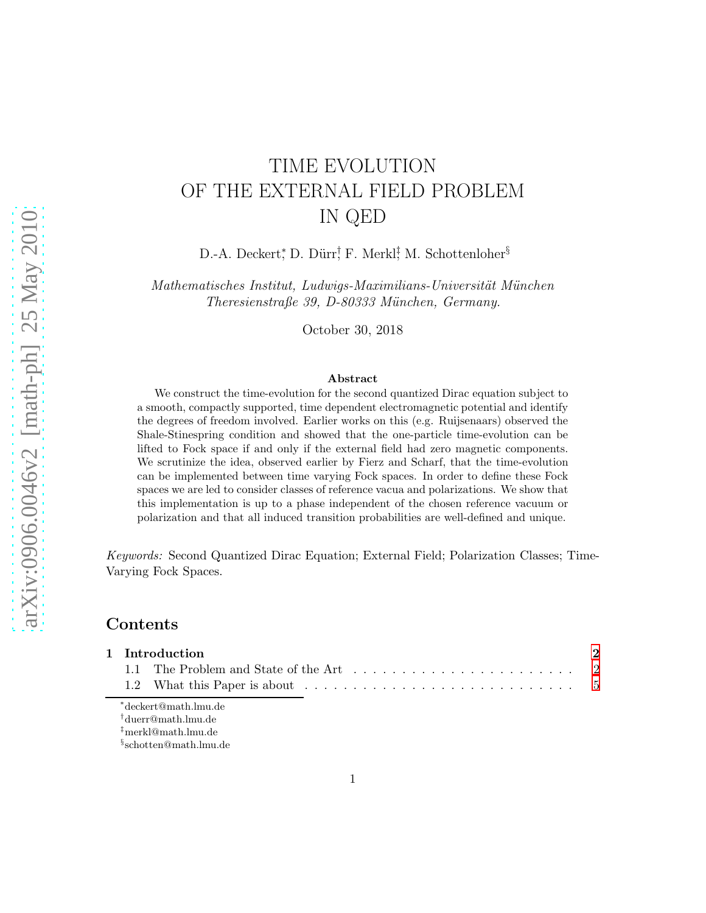# arXiv:0906.0046v2 [math-ph] 25 May 2010 [arXiv:0906.0046v2 \[math-ph\] 25 May 2010](http://arxiv.org/abs/0906.0046v2)

# TIME EVOLUTION OF THE EXTERNAL FIELD PROBLEM IN QED

D.-A. Deckert\*, D. Dürr† F. Merkl‡ M. Schottenloher<sup>§</sup>

Mathematisches Institut, Ludwigs-Maximilians-Universität München Theresienstraße 39, D-80333 München, Germany.

October 30, 2018

#### Abstract

We construct the time-evolution for the second quantized Dirac equation subject to a smooth, compactly supported, time dependent electromagnetic potential and identify the degrees of freedom involved. Earlier works on this (e.g. Ruijsenaars) observed the Shale-Stinespring condition and showed that the one-particle time-evolution can be lifted to Fock space if and only if the external field had zero magnetic components. We scrutinize the idea, observed earlier by Fierz and Scharf, that the time-evolution can be implemented between time varying Fock spaces. In order to define these Fock spaces we are led to consider classes of reference vacua and polarizations. We show that this implementation is up to a phase independent of the chosen reference vacuum or polarization and that all induced transition probabilities are well-defined and unique.

Keywords: Second Quantized Dirac Equation; External Field; Polarization Classes; Time-Varying Fock Spaces.

# Contents

| 1 Introduction |  |  |  |  |
|----------------|--|--|--|--|
|                |  |  |  |  |
|                |  |  |  |  |

∗ deckert@math.lmu.de

† duerr@math.lmu.de

‡merkl@math.lmu.de

§ schotten@math.lmu.de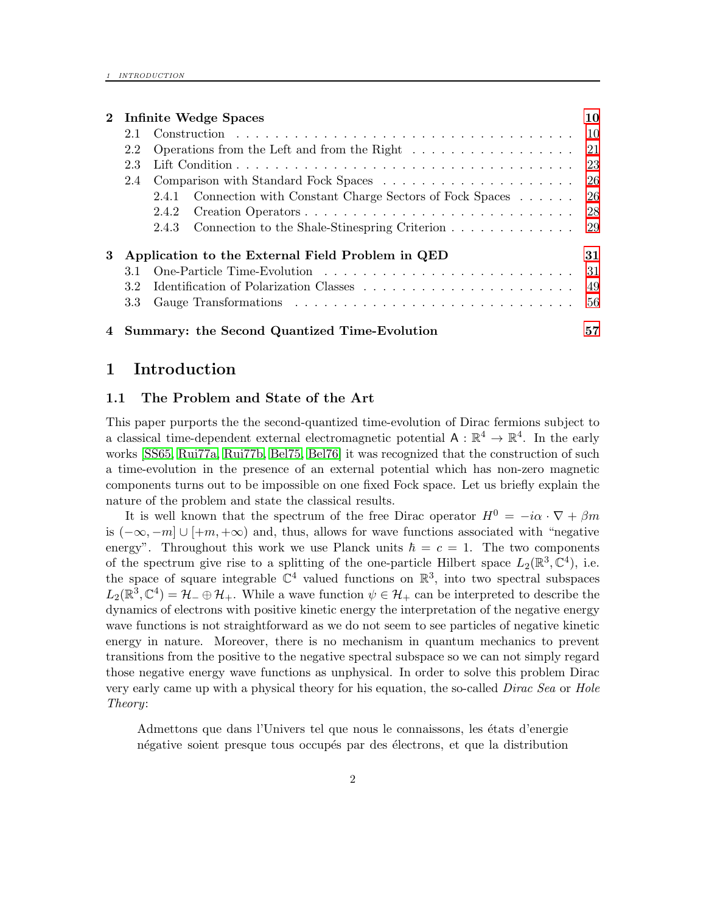|   | 2 Infinite Wedge Spaces                          |                                                                                            |                                                              |      |  |  |
|---|--------------------------------------------------|--------------------------------------------------------------------------------------------|--------------------------------------------------------------|------|--|--|
|   | 2.1                                              |                                                                                            |                                                              |      |  |  |
|   | 2.2                                              | Operations from the Left and from the Right $\dots \dots \dots \dots \dots \dots \dots$ 21 |                                                              |      |  |  |
|   | 2.3                                              |                                                                                            |                                                              |      |  |  |
|   | 2.4                                              |                                                                                            |                                                              |      |  |  |
|   |                                                  |                                                                                            | 2.4.1 Connection with Constant Charge Sectors of Fock Spaces | - 26 |  |  |
|   |                                                  | 2.4.2                                                                                      |                                                              | -28  |  |  |
|   |                                                  | 2.4.3                                                                                      |                                                              |      |  |  |
| 3 | Application to the External Field Problem in QED |                                                                                            |                                                              |      |  |  |
|   | 31                                               |                                                                                            |                                                              |      |  |  |
|   | -49<br>32                                        |                                                                                            |                                                              |      |  |  |
|   | 3.3                                              |                                                                                            |                                                              | -56  |  |  |
|   | 4 Summary: the Second Quantized Time-Evolution   |                                                                                            |                                                              |      |  |  |

# <span id="page-1-1"></span><span id="page-1-0"></span>1 Introduction

#### 1.1 The Problem and State of the Art

This paper purports the the second-quantized time-evolution of Dirac fermions subject to a classical time-dependent external electromagnetic potential  $A : \mathbb{R}^4 \to \mathbb{R}^4$ . In the early works [\[SS65,](#page-59-0) [Rui77a,](#page-59-1) [Rui77b,](#page-59-2) [Bel75,](#page-58-0) [Bel76\]](#page-58-1) it was recognized that the construction of such a time-evolution in the presence of an external potential which has non-zero magnetic components turns out to be impossible on one fixed Fock space. Let us briefly explain the nature of the problem and state the classical results.

It is well known that the spectrum of the free Dirac operator  $H^0 = -i\alpha \cdot \nabla + \beta m$ is  $(-\infty, -m] \cup [+m, +\infty)$  and, thus, allows for wave functions associated with "negative" energy". Throughout this work we use Planck units  $\hbar = c = 1$ . The two components of the spectrum give rise to a splitting of the one-particle Hilbert space  $L_2(\mathbb{R}^3, \mathbb{C}^4)$ , i.e. the space of square integrable  $\mathbb{C}^4$  valued functions on  $\mathbb{R}^3$ , into two spectral subspaces  $L_2(\mathbb{R}^3, \mathbb{C}^4) = \mathcal{H}_- \oplus \mathcal{H}_+$ . While a wave function  $\psi \in \mathcal{H}_+$  can be interpreted to describe the dynamics of electrons with positive kinetic energy the interpretation of the negative energy wave functions is not straightforward as we do not seem to see particles of negative kinetic energy in nature. Moreover, there is no mechanism in quantum mechanics to prevent transitions from the positive to the negative spectral subspace so we can not simply regard those negative energy wave functions as unphysical. In order to solve this problem Dirac very early came up with a physical theory for his equation, the so-called *Dirac Sea* or *Hole* Theory:

Admettons que dans l'Univers tel que nous le connaissons, les états d'energie négative soient presque tous occupés par des électrons, et que la distribution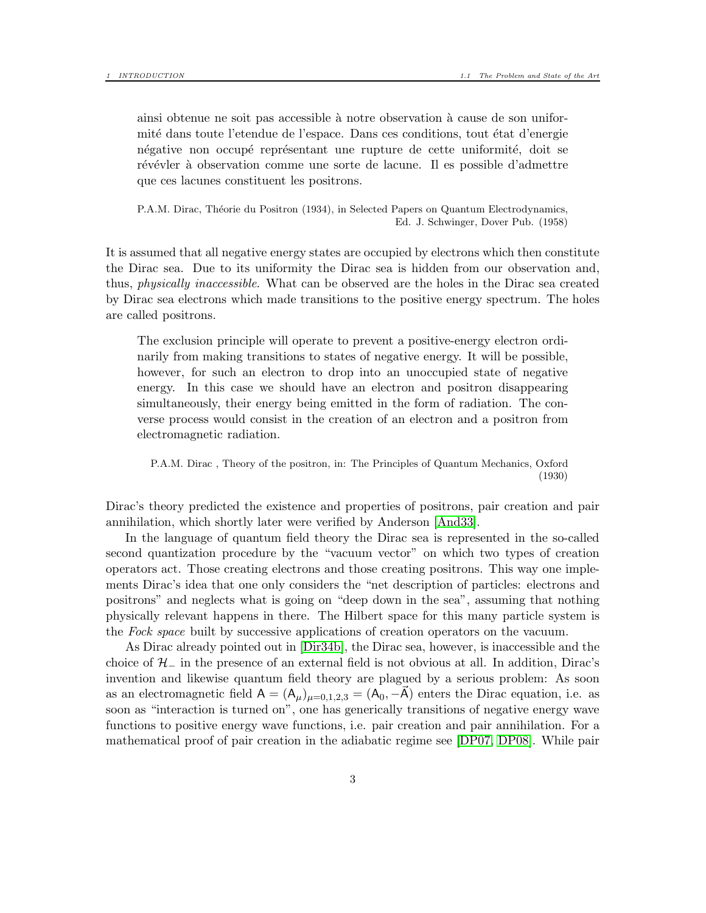ainsi obtenue ne soit pas accessible à notre observation à cause de son uniformité dans toute l'etendue de l'espace. Dans ces conditions, tout état d'energie négative non occupé représentant une rupture de cette uniformité, doit se révévler à observation comme une sorte de lacune. Il es possible d'admettre que ces lacunes constituent les positrons.

P.A.M. Dirac, Théorie du Positron (1934), in Selected Papers on Quantum Electrodynamics, Ed. J. Schwinger, Dover Pub. (1958)

It is assumed that all negative energy states are occupied by electrons which then constitute the Dirac sea. Due to its uniformity the Dirac sea is hidden from our observation and, thus, physically inaccessible. What can be observed are the holes in the Dirac sea created by Dirac sea electrons which made transitions to the positive energy spectrum. The holes are called positrons.

The exclusion principle will operate to prevent a positive-energy electron ordinarily from making transitions to states of negative energy. It will be possible, however, for such an electron to drop into an unoccupied state of negative energy. In this case we should have an electron and positron disappearing simultaneously, their energy being emitted in the form of radiation. The converse process would consist in the creation of an electron and a positron from electromagnetic radiation.

P.A.M. Dirac , Theory of the positron, in: The Principles of Quantum Mechanics, Oxford (1930)

Dirac's theory predicted the existence and properties of positrons, pair creation and pair annihilation, which shortly later were verified by Anderson [\[And33\]](#page-58-2).

In the language of quantum field theory the Dirac sea is represented in the so-called second quantization procedure by the "vacuum vector" on which two types of creation operators act. Those creating electrons and those creating positrons. This way one implements Dirac's idea that one only considers the "net description of particles: electrons and positrons" and neglects what is going on "deep down in the sea", assuming that nothing physically relevant happens in there. The Hilbert space for this many particle system is the Fock space built by successive applications of creation operators on the vacuum.

As Dirac already pointed out in [\[Dir34b\]](#page-58-3), the Dirac sea, however, is inaccessible and the choice of  $\mathcal{H}_-$  in the presence of an external field is not obvious at all. In addition, Dirac's invention and likewise quantum field theory are plagued by a serious problem: As soon as an electromagnetic field  $A = (A_\mu)_{\mu=0,1,2,3} = (A_0, -\mathbf{A})$  enters the Dirac equation, i.e. as soon as "interaction is turned on", one has generically transitions of negative energy wave functions to positive energy wave functions, i.e. pair creation and pair annihilation. For a mathematical proof of pair creation in the adiabatic regime see [\[DP07,](#page-58-4) [DP08\]](#page-58-5). While pair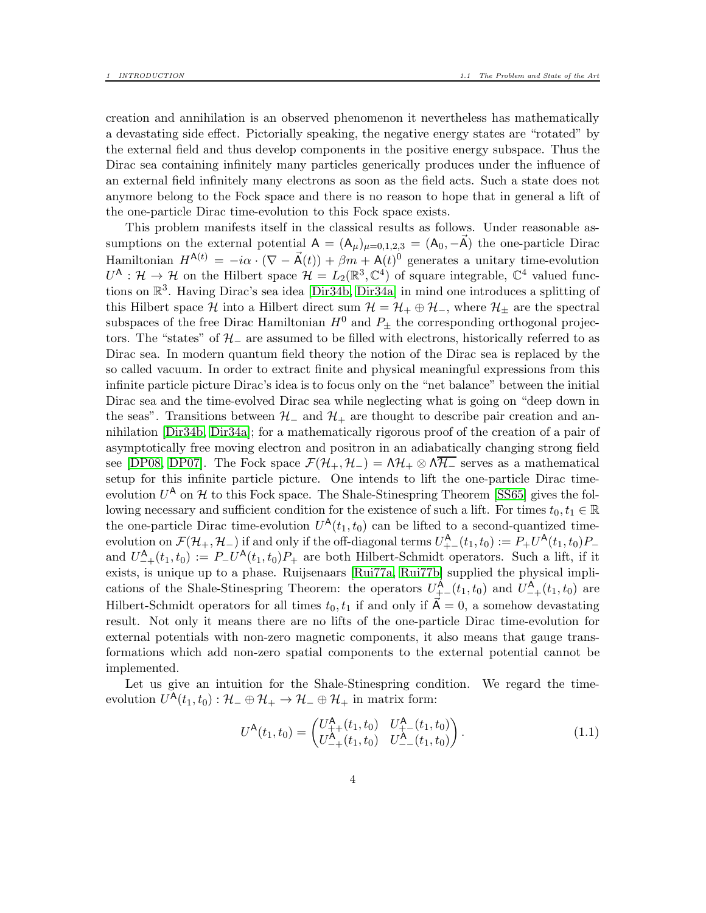creation and annihilation is an observed phenomenon it nevertheless has mathematically a devastating side effect. Pictorially speaking, the negative energy states are "rotated" by the external field and thus develop components in the positive energy subspace. Thus the Dirac sea containing infinitely many particles generically produces under the influence of an external field infinitely many electrons as soon as the field acts. Such a state does not anymore belong to the Fock space and there is no reason to hope that in general a lift of the one-particle Dirac time-evolution to this Fock space exists.

This problem manifests itself in the classical results as follows. Under reasonable assumptions on the external potential  $A = (A_\mu)_{\mu=0,1,2,3} = (A_0, -\vec{A})$  the one-particle Dirac Hamiltonian  $H^{A(t)} = -i\alpha \cdot (\nabla - \vec{A}(t)) + \beta m + A(t)^0$  generates a unitary time-evolution  $U^{\mathsf{A}}: \mathcal{H} \to \mathcal{H}$  on the Hilbert space  $\mathcal{H} = L_2(\mathbb{R}^3, \mathbb{C}^4)$  of square integrable,  $\mathbb{C}^4$  valued functions on  $\mathbb{R}^3$ . Having Dirac's sea idea [\[Dir34b,](#page-58-3) [Dir34a\]](#page-58-6) in mind one introduces a splitting of this Hilbert space H into a Hilbert direct sum  $\mathcal{H} = \mathcal{H}_+ \oplus \mathcal{H}_-$ , where  $\mathcal{H}_\pm$  are the spectral subspaces of the free Dirac Hamiltonian  $H^0$  and  $P_{\pm}$  the corresponding orthogonal projectors. The "states" of  $H_-\$  are assumed to be filled with electrons, historically referred to as Dirac sea. In modern quantum field theory the notion of the Dirac sea is replaced by the so called vacuum. In order to extract finite and physical meaningful expressions from this infinite particle picture Dirac's idea is to focus only on the "net balance" between the initial Dirac sea and the time-evolved Dirac sea while neglecting what is going on "deep down in the seas". Transitions between  $\mathcal{H}_-$  and  $\mathcal{H}_+$  are thought to describe pair creation and annihilation [\[Dir34b,](#page-58-3) [Dir34a\]](#page-58-6); for a mathematically rigorous proof of the creation of a pair of asymptotically free moving electron and positron in an adiabatically changing strong field see [\[DP08,](#page-58-5) [DP07\]](#page-58-4). The Fock space  $\mathcal{F}(\mathcal{H}_+,\mathcal{H}_-) = \Lambda\mathcal{H}_+ \otimes \Lambda\overline{\mathcal{H}_-}$  serves as a mathematical setup for this infinite particle picture. One intends to lift the one-particle Dirac timeevolution  $U^{\mathsf{A}}$  on  $\mathcal H$  to this Fock space. The Shale-Stinespring Theorem [\[SS65\]](#page-59-0) gives the following necessary and sufficient condition for the existence of such a lift. For times  $t_0, t_1 \in \mathbb{R}$ the one-particle Dirac time-evolution  $U^{\mathsf{A}}(t_1, t_0)$  can be lifted to a second-quantized timeevolution on  $\mathcal{F}(\mathcal{H}_+,\mathcal{H}_-)$  if and only if the off-diagonal terms  $U^{\mathsf{A}}_{+-}(t_1,t_0) := P_+U^{\mathsf{A}}(t_1,t_0)P_$ and  $U_{-+}^{\mathsf{A}}(t_1,t_0) := P_{-}U^{\mathsf{A}}(t_1,t_0)P_{+}$  are both Hilbert-Schmidt operators. Such a lift, if it exists, is unique up to a phase. Ruijsenaars [\[Rui77a,](#page-59-1) [Rui77b\]](#page-59-2) supplied the physical implications of the Shale-Stinespring Theorem: the operators  $U^{\mathsf{A}}_{+-}(t_1,t_0)$  and  $U^{\mathsf{A}}_{-+}(t_1,t_0)$  are Hilbert-Schmidt operators for all times  $t_0, t_1$  if and only if  $\mathsf{A} = 0$ , a somehow devastating result. Not only it means there are no lifts of the one-particle Dirac time-evolution for external potentials with non-zero magnetic components, it also means that gauge transformations which add non-zero spatial components to the external potential cannot be implemented.

Let us give an intuition for the Shale-Stinespring condition. We regard the timeevolution  $U^{\mathsf{A}}(t_1,t_0): \mathcal{H}_-\oplus \mathcal{H}_+ \to \mathcal{H}_-\oplus \mathcal{H}_+$  in matrix form:

$$
U^{\mathsf{A}}(t_1, t_0) = \begin{pmatrix} U^{\mathsf{A}}_{++}(t_1, t_0) & U^{\mathsf{A}}_{+-}(t_1, t_0) \\ U^{\mathsf{A}}_{-+}(t_1, t_0) & U^{\mathsf{A}}_{--}(t_1, t_0) \end{pmatrix}.
$$
 (1.1)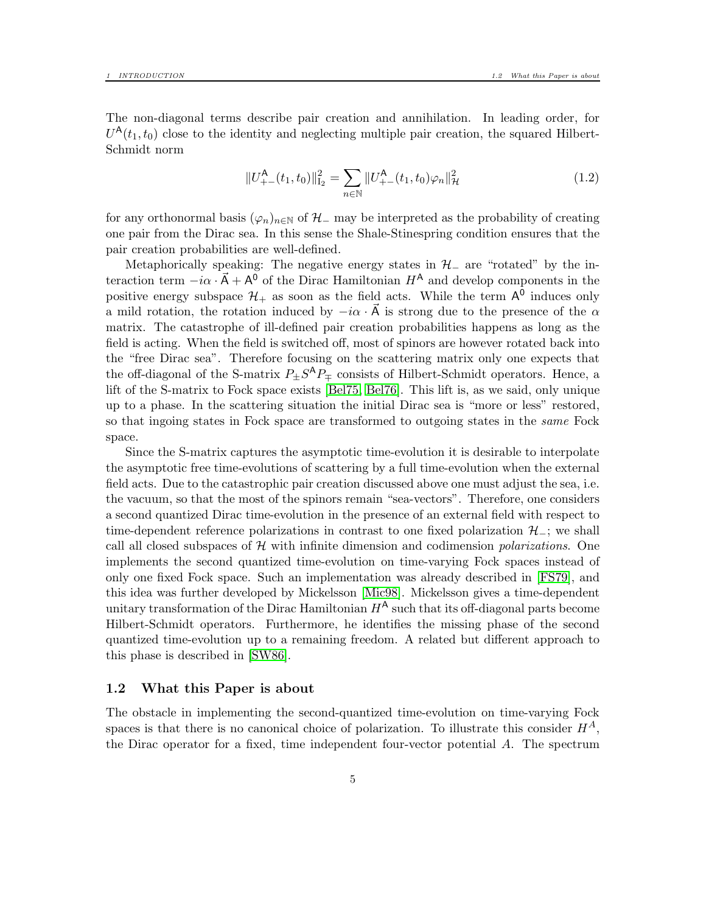The non-diagonal terms describe pair creation and annihilation. In leading order, for  $U^{\mathsf{A}}(t_1,t_0)$  close to the identity and neglecting multiple pair creation, the squared Hilbert-Schmidt norm

<span id="page-4-1"></span>
$$
||U_{+-}^{A}(t_1, t_0)||_{I_2}^{2} = \sum_{n \in \mathbb{N}} ||U_{+-}^{A}(t_1, t_0)\varphi_n||_{\mathcal{H}}^{2}
$$
\n(1.2)

for any orthonormal basis  $(\varphi_n)_{n\in\mathbb{N}}$  of  $\mathcal{H}_-$  may be interpreted as the probability of creating one pair from the Dirac sea. In this sense the Shale-Stinespring condition ensures that the pair creation probabilities are well-defined.

Metaphorically speaking: The negative energy states in  $H_$  are "rotated" by the interaction term  $-i\alpha \cdot \vec{A} + A^{\vec{0}}$  of the Dirac Hamiltonian  $H^{\mathsf{A}}$  and develop components in the positive energy subspace  $\mathcal{H}_+$  as soon as the field acts. While the term  $A^{\overline{0}}$  induces only a mild rotation, the rotation induced by  $-i\alpha \cdot \vec{A}$  is strong due to the presence of the  $\alpha$ matrix. The catastrophe of ill-defined pair creation probabilities happens as long as the field is acting. When the field is switched off, most of spinors are however rotated back into the "free Dirac sea". Therefore focusing on the scattering matrix only one expects that the off-diagonal of the S-matrix  $P_{\pm}S^{A}P_{\mp}$  consists of Hilbert-Schmidt operators. Hence, a lift of the S-matrix to Fock space exists [\[Bel75,](#page-58-0) [Bel76\]](#page-58-1). This lift is, as we said, only unique up to a phase. In the scattering situation the initial Dirac sea is "more or less" restored, so that ingoing states in Fock space are transformed to outgoing states in the *same* Fock space.

Since the S-matrix captures the asymptotic time-evolution it is desirable to interpolate the asymptotic free time-evolutions of scattering by a full time-evolution when the external field acts. Due to the catastrophic pair creation discussed above one must adjust the sea, i.e. the vacuum, so that the most of the spinors remain "sea-vectors". Therefore, one considers a second quantized Dirac time-evolution in the presence of an external field with respect to time-dependent reference polarizations in contrast to one fixed polarization  $\mathcal{H}_-$ ; we shall call all closed subspaces of  $H$  with infinite dimension and codimension *polarizations*. One implements the second quantized time-evolution on time-varying Fock spaces instead of only one fixed Fock space. Such an implementation was already described in [\[FS79\]](#page-59-3), and this idea was further developed by Mickelsson [\[Mic98\]](#page-59-4). Mickelsson gives a time-dependent unitary transformation of the Dirac Hamiltonian  $H^A$  such that its off-diagonal parts become Hilbert-Schmidt operators. Furthermore, he identifies the missing phase of the second quantized time-evolution up to a remaining freedom. A related but different approach to this phase is described in [\[SW86\]](#page-59-5).

#### <span id="page-4-0"></span>1.2 What this Paper is about

The obstacle in implementing the second-quantized time-evolution on time-varying Fock spaces is that there is no canonical choice of polarization. To illustrate this consider  $H^A$ , the Dirac operator for a fixed, time independent four-vector potential A. The spectrum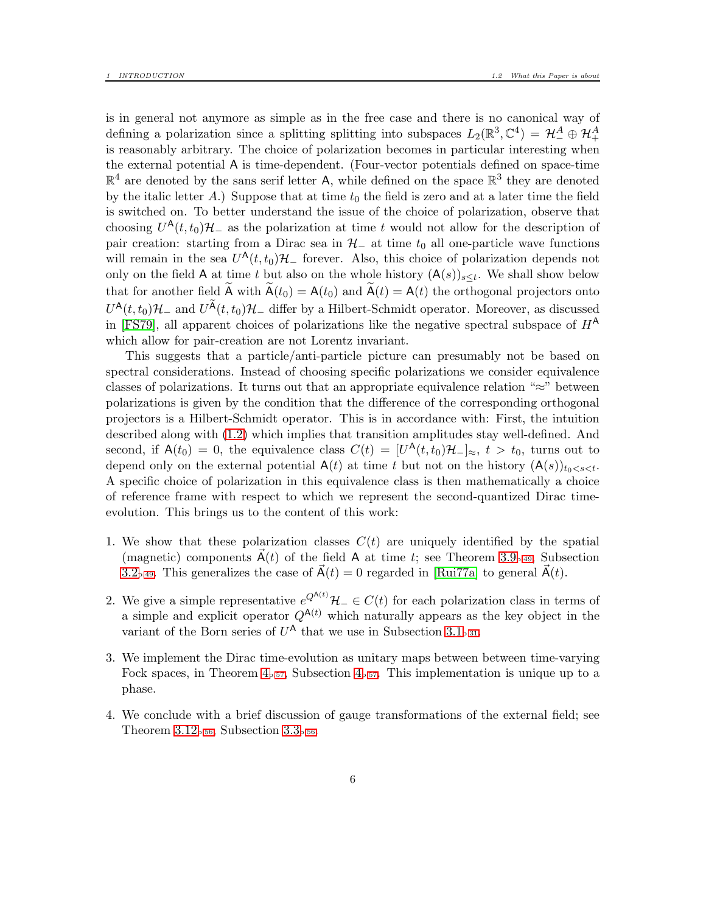is in general not anymore as simple as in the free case and there is no canonical way of defining a polarization since a splitting splitting into subspaces  $L_2(\mathbb{R}^3, \mathbb{C}^4) = \mathcal{H}^A_- \oplus \mathcal{H}^A_+$ is reasonably arbitrary. The choice of polarization becomes in particular interesting when the external potential A is time-dependent. (Four-vector potentials defined on space-time  $\mathbb{R}^4$  are denoted by the sans serif letter A, while defined on the space  $\mathbb{R}^3$  they are denoted by the italic letter A.) Suppose that at time  $t_0$  the field is zero and at a later time the field is switched on. To better understand the issue of the choice of polarization, observe that choosing  $U^{\mathsf{A}}(t,t_0)\mathcal{H}_-$  as the polarization at time t would not allow for the description of pair creation: starting from a Dirac sea in  $H_-\$ at time  $t_0$  all one-particle wave functions will remain in the sea  $U^{\mathsf{A}}(t,t_0)\mathcal{H}_-$  forever. Also, this choice of polarization depends not only on the field A at time t but also on the whole history  $(A(s))_{s \leq t}$ . We shall show below that for another field  $\widetilde{A}$  with  $\widetilde{A}(t_0) = A(t_0)$  and  $\widetilde{A}(t) = A(t)$  the orthogonal projectors onto  $U^{\mathsf{A}}(t,t_0)\mathcal{H}_-$  and  $U^{\widetilde{\mathsf{A}}}(t,t_0)\mathcal{H}_-$  differ by a Hilbert-Schmidt operator. Moreover, as discussed in [\[FS79\]](#page-59-3), all apparent choices of polarizations like the negative spectral subspace of  $H^{\mathsf{A}}$ which allow for pair-creation are not Lorentz invariant.

This suggests that a particle/anti-particle picture can presumably not be based on spectral considerations. Instead of choosing specific polarizations we consider equivalence classes of polarizations. It turns out that an appropriate equivalence relation "≈" between polarizations is given by the condition that the difference of the corresponding orthogonal projectors is a Hilbert-Schmidt operator. This is in accordance with: First, the intuition described along with [\(1.2\)](#page-4-1) which implies that transition amplitudes stay well-defined. And second, if  $A(t_0) = 0$ , the equivalence class  $C(t) = [U^A(t, t_0)H^-]_{\approx}$ ,  $t > t_0$ , turns out to depend only on the external potential  $A(t)$  at time t but not on the history  $(A(s))_{t_0 < s < t}$ . A specific choice of polarization in this equivalence class is then mathematically a choice of reference frame with respect to which we represent the second-quantized Dirac timeevolution. This brings us to the content of this work:

- 1. We show that these polarization classes  $C(t)$  are uniquely identified by the spatial (magnetic) components  $\vec{A}(t)$  of the field A at time t; see Theorem [3.9](#page-48-1)<sub>p</sub>[.49](#page-48-1), Subsection [3.2](#page-48-0)<sub>p[.49](#page-48-0)</sub>. This generalizes the case of  $\vec{A}(t) = 0$  regarded in [\[Rui77a\]](#page-59-1) to general  $\vec{A}(t)$ .
- 2. We give a simple representative  $e^{Q^{A(t)}}\mathcal{H}_-\in C(t)$  for each polarization class in terms of a simple and explicit operator  $Q^{A(t)}$  which naturally appears as the key object in the variant of the Born series of  $U^{\mathsf{A}}$  that we use in Subsection [3.1](#page-30-1)<sub>p[.31](#page-30-1)</sub>.
- 3. We implement the Dirac time-evolution as unitary maps between between time-varying Fock spaces, in Theorem  $4_{p.57}$  $4_{p.57}$  $4_{p.57}$ , Subsection  $4_{p.57}$ . This implementation is unique up to a phase.
- 4. We conclude with a brief discussion of gauge transformations of the external field; see Theorem  $3.12<sub>p.56</sub>$  $3.12<sub>p.56</sub>$  $3.12<sub>p.56</sub>$ , Subsection  $3.3<sub>p.56</sub>$ .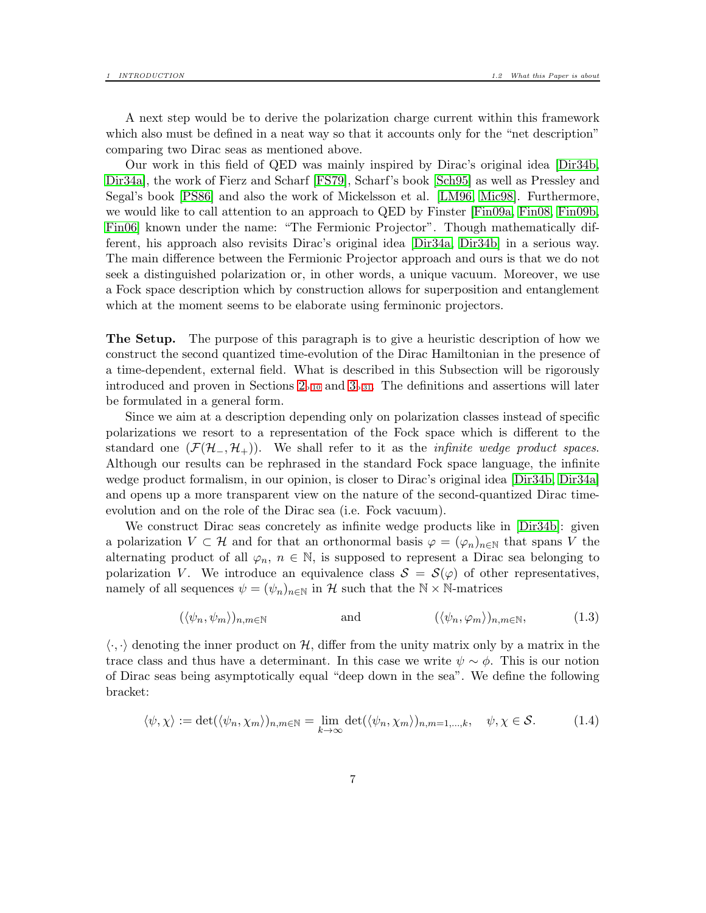A next step would be to derive the polarization charge current within this framework which also must be defined in a neat way so that it accounts only for the "net description" comparing two Dirac seas as mentioned above.

Our work in this field of QED was mainly inspired by Dirac's original idea [\[Dir34b,](#page-58-3) [Dir34a\]](#page-58-6), the work of Fierz and Scharf [\[FS79\]](#page-59-3), Scharf's book [\[Sch95\]](#page-59-6) as well as Pressley and Segal's book [\[PS86\]](#page-59-7) and also the work of Mickelsson et al. [\[LM96,](#page-59-8) [Mic98\]](#page-59-4). Furthermore, we would like to call attention to an approach to QED by Finster [\[Fin09a,](#page-58-7) [Fin08,](#page-58-8) [Fin09b,](#page-58-9) [Fin06\]](#page-58-10) known under the name: "The Fermionic Projector". Though mathematically different, his approach also revisits Dirac's original idea [\[Dir34a,](#page-58-6) [Dir34b\]](#page-58-3) in a serious way. The main difference between the Fermionic Projector approach and ours is that we do not seek a distinguished polarization or, in other words, a unique vacuum. Moreover, we use a Fock space description which by construction allows for superposition and entanglement which at the moment seems to be elaborate using ferminonic projectors.

The Setup. The purpose of this paragraph is to give a heuristic description of how we construct the second quantized time-evolution of the Dirac Hamiltonian in the presence of a time-dependent, external field. What is described in this Subsection will be rigorously introduced and proven in Sections  $2_{p.10}$  $2_{p.10}$  $2_{p.10}$  and  $3_{p.31}$  $3_{p.31}$  $3_{p.31}$ . The definitions and assertions will later be formulated in a general form.

Since we aim at a description depending only on polarization classes instead of specific polarizations we resort to a representation of the Fock space which is different to the standard one  $(\mathcal{F}(\mathcal{H}_-, \mathcal{H}_+))$ . We shall refer to it as the *infinite wedge product spaces*. Although our results can be rephrased in the standard Fock space language, the infinite wedge product formalism, in our opinion, is closer to Dirac's original idea [\[Dir34b,](#page-58-3) [Dir34a\]](#page-58-6) and opens up a more transparent view on the nature of the second-quantized Dirac timeevolution and on the role of the Dirac sea (i.e. Fock vacuum).

We construct Dirac seas concretely as infinite wedge products like in [\[Dir34b\]](#page-58-3): given a polarization  $V \subset \mathcal{H}$  and for that an orthonormal basis  $\varphi = (\varphi_n)_{n \in \mathbb{N}}$  that spans V the alternating product of all  $\varphi_n$ ,  $n \in \mathbb{N}$ , is supposed to represent a Dirac sea belonging to polarization V. We introduce an equivalence class  $S = S(\varphi)$  of other representatives, namely of all sequences  $\psi = (\psi_n)_{n \in \mathbb{N}}$  in H such that the  $\mathbb{N} \times \mathbb{N}$ -matrices

<span id="page-6-0"></span>
$$
(\langle \psi_n, \psi_m \rangle)_{n,m \in \mathbb{N}} \qquad \text{and} \qquad (\langle \psi_n, \varphi_m \rangle)_{n,m \in \mathbb{N}}, \qquad (1.3)
$$

 $\langle \cdot, \cdot \rangle$  denoting the inner product on H, differ from the unity matrix only by a matrix in the trace class and thus have a determinant. In this case we write  $\psi \sim \phi$ . This is our notion of Dirac seas being asymptotically equal "deep down in the sea". We define the following bracket:

$$
\langle \psi, \chi \rangle := \det(\langle \psi_n, \chi_m \rangle)_{n, m \in \mathbb{N}} = \lim_{k \to \infty} \det(\langle \psi_n, \chi_m \rangle)_{n, m = 1, \dots, k}, \quad \psi, \chi \in \mathcal{S}.
$$
 (1.4)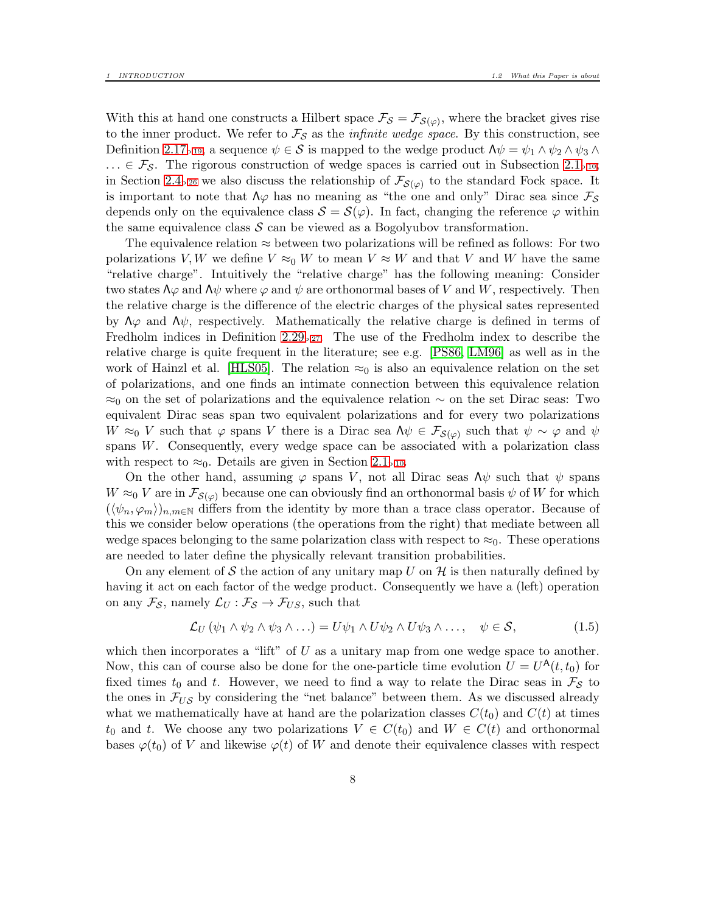With this at hand one constructs a Hilbert space  $\mathcal{F}_{\mathcal{S}} = \mathcal{F}_{\mathcal{S}(\varphi)}$ , where the bracket gives rise to the inner product. We refer to  $\mathcal{F}_{\mathcal{S}}$  as the *infinite wedge space*. By this construction, see Definition [2.17](#page-18-0)<sub>p[.19](#page-18-0)</sub>, a sequence  $\psi \in \mathcal{S}$  is mapped to the wedge product  $\Lambda \psi = \psi_1 \wedge \psi_2 \wedge \psi_3 \wedge \psi_4$  $\ldots \in \mathcal{F}_{\mathcal{S}}$ . The rigorous construction of wedge spaces is carried out in Subsection [2.1](#page-9-1)<sub>p[.10](#page-9-1)</sub>; in Section [2.4](#page-25-0)<sub>p[.26](#page-25-0)</sub> we also discuss the relationship of  $\mathcal{F}_{\mathcal{S}(\varphi)}$  to the standard Fock space. It is important to note that  $\Lambda\varphi$  has no meaning as "the one and only" Dirac sea since  $\mathcal{F}_{\mathcal{S}}$ depends only on the equivalence class  $S = S(\varphi)$ . In fact, changing the reference  $\varphi$  within the same equivalence class  $S$  can be viewed as a Bogolyubov transformation.

The equivalence relation  $\approx$  between two polarizations will be refined as follows: For two polarizations V, W we define  $V \approx_0 W$  to mean  $V \approx W$  and that V and W have the same "relative charge". Intuitively the "relative charge" has the following meaning: Consider two states  $\Lambda\varphi$  and  $\Lambda\psi$  where  $\varphi$  and  $\psi$  are orthonormal bases of V and W, respectively. Then the relative charge is the difference of the electric charges of the physical sates represented by  $\Lambda\varphi$  and  $\Lambda\psi$ , respectively. Mathematically the relative charge is defined in terms of Fredholm indices in Definition  $2.29<sub>p.27</sub>$  $2.29<sub>p.27</sub>$  $2.29<sub>p.27</sub>$ . The use of the Fredholm index to describe the relative charge is quite frequent in the literature; see e.g. [\[PS86,](#page-59-7) [LM96\]](#page-59-8) as well as in the work of Hainzl et al. [\[HLS05\]](#page-59-9). The relation  $\approx_0$  is also an equivalence relation on the set of polarizations, and one finds an intimate connection between this equivalence relation  $\approx_0$  on the set of polarizations and the equivalence relation  $\sim$  on the set Dirac seas: Two equivalent Dirac seas span two equivalent polarizations and for every two polarizations  $W \approx_0 V$  such that  $\varphi$  spans V there is a Dirac sea  $\Lambda \psi \in \mathcal{F}_{\mathcal{S}(\varphi)}$  such that  $\psi \sim \varphi$  and  $\psi$ spans W. Consequently, every wedge space can be associated with a polarization class with respect to  $\approx_0$ . Details are given in Section [2.1](#page-9-1)<sub>p[.10](#page-9-1)</sub>.

On the other hand, assuming  $\varphi$  spans V, not all Dirac seas  $\Lambda \psi$  such that  $\psi$  spans  $W \approx_0 V$  are in  $\mathcal{F}_{\mathcal{S}(\varphi)}$  because one can obviously find an orthonormal basis  $\psi$  of W for which  $(\langle \psi_n, \varphi_m \rangle)_{n,m \in \mathbb{N}}$  differs from the identity by more than a trace class operator. Because of this we consider below operations (the operations from the right) that mediate between all wedge spaces belonging to the same polarization class with respect to  $\approx_0$ . These operations are needed to later define the physically relevant transition probabilities.

On any element of S the action of any unitary map U on  $\mathcal H$  is then naturally defined by having it act on each factor of the wedge product. Consequently we have a (left) operation on any  $\mathcal{F}_{\mathcal{S}}$ , namely  $\mathcal{L}_U : \mathcal{F}_{\mathcal{S}} \to \mathcal{F}_{US}$ , such that

$$
\mathcal{L}_U(\psi_1 \wedge \psi_2 \wedge \psi_3 \wedge \ldots) = U\psi_1 \wedge U\psi_2 \wedge U\psi_3 \wedge \ldots, \quad \psi \in \mathcal{S}, \tag{1.5}
$$

which then incorporates a "lift" of  $U$  as a unitary map from one wedge space to another. Now, this can of course also be done for the one-particle time evolution  $\hat{U} = U^{\mathsf{A}}(t,t_0)$  for fixed times  $t_0$  and t. However, we need to find a way to relate the Dirac seas in  $\mathcal{F}_{\mathcal{S}}$  to the ones in  $\mathcal{F}_{US}$  by considering the "net balance" between them. As we discussed already what we mathematically have at hand are the polarization classes  $C(t_0)$  and  $C(t)$  at times  $t_0$  and t. We choose any two polarizations  $V \in C(t_0)$  and  $W \in C(t)$  and orthonormal bases  $\varphi(t_0)$  of V and likewise  $\varphi(t)$  of W and denote their equivalence classes with respect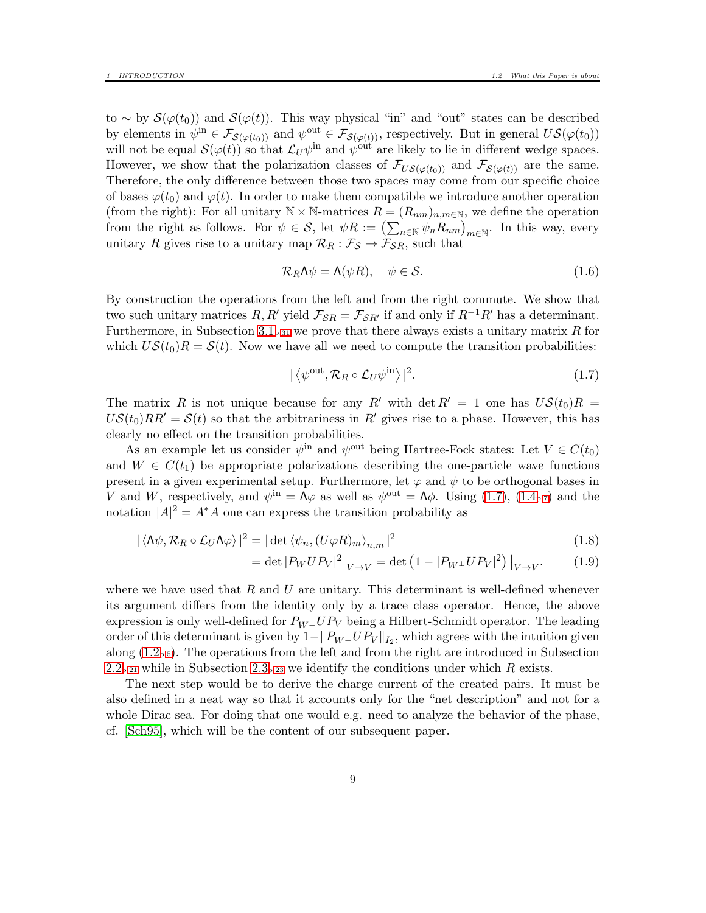to ~ by  $\mathcal{S}(\varphi(t_0))$  and  $\mathcal{S}(\varphi(t))$ . This way physical "in" and "out" states can be described by elements in  $\psi^{\text{in}} \in \mathcal{F}_{\mathcal{S}(\varphi(t_0))}$  and  $\psi^{\text{out}} \in \mathcal{F}_{\mathcal{S}(\varphi(t))}$ , respectively. But in general  $US(\varphi(t_0))$ will not be equal  $\mathcal{S}(\varphi(t))$  so that  $\mathcal{L}_U \psi^{\text{in}}$  and  $\psi^{\text{out}}$  are likely to lie in different wedge spaces. However, we show that the polarization classes of  $\mathcal{F}_{US(\varphi(t_0))}$  and  $\mathcal{F}_{S(\varphi(t))}$  are the same. Therefore, the only difference between those two spaces may come from our specific choice of bases  $\varphi(t_0)$  and  $\varphi(t)$ . In order to make them compatible we introduce another operation (from the right): For all unitary  $\mathbb{N} \times \mathbb{N}$ -matrices  $R = (R_{nm})_{n,m \in \mathbb{N}}$ , we define the operation from the right as follows. For  $\psi \in \mathcal{S}$ , let  $\psi R := (\sum_{n \in \mathbb{N}} \psi_n R_{nm})_{m \in \mathbb{N}}$ . In this way, every unitary R gives rise to a unitary map  $\mathcal{R}_R : \mathcal{F}_{\mathcal{S}} \to \mathcal{F}_{\mathcal{S}R}$ , such that

$$
\mathcal{R}_R \Lambda \psi = \Lambda(\psi R), \quad \psi \in \mathcal{S}.
$$
 (1.6)

By construction the operations from the left and from the right commute. We show that two such unitary matrices R, R' yield  $\mathcal{F}_{SR} = \mathcal{F}_{SR'}$  if and only if  $R^{-1}R'$  has a determinant. Furthermore, in Subsection [3.1](#page-30-1)<sub>p[.31](#page-30-1)</sub> we prove that there always exists a unitary matrix R for which  $US(t_0)R = S(t)$ . Now we have all we need to compute the transition probabilities:

<span id="page-8-0"></span>
$$
|\langle \psi^{\text{out}}, \mathcal{R}_R \circ \mathcal{L}_U \psi^{\text{in}} \rangle|^2. \tag{1.7}
$$

The matrix R is not unique because for any R' with det  $R' = 1$  one has  $US(t_0)R =$  $US(t_0)RR' = S(t)$  so that the arbitrariness in R' gives rise to a phase. However, this has clearly no effect on the transition probabilities.

As an example let us consider  $\psi^{\text{in}}$  and  $\psi^{\text{out}}$  being Hartree-Fock states: Let  $V \in C(t_0)$ and  $W \in C(t_1)$  be appropriate polarizations describing the one-particle wave functions present in a given experimental setup. Furthermore, let  $\varphi$  and  $\psi$  to be orthogonal bases in V and W, respectively, and  $\psi^{\text{in}} = \Lambda \varphi$  as well as  $\psi^{\text{out}} = \Lambda \varphi$ . Using [\(1.7\)](#page-8-0), [\(1.4](#page-6-0)<sub>p</sub>[.7](#page-6-0)) and the notation  $|A|^2 = A^*A$  one can express the transition probability as

$$
|\langle \Lambda \psi, \mathcal{R}_R \circ \mathcal{L}_U \Lambda \varphi \rangle|^2 = |\det \langle \psi_n, (U \varphi R)_m \rangle_{n,m}|^2
$$
\n(1.8)

$$
= \det |P_W U P_V|^2 \big|_{V \to V} = \det \left( 1 - |P_{W^\perp} U P_V|^2 \right) \big|_{V \to V}. \tag{1.9}
$$

where we have used that  $R$  and  $U$  are unitary. This determinant is well-defined whenever its argument differs from the identity only by a trace class operator. Hence, the above expression is only well-defined for  $P_{W^{\perp}}UP_V$  being a Hilbert-Schmidt operator. The leading order of this determinant is given by  $1 - ||P_{W^{\perp}}UP_V||_{I_2}$ , which agrees with the intuition given along  $(1.2<sub>p.5</sub>)$  $(1.2<sub>p.5</sub>)$  $(1.2<sub>p.5</sub>)$ . The operations from the left and from the right are introduced in Subsection [2.2](#page-20-0)<sub>p[.21](#page-20-0)</sub> while in Subsection [2.3](#page-22-0)<sub>p[.23](#page-22-0)</sub> we identify the conditions under which R exists.

The next step would be to derive the charge current of the created pairs. It must be also defined in a neat way so that it accounts only for the "net description" and not for a whole Dirac sea. For doing that one would e.g. need to analyze the behavior of the phase, cf. [\[Sch95\]](#page-59-6), which will be the content of our subsequent paper.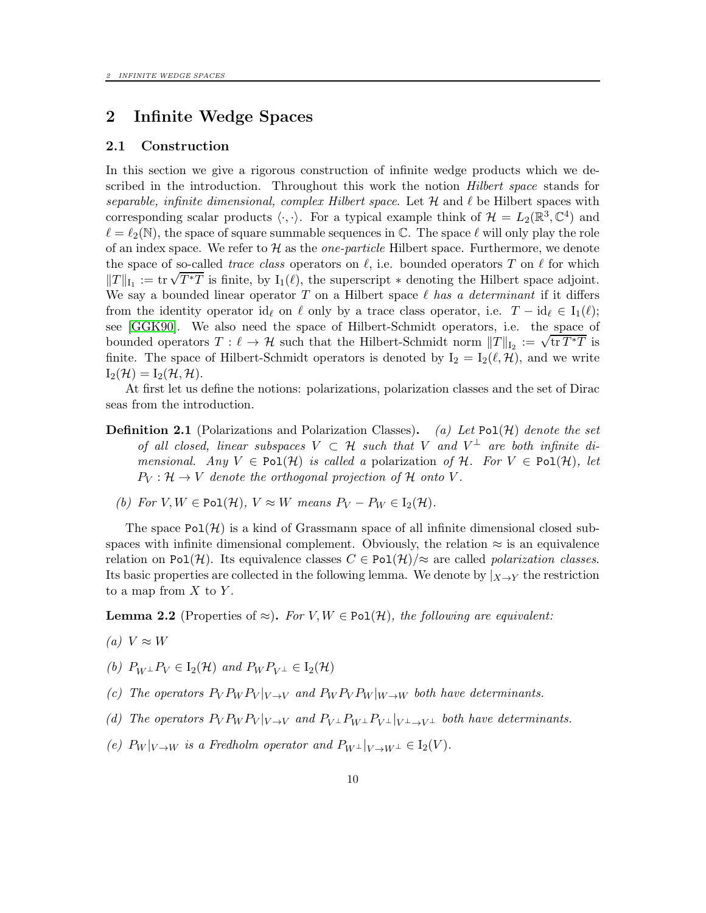# <span id="page-9-1"></span><span id="page-9-0"></span>2 Infinite Wedge Spaces

#### 2.1 Construction

In this section we give a rigorous construction of infinite wedge products which we described in the introduction. Throughout this work the notion *Hilbert space* stands for separable, infinite dimensional, complex Hilbert space. Let  $\mathcal H$  and  $\ell$  be Hilbert spaces with corresponding scalar products  $\langle \cdot, \cdot \rangle$ . For a typical example think of  $\mathcal{H} = L_2(\mathbb{R}^3, \mathbb{C}^4)$  and  $\ell = \ell_2(\mathbb{N})$ , the space of square summable sequences in C. The space  $\ell$  will only play the role of an index space. We refer to  $\mathcal H$  as the *one-particle* Hilbert space. Furthermore, we denote the space of so-called *trace class* operators on  $\ell$ , i.e. bounded operators T on  $\ell$  for which  $||T||_{I_1} := \text{tr} \sqrt{T^*T}$  is finite, by  $I_1(\ell)$ , the superscript  $*$  denoting the Hilbert space adjoint. We say a bounded linear operator T on a Hilbert space  $\ell$  has a determinant if it differs from the identity operator id<sub>ℓ</sub> on ℓ only by a trace class operator, i.e.  $T - id_\ell \in I_1(\ell)$ ; see [\[GGK90\]](#page-59-10). We also need the space of Hilbert-Schmidt operators, i.e. the space of bounded operators  $T : \ell \to H$  such that the Hilbert-Schmidt norm  $||T||_{I_2} := \sqrt{\text{tr } T^*T}$  is finite. The space of Hilbert-Schmidt operators is denoted by  $I_2 = I_2(\ell, \mathcal{H})$ , and we write  $I_2(\mathcal{H}) = I_2(\mathcal{H}, \mathcal{H}).$ 

At first let us define the notions: polarizations, polarization classes and the set of Dirac seas from the introduction.

- **Definition 2.1** (Polarizations and Polarization Classes). (a) Let Pol(H) denote the set of all closed, linear subspaces  $V \subset \mathcal{H}$  such that V and  $V^{\perp}$  are both infinite dimensional. Any  $V \in \text{Pol}(\mathcal{H})$  is called a polarization of H. For  $V \in \text{Pol}(\mathcal{H})$ , let  $P_V: \mathcal{H} \to V$  denote the orthogonal projection of H onto V.
	- (b) For  $V, W \in \text{Pol}(\mathcal{H}), V \approx W$  means  $P_V P_W \in I_2(\mathcal{H}).$

The space  $Pol(\mathcal{H})$  is a kind of Grassmann space of all infinite dimensional closed subspaces with infinite dimensional complement. Obviously, the relation  $\approx$  is an equivalence relation on Pol(H). Its equivalence classes  $C \in Pol(H)/\approx$  are called *polarization classes*. Its basic properties are collected in the following lemma. We denote by  $|_{X\to Y}$  the restriction to a map from  $X$  to  $Y$ .

<span id="page-9-3"></span>**Lemma 2.2** (Properties of  $\approx$ ). For V, W  $\in$  Pol(H), the following are equivalent:

- (a)  $V \approx W$
- (b)  $P_{W^{\perp}}P_V \in I_2(\mathcal{H})$  and  $P_W P_{V^{\perp}} \in I_2(\mathcal{H})$
- (c) The operators  $P_V P_W P_V |_{V \to V}$  and  $P_W P_V P_W |_{W \to W}$  both have determinants.
- <span id="page-9-2"></span>(d) The operators  $P_V P_W P_V |_{V \to V}$  and  $P_{V^\perp} P_{W^\perp} P_{V^\perp} |_{V^\perp \to V^\perp}$  both have determinants.
- (e)  $P_W|_{V\to W}$  is a Fredholm operator and  $P_{W^{\perp}}|_{V\to W^{\perp}} \in I_2(V)$ .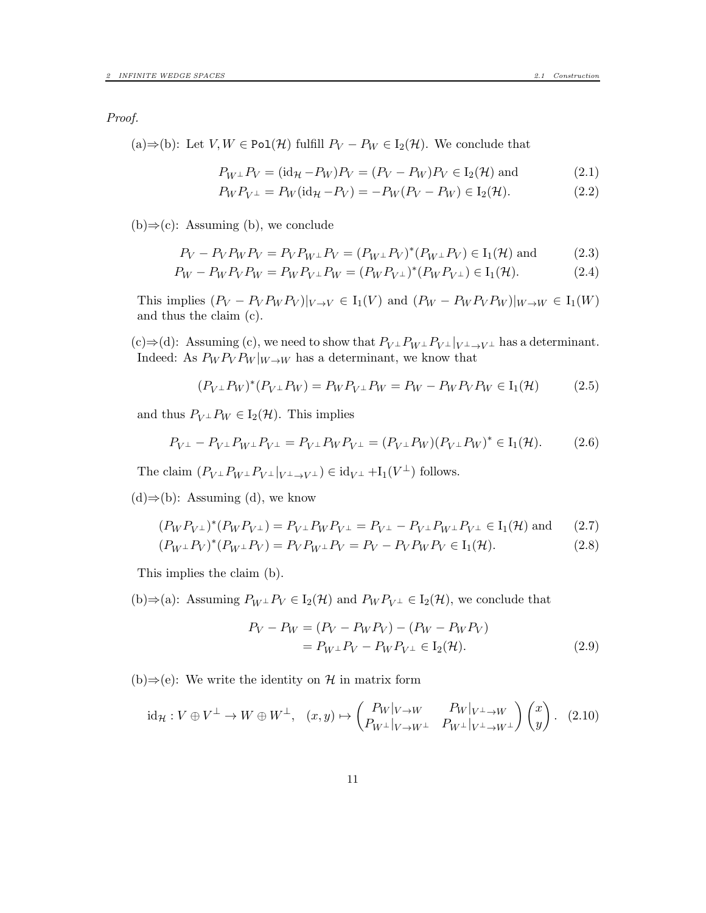(a)⇒(b): Let  $V, W \in \text{Pol}(\mathcal{H})$  fulfill  $P_V - P_W \in I_2(\mathcal{H})$ . We conclude that

$$
P_{W^{\perp}}P_{V} = (\mathrm{id}_{\mathcal{H}} - P_{W})P_{V} = (P_{V} - P_{W})P_{V} \in I_{2}(\mathcal{H}) \text{ and } (2.1)
$$

$$
P_W P_{V^{\perp}} = P_W(\text{id}_{\mathcal{H}} - P_V) = -P_W(P_V - P_W) \in I_2(\mathcal{H}).
$$
\n(2.2)

 $(b) \Rightarrow (c)$ : Assuming (b), we conclude

$$
P_V - P_V P_W P_V = P_V P_{W^{\perp}} P_V = (P_{W^{\perp}} P_V)^* (P_{W^{\perp}} P_V) \in I_1(\mathcal{H}) \text{ and } (2.3)
$$

$$
P_W - P_W P_V P_W = P_W P_{V^{\perp}} P_W = (P_W P_{V^{\perp}})^* (P_W P_{V^{\perp}}) \in I_1(\mathcal{H}).
$$
\n(2.4)

This implies  $(P_V - P_V P_W P_V)|_{V \to V} \in I_1(V)$  and  $(P_W - P_W P_V P_W)|_{W \to W} \in I_1(W)$ and thus the claim (c).

(c)⇒(d): Assuming (c), we need to show that  $P_{V^{\perp}}P_{W^{\perp}}P_{V^{\perp}}|_{V^{\perp}\to V^{\perp}}$  has a determinant. Indeed: As  $P_W P_V P_W |_{W\to W}$  has a determinant, we know that

$$
(P_{V^{\perp}}P_W)^*(P_{V^{\perp}}P_W) = P_W P_{V^{\perp}} P_W = P_W - P_W P_V P_W \in I_1(\mathcal{H}) \tag{2.5}
$$

and thus  $P_{V^{\perp}}P_W \in I_2(\mathcal{H})$ . This implies

$$
P_{V^{\perp}} - P_{V^{\perp}} P_{W^{\perp}} P_{V^{\perp}} = P_{V^{\perp}} P_W P_{V^{\perp}} = (P_{V^{\perp}} P_W)(P_{V^{\perp}} P_W)^* \in I_1(\mathcal{H}). \tag{2.6}
$$

The claim  $(P_{V^{\perp}}P_{W^{\perp}}P_{V^{\perp}}|_{V^{\perp}\to V^{\perp}}) \in \mathrm{id}_{V^{\perp}} + \mathrm{I}_{1}(V^{\perp})$  follows.

 $(d) \Rightarrow (b)$ : Assuming (d), we know

$$
(P_W P_{V^{\perp}})^*(P_W P_{V^{\perp}}) = P_{V^{\perp}} P_W P_{V^{\perp}} = P_{V^{\perp}} - P_{V^{\perp}} P_{W^{\perp}} P_{V^{\perp}} \in I_1(\mathcal{H}) \text{ and } (2.7)
$$

$$
(P_{W^{\perp}}P_V)^*(P_{W^{\perp}}P_V) = P_V P_{W^{\perp}}P_V = P_V - P_V P_W P_V \in I_1(\mathcal{H}).
$$
\n(2.8)

This implies the claim (b).

(b)⇒(a): Assuming  $P_W \perp P_V \in I_2(\mathcal{H})$  and  $P_W P_V \perp \in I_2(\mathcal{H})$ , we conclude that

$$
P_V - P_W = (P_V - P_W P_V) - (P_W - P_W P_V) = P_{W^{\perp}} P_V - P_W P_{V^{\perp}} \in I_2(\mathcal{H}).
$$
\n(2.9)

(b)⇒(e): We write the identity on  $H$  in matrix form

$$
\mathrm{id}_{\mathcal{H}}: V \oplus V^{\perp} \to W \oplus W^{\perp}, \quad (x, y) \mapsto \begin{pmatrix} P_W|_{V \to W} & P_W|_{V^{\perp} \to W} \\ P_{W^{\perp}}|_{V \to W^{\perp}} & P_{W^{\perp}}|_{V^{\perp} \to W^{\perp}} \end{pmatrix} \begin{pmatrix} x \\ y \end{pmatrix}. \tag{2.10}
$$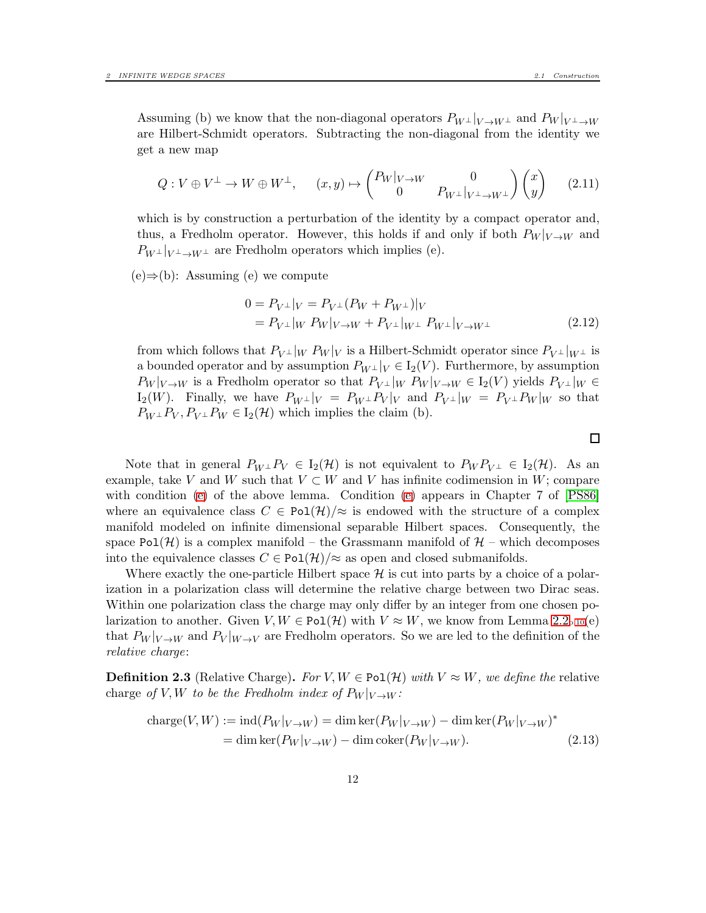Assuming (b) we know that the non-diagonal operators  $P_{W^{\perp}}|_{V \to W^{\perp}}$  and  $P_{W}|_{V^{\perp} \to W}$ are Hilbert-Schmidt operators. Subtracting the non-diagonal from the identity we get a new map

$$
Q: V \oplus V^{\perp} \to W \oplus W^{\perp}, \qquad (x, y) \mapsto \begin{pmatrix} P_W|_{V \to W} & 0 \\ 0 & P_{W^{\perp}}|_{V^{\perp} \to W^{\perp}} \end{pmatrix} \begin{pmatrix} x \\ y \end{pmatrix} \qquad (2.11)
$$

which is by construction a perturbation of the identity by a compact operator and, thus, a Fredholm operator. However, this holds if and only if both  $P_W|_{V\to W}$  and  $P_{W^{\perp}}|_{V^{\perp}\to W^{\perp}}$  are Fredholm operators which implies (e).

 $(e) \Rightarrow (b)$ : Assuming (e) we compute

$$
0 = P_{V^{\perp}}|_{V} = P_{V^{\perp}}(P_{W} + P_{W^{\perp}})|_{V}
$$
  
=  $P_{V^{\perp}}|_{W} P_{W}|_{V \to W} + P_{V^{\perp}}|_{W^{\perp}} P_{W^{\perp}}|_{V \to W^{\perp}}$  (2.12)

from which follows that  $P_{V^{\perp}}|_{W} P_{W}|_{V}$  is a Hilbert-Schmidt operator since  $P_{V^{\perp}}|_{W^{\perp}}$  is a bounded operator and by assumption  $P_{W^{\perp}}|_V \in I_2(V)$ . Furthermore, by assumption  $P_W|_{V\to W}$  is a Fredholm operator so that  $P_{V^{\perp}}|_W$   $P_W|_{V\to W} \in I_2(V)$  yields  $P_{V^{\perp}}|_W \in$  $I_2(W)$ . Finally, we have  $P_{W^{\perp}}|_V = P_{W^{\perp}} P_V |_V$  and  $P_{V^{\perp}}|_W = P_{V^{\perp}} P_W |_W$  so that  $P_{W^{\perp}}P_V, P_{V^{\perp}}P_W \in I_2(\mathcal{H})$  which implies the claim (b).

Note that in general  $P_{W^{\perp}}P_V \in I_2(H)$  is not equivalent to  $P_W P_{V^{\perp}} \in I_2(H)$ . As an example, take V and W such that  $V \subset W$  and V has infinite codimension in W; compare with condition [\(e\)](#page-9-2) of the above lemma. Condition (e) appears in Chapter 7 of [\[PS86\]](#page-59-7) where an equivalence class  $C \in \text{Pol}(\mathcal{H})/\approx$  is endowed with the structure of a complex manifold modeled on infinite dimensional separable Hilbert spaces. Consequently, the space Pol(H) is a complex manifold – the Grassmann manifold of  $\mathcal{H}$  – which decomposes into the equivalence classes  $C \in \text{Pol}(\mathcal{H})/\approx$  as open and closed submanifolds.

Where exactly the one-particle Hilbert space  $\mathcal H$  is cut into parts by a choice of a polarization in a polarization class will determine the relative charge between two Dirac seas. Within one polarization class the charge may only differ by an integer from one chosen polarization to another. Given  $V, W \in \text{Pol}(\mathcal{H})$  with  $V \approx W$ , we know from Lemma [2.2](#page-9-3)<sub>p[.10](#page-9-3)</sub>(e) that  $P_W|_{V\to W}$  and  $P_V|_{W\to V}$  are Fredholm operators. So we are led to the definition of the relative charge:

**Definition 2.3** (Relative Charge). For  $V, W \in \text{Pol}(\mathcal{H})$  with  $V \approx W$ , we define the relative charge of V, W to be the Fredholm index of  $P_W|_{V\to W}$ :

$$
\begin{aligned} \text{charge}(V, W) &:= \text{ind}(P_W|_{V \to W}) = \dim \ker(P_W|_{V \to W}) - \dim \ker(P_W|_{V \to W})^* \\ &= \dim \ker(P_W|_{V \to W}) - \dim \text{coker}(P_W|_{V \to W}). \end{aligned} \tag{2.13}
$$

 $\Box$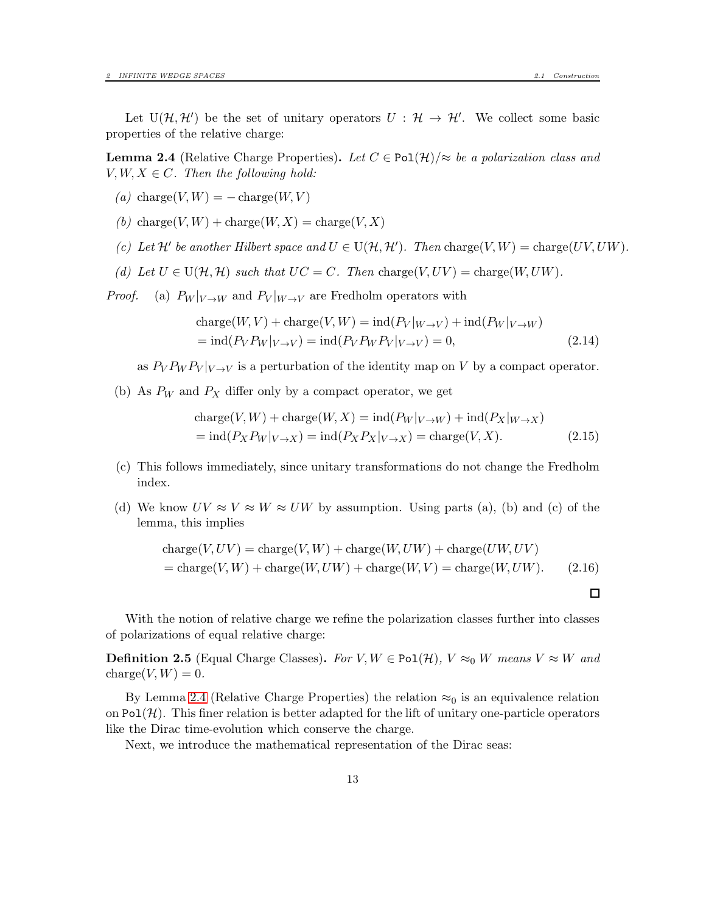<span id="page-12-0"></span>**Lemma 2.4** (Relative Charge Properties). Let  $C \in \text{Pol}(\mathcal{H})/\approx$  be a polarization class and  $V, W, X \in C$ . Then the following hold:

- (a) charge(V,  $W$ ) = charge(W, V)
- (b) charge $(V, W)$  + charge $(W, X)$  = charge $(V, X)$
- (c) Let  $\mathcal{H}'$  be another Hilbert space and  $U \in U(\mathcal{H}, \mathcal{H}')$ . Then charge $(V, W) = \text{charge}(UV, UW)$ .
- (d) Let  $U \in U(\mathcal{H}, \mathcal{H})$  such that  $UC = C$ . Then charge $(V, UV) = \text{charge}(W, UW)$ .

*Proof.* (a)  $P_W|_{V\to W}$  and  $P_V|_{W\to V}$  are Fredholm operators with

$$
\begin{aligned} \text{charge}(W, V) + \text{charge}(V, W) &= \text{ind}(P_V|_{W \to V}) + \text{ind}(P_W|_{V \to W}) \\ &= \text{ind}(P_V P_W|_{V \to V}) = \text{ind}(P_V P_W P_V|_{V \to V}) = 0, \end{aligned} \tag{2.14}
$$

as  $P_V P_W P_V |_{V \to V}$  is a perturbation of the identity map on V by a compact operator.

(b) As  $P_W$  and  $P_X$  differ only by a compact operator, we get

$$
\begin{aligned} \text{charge}(V, W) + \text{charge}(W, X) &= \text{ind}(P_W|_{V \to W}) + \text{ind}(P_X|_{W \to X}) \\ &= \text{ind}(P_X P_W|_{V \to X}) = \text{ind}(P_X P_X|_{V \to X}) = \text{charge}(V, X). \end{aligned} \tag{2.15}
$$

- (c) This follows immediately, since unitary transformations do not change the Fredholm index.
- (d) We know  $UV \approx V \approx W \approx UW$  by assumption. Using parts (a), (b) and (c) of the lemma, this implies

charge
$$
(V, UV)
$$
 = charge $(V, W)$  + charge $(W, UW)$  + charge $(UW, UV)$   
= charge $(V, W)$  + charge $(W, UW)$  + charge $(W, V)$  = charge $(W, UW)$ . (2.16)

With the notion of relative charge we refine the polarization classes further into classes of polarizations of equal relative charge:

**Definition 2.5** (Equal Charge Classes). For  $V, W \in \text{Pol}(\mathcal{H}), V \approx_0 W$  means  $V \approx W$  and charge $(V, W) = 0$ .

By Lemma [2.4](#page-12-0) (Relative Charge Properties) the relation  $\approx_0$  is an equivalence relation on  $Pol(\mathcal{H})$ . This finer relation is better adapted for the lift of unitary one-particle operators like the Dirac time-evolution which conserve the charge.

Next, we introduce the mathematical representation of the Dirac seas:

 $\Box$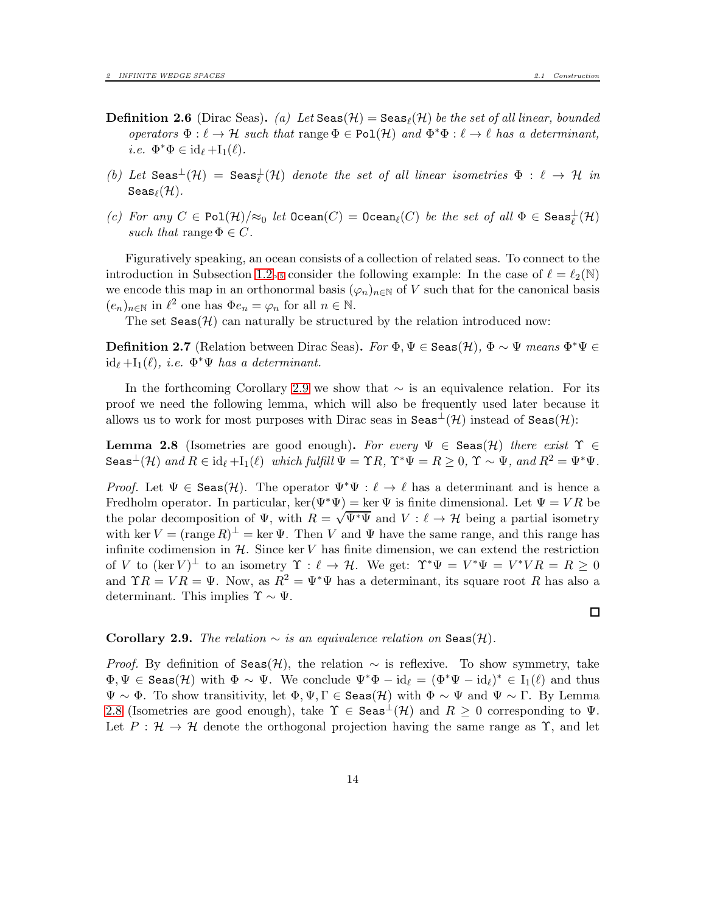$\Box$ 

- **Definition 2.6** (Dirac Seas). (a) Let  $\text{Seas}(\mathcal{H}) = \text{Seas}_{\ell}(\mathcal{H})$  be the set of all linear, bounded operators  $\Phi: \ell \to \mathcal{H}$  such that range  $\Phi \in \text{Pol}(\mathcal{H})$  and  $\Phi^* \Phi: \ell \to \ell$  has a determinant, *i.e.*  $\Phi^* \Phi \in \mathrm{id}_{\ell} + \mathrm{I}_1(\ell)$ .
- (b) Let  $\texttt{Seas}^{\perp}(\mathcal{H}) = \texttt{Seas}^{\perp}_{\ell}(\mathcal{H})$  denote the set of all linear isometries  $\Phi : \ell \to \mathcal{H}$  in  $\texttt{Seas}_{\ell}(\mathcal{H}).$
- (c) For any  $C \in \text{Pol}(\mathcal{H})/\approx_0$  let  $\text{ Ocean}(C) = \text{ Ocean}_{\ell}(C)$  be the set of all  $\Phi \in \text{Seas}_{\ell}^{\perp}(\mathcal{H})$ such that range  $\Phi \in C$ .

Figuratively speaking, an ocean consists of a collection of related seas. To connect to the introduction in Subsection [1.2](#page-4-0)p[.5](#page-4-0) consider the following example: In the case of  $\ell = \ell_2(\mathbb{N})$ we encode this map in an orthonormal basis  $(\varphi_n)_{n\in\mathbb{N}}$  of V such that for the canonical basis  $(e_n)_{n \in \mathbb{N}}$  in  $\ell^2$  one has  $\Phi e_n = \varphi_n$  for all  $n \in \mathbb{N}$ .

The set  $\text{Seas}(\mathcal{H})$  can naturally be structured by the relation introduced now:

**Definition 2.7** (Relation between Dirac Seas). For  $\Phi, \Psi \in$  Seas $(\mathcal{H}), \Phi \sim \Psi$  means  $\Phi^* \Psi \in$  $id_{\ell} + I_1(\ell), i.e. \Phi^* \Psi$  has a determinant.

In the forthcoming Corollary [2.9](#page-13-0) we show that ∼ is an equivalence relation. For its proof we need the following lemma, which will also be frequently used later because it allows us to work for most purposes with Dirac seas in Seas<sup> $\perp$ </sup>(H) instead of Seas(H):

<span id="page-13-1"></span>**Lemma 2.8** (Isometries are good enough). For every  $\Psi \in$  Seas(H) there exist  $\Upsilon \in$  $\text{Seas}^{\perp}(\mathcal{H})$  and  $R \in \text{id}_{\ell} + I_1(\ell)$  which fulfill  $\Psi = \Upsilon R$ ,  $\Upsilon^* \Psi = R \geq 0$ ,  $\Upsilon \sim \Psi$ , and  $R^2 = \Psi^* \Psi$ .

*Proof.* Let  $\Psi \in \text{Seas}(\mathcal{H})$ . The operator  $\Psi^* \Psi : \ell \to \ell$  has a determinant and is hence a Fredholm operator. In particular,  $\ker(\Psi^*\Psi) = \ker \Psi$  is finite dimensional. Let  $\Psi = VR$  be the polar decomposition of  $\Psi$ , with  $R = \sqrt{\Psi^* \Psi}$  and  $V : \ell \to \mathcal{H}$  being a partial isometry with ker  $V = (\text{range } R)^{\perp} = \text{ker } \Psi$ . Then V and  $\Psi$  have the same range, and this range has infinite codimension in  $H$ . Since ker V has finite dimension, we can extend the restriction of V to  $(\ker V)^{\perp}$  to an isometry  $\Upsilon : \ell \to \mathcal{H}$ . We get:  $\Upsilon^* \Psi = V^* \Psi = V^* V R = R \geq 0$ and  $\Upsilon R = V R = \Psi$ . Now, as  $R^2 = \Psi^* \Psi$  has a determinant, its square root R has also a determinant. This implies  $\Upsilon \sim \Psi$ .

<span id="page-13-0"></span>Corollary 2.9. The relation  $\sim$  is an equivalence relation on Seas(H).

*Proof.* By definition of Seas(H), the relation  $\sim$  is reflexive. To show symmetry, take  $\Phi, \Psi \in \text{Seas}(\mathcal{H})$  with  $\Phi \sim \Psi$ . We conclude  $\Psi^* \Phi - id_\ell = (\Phi^* \Psi - id_\ell)^* \in I_1(\ell)$  and thus  $\Psi \sim \Phi$ . To show transitivity, let  $\Phi, \Psi, \Gamma \in \text{Seas}(\mathcal{H})$  with  $\Phi \sim \Psi$  and  $\Psi \sim \Gamma$ . By Lemma [2.8](#page-13-1) (Isometries are good enough), take  $\Upsilon \in \text{Seas}^{\perp}(\mathcal{H})$  and  $R \geq 0$  corresponding to  $\Psi$ . Let  $P : \mathcal{H} \to \mathcal{H}$  denote the orthogonal projection having the same range as  $\Upsilon$ , and let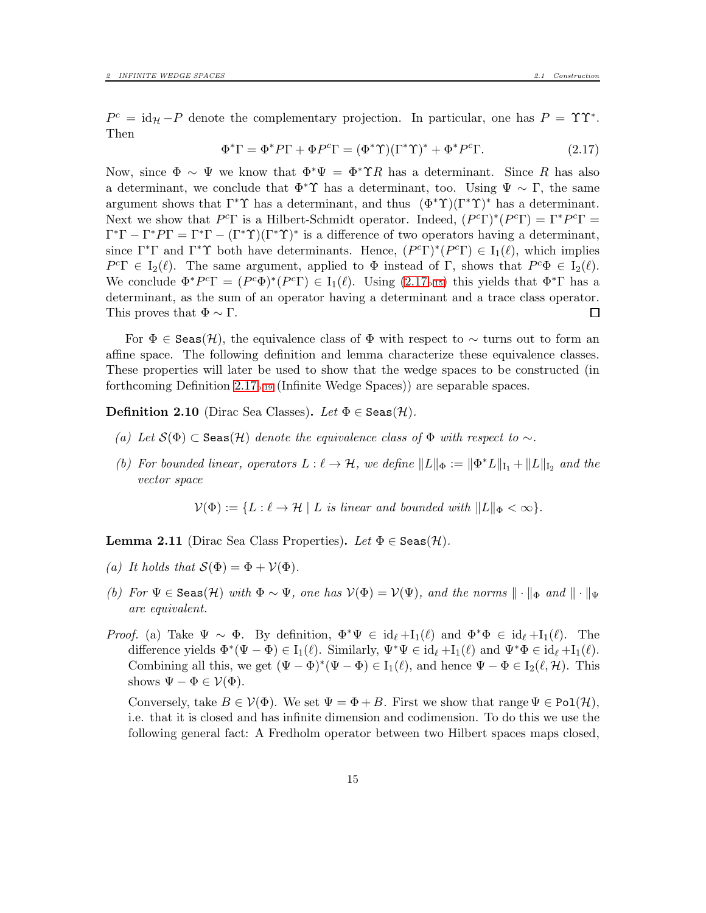$P^c = id_{\mathcal{H}} - P$  denote the complementary projection. In particular, one has  $P = \Upsilon \Upsilon^*$ . Then

<span id="page-14-0"></span>
$$
\Phi^* \Gamma = \Phi^* P \Gamma + \Phi P^c \Gamma = (\Phi^* \Upsilon)(\Gamma^* \Upsilon)^* + \Phi^* P^c \Gamma.
$$
 (2.17)

Now, since  $\Phi \sim \Psi$  we know that  $\Phi^* \Psi = \Phi^* \Upsilon R$  has a determinant. Since R has also a determinant, we conclude that  $\Phi^* \Upsilon$  has a determinant, too. Using  $\Psi \sim \Gamma$ , the same argument shows that  $\Gamma^* \Upsilon$  has a determinant, and thus  $(\Phi^* \Upsilon)(\Gamma^* \Upsilon)^*$  has a determinant. Next we show that  $P^c\Gamma$  is a Hilbert-Schmidt operator. Indeed,  $(P^c\Gamma)^*(P^c\Gamma) = \Gamma^*P^c\Gamma =$  $\Gamma^*\Gamma - \Gamma^*P\Gamma = \Gamma^*\Gamma - (\Gamma^*\Upsilon)(\Gamma^*\Upsilon)^*$  is a difference of two operators having a determinant, since  $\Gamma^* \Gamma$  and  $\Gamma^* \Upsilon$  both have determinants. Hence,  $(P^c \Gamma)^* (P^c \Gamma) \in I_1(\ell)$ , which implies  $P^c\Gamma \in I_2(\ell)$ . The same argument, applied to  $\Phi$  instead of  $\Gamma$ , shows that  $P^c\Phi \in I_2(\ell)$ . We conclude  $\Phi^*P^c\Gamma = (P^c\Phi)^*(P^c\Gamma) \in I_1(\ell)$ . Using  $(2.17_{p.15})$  $(2.17_{p.15})$  $(2.17_{p.15})$  this yields that  $\Phi^*\Gamma$  has a determinant, as the sum of an operator having a determinant and a trace class operator. This proves that  $\Phi \sim \Gamma$ .  $\Box$ 

For  $\Phi \in$  Seas(H), the equivalence class of  $\Phi$  with respect to  $\sim$  turns out to form an affine space. The following definition and lemma characterize these equivalence classes. These properties will later be used to show that the wedge spaces to be constructed (in forthcoming Definition  $2.17_{p.19}$  $2.17_{p.19}$  $2.17_{p.19}$  (Infinite Wedge Spaces)) are separable spaces.

<span id="page-14-1"></span>**Definition 2.10** (Dirac Sea Classes). Let  $\Phi \in$  Seas( $\mathcal{H}$ ).

- (a) Let  $S(\Phi) \subset$  Seas(H) denote the equivalence class of  $\Phi$  with respect to  $\sim$ .
- (b) For bounded linear, operators  $L: \ell \to \mathcal{H}$ , we define  $||L||_{\Phi} := ||\Phi^* L||_{I_1} + ||L||_{I_2}$  and the vector space

 $\mathcal{V}(\Phi) := \{ L : \ell \to \mathcal{H} \mid L \text{ is linear and bounded with } ||L||_{\Phi} < \infty \}.$ 

<span id="page-14-2"></span>**Lemma 2.11** (Dirac Sea Class Properties). Let  $\Phi \in$  Seas(H).

- (a) It holds that  $S(\Phi) = \Phi + V(\Phi)$ .
- (b) For  $\Psi \in \text{Seas}(\mathcal{H})$  with  $\Phi \sim \Psi$ , one has  $V(\Phi) = V(\Psi)$ , and the norms  $\|\cdot\|_{\Phi}$  and  $\|\cdot\|_{\Psi}$ are equivalent.
- Proof. (a) Take  $\Psi \sim \Phi$ . By definition,  $\Phi^* \Psi \in \mathrm{id}_{\ell} + I_1(\ell)$  and  $\Phi^* \Phi \in \mathrm{id}_{\ell} + I_1(\ell)$ . The difference yields  $\Phi^*(\Psi - \Phi) \in I_1(\ell)$ . Similarly,  $\Psi^*\Psi \in id_{\ell} + I_1(\ell)$  and  $\Psi^*\Phi \in id_{\ell} + I_1(\ell)$ . Combining all this, we get  $(\Psi - \Phi)^*(\Psi - \Phi) \in I_1(\ell)$ , and hence  $\Psi - \Phi \in I_2(\ell, \mathcal{H})$ . This shows  $\Psi - \Phi \in \mathcal{V}(\Phi)$ .

Conversely, take  $B \in \mathcal{V}(\Phi)$ . We set  $\Psi = \Phi + B$ . First we show that range  $\Psi \in \text{Pol}(\mathcal{H})$ , i.e. that it is closed and has infinite dimension and codimension. To do this we use the following general fact: A Fredholm operator between two Hilbert spaces maps closed,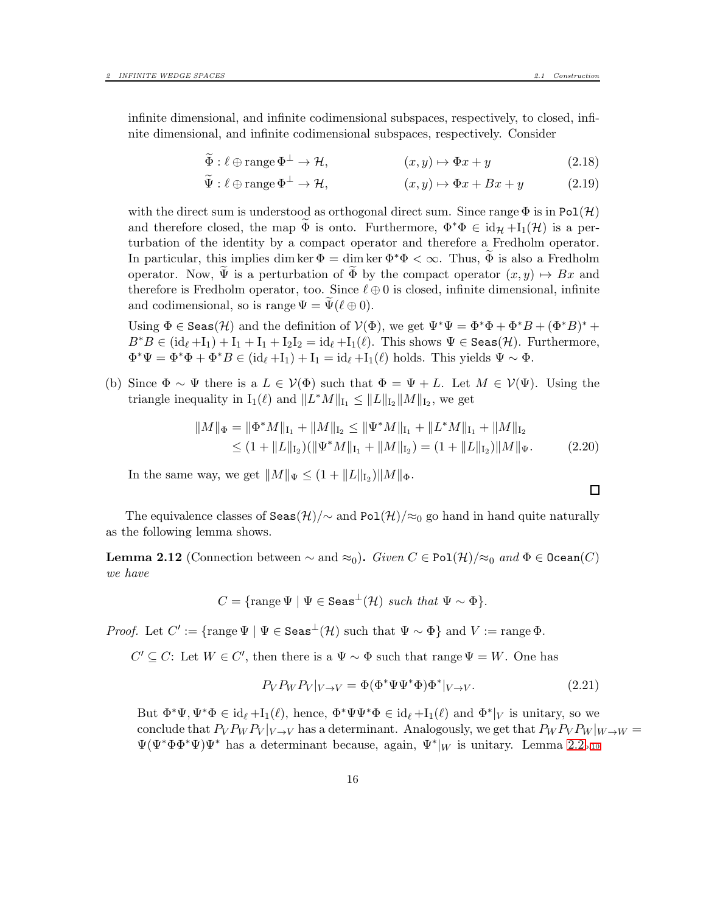infinite dimensional, and infinite codimensional subspaces, respectively, to closed, infinite dimensional, and infinite codimensional subspaces, respectively. Consider

$$
\widetilde{\Phi}: \ell \oplus \text{range } \Phi^{\perp} \to \mathcal{H}, \qquad (x, y) \mapsto \Phi x + y \qquad (2.18)
$$

$$
\widetilde{\Psi}: \ell \oplus \text{range } \Phi^{\perp} \to \mathcal{H}, \qquad (x, y) \mapsto \Phi x + Bx + y \qquad (2.19)
$$

with the direct sum is understood as orthogonal direct sum. Since range  $\Phi$  is in Pol(H) and therefore closed, the map  $\Phi$  is onto. Furthermore,  $\Phi^*\Phi \in \mathrm{id}_{\mathcal{H}} + \mathrm{I}_1(\mathcal{H})$  is a perturbation of the identity by a compact operator and therefore a Fredholm operator. In particular, this implies dim ker  $\Phi = \dim \ker \Phi^* \Phi < \infty$ . Thus,  $\Phi$  is also a Fredholm operator. Now,  $\Psi$  is a perturbation of  $\Phi$  by the compact operator  $(x, y) \mapsto Bx$  and therefore is Fredholm operator, too. Since  $\ell \oplus 0$  is closed, infinite dimensional, infinite and codimensional, so is range  $\Psi = \Psi(\ell \oplus 0)$ .

Using  $\Phi \in \text{Seas}(\mathcal{H})$  and the definition of  $\mathcal{V}(\Phi)$ , we get  $\Psi^*\Psi = \Phi^*\Phi + \Phi^*B + (\Phi^*B)^* + \Phi^*B$  $B^*B \in (\mathrm{id}_{\ell} + I_1) + I_1 + I_1 + I_2I_2 = \mathrm{id}_{\ell} + I_1(\ell)$ . This shows  $\Psi \in \text{Seas}(\mathcal{H})$ . Furthermore,  $\Phi^*\Psi = \Phi^*\Phi + \Phi^*B \in (\mathrm{id}_{\ell} + I_1) + I_1 = \mathrm{id}_{\ell} + I_1(\ell)$  holds. This yields  $\Psi \sim \Phi$ .

(b) Since  $\Phi \sim \Psi$  there is a  $L \in \mathcal{V}(\Phi)$  such that  $\Phi = \Psi + L$ . Let  $M \in \mathcal{V}(\Psi)$ . Using the triangle inequality in  $I_1(\ell)$  and  $||L^*M||_{I_1} \leq ||L||_{I_2}||M||_{I_2}$ , we get

$$
||M||_{\Phi} = ||\Phi^* M||_{I_1} + ||M||_{I_2} \le ||\Psi^* M||_{I_1} + ||L^* M||_{I_1} + ||M||_{I_2}
$$
  
\n
$$
\le (1 + ||L||_{I_2})(||\Psi^* M||_{I_1} + ||M||_{I_2}) = (1 + ||L||_{I_2})||M||_{\Psi}.
$$
 (2.20)

In the same way, we get  $||M||_{\Psi} \le (1 + ||L||_{I_2}) ||M||_{\Phi}$ .

The equivalence classes of Seas $(\mathcal{H})/\sim$  and Pol $(\mathcal{H})/\approx_0$  go hand in hand quite naturally as the following lemma shows.

<span id="page-15-0"></span>**Lemma 2.12** (Connection between  $\sim$  and  $\approx_0$ ). Given  $C \in \text{Pol}(\mathcal{H})/\approx_0$  and  $\Phi \in \text{Decan}(C)$ we have

 $C = \{ \text{range } \Psi \mid \Psi \in \text{Seas}^{\perp}(\mathcal{H}) \text{ such that } \Psi \sim \Phi \}.$ 

*Proof.* Let  $C' := \{ \text{range } \Psi \mid \Psi \in \text{Seas}^{\perp}(\mathcal{H}) \text{ such that } \Psi \sim \Phi \}$  and  $V := \text{range } \Phi$ .

 $C' \subseteq C$ : Let  $W \in C'$ , then there is a  $\Psi \sim \Phi$  such that range  $\Psi = W$ . One has

$$
P_V P_W P_V|_{V \to V} = \Phi(\Phi^* \Psi \Psi^* \Phi) \Phi^*|_{V \to V}.
$$
\n(2.21)

But  $\Phi^*\Psi, \Psi^*\Phi \in \mathrm{id}_{\ell} + I_1(\ell)$ , hence,  $\Phi^*\Psi\Psi^*\Phi \in \mathrm{id}_{\ell} + I_1(\ell)$  and  $\Phi^*|_V$  is unitary, so we conclude that  $P_V P_W P_V$   $|_{V\to V}$  has a determinant. Analogously, we get that  $P_W P_V P_W$   $|_{W\to W}$  $\Psi(\Psi^*\Phi\Phi^*\Psi)\Psi^*$  has a determinant because, again,  $\Psi^*|_W$  is unitary. Lemma [2.2](#page-9-3)<sub>p[.10](#page-9-3)</sub>

$$
\Box
$$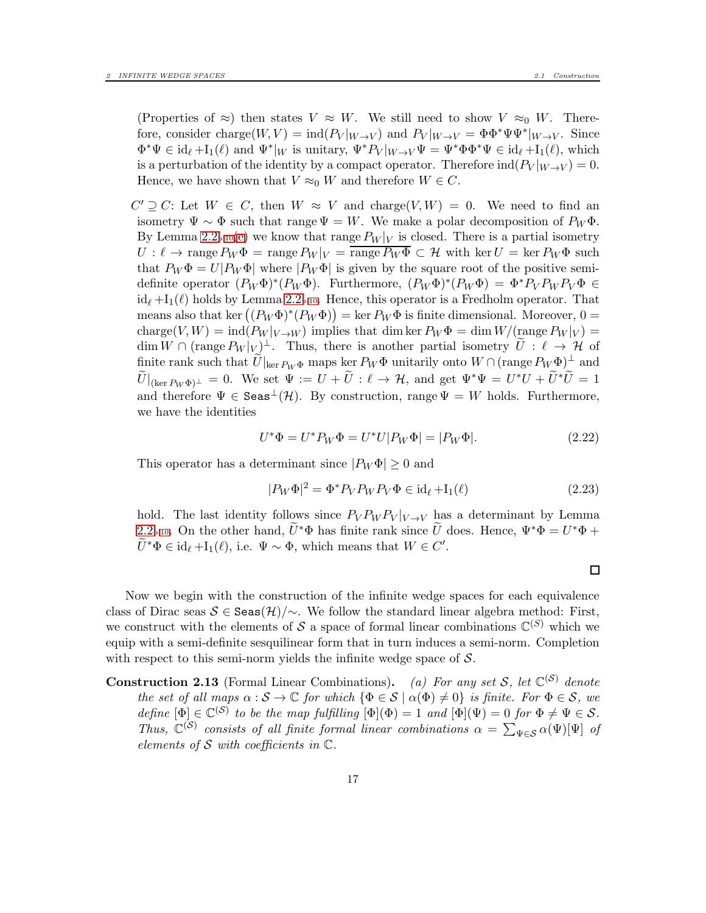(Properties of  $\approx$ ) then states  $V \approx W$ . We still need to show  $V \approx_0 W$ . Therefore, consider charge $(W, V) = \text{ind}(P_V|_{W \to V})$  and  $P_V|_{W \to V} = \Phi \Phi^* \Psi \Psi^*|_{W \to V}$ . Since  $\Phi^*\Psi \in \mathrm{id}_{\ell} + \mathrm{I}_1(\ell)$  and  $\Psi^*|_W$  is unitary,  $\Psi^*P_V|_{W \to V}\Psi = \Psi^*\Phi\Phi^*\Psi \in \mathrm{id}_{\ell} + \mathrm{I}_1(\ell)$ , which is a perturbation of the identity by a compact operator. Therefore  $\text{ind}(P_V|_{W\to V}) = 0$ . Hence, we have shown that  $V \approx_0 W$  and therefore  $W \in C$ .

 $C' \supseteq C$ : Let  $W \in C$ , then  $W \approx V$  and charge $(V, W) = 0$ . We need to find an isometry  $\Psi \sim \Phi$  such that range  $\Psi = W$ . We make a polar decomposition of  $P_W\Phi$ . By Lemma [2.2](#page-9-3)<sub>p[.10](#page-9-3)</sub>[\(e\)](#page-9-2) we know that range  $P_W|_V$  is closed. There is a partial isometry  $U: \ell \to \text{range } P_W \Phi = \text{range } P_W |_V = \overline{\text{range } P_W \Phi} \subset \mathcal{H}$  with ker  $U = \text{ker } P_W \Phi$  such that  $P_W \Phi = U | P_W \Phi |$  where  $| P_W \Phi |$  is given by the square root of the positive semidefinite operator  $(P_W \Phi)^*(P_W \Phi)$ . Furthermore,  $(P_W \Phi)^*(P_W \Phi) = \Phi^* P_V P_W P_V \Phi \in$  $id_{\ell}$  +I<sub>1</sub>( $\ell$ ) holds by Lemma [2.2](#page-9-3)<sub>p[.10](#page-9-3)</sub>. Hence, this operator is a Fredholm operator. That means also that ker  $((P_W \Phi)^*(P_W \Phi)) = \ker P_W \Phi$  is finite dimensional. Moreover, 0 = charge(V, W) = ind( $P_W$ |<sub>V →W</sub>) implies that dim ker  $P_W$  $\Phi =$  dim W/(range  $P_W$ |<sub>V</sub>) =  $\dim W \cap (\text{range } P_W|_V)^\perp$ . Thus, there is another partial isometry  $\tilde{U} : \ell \to \mathcal{H}$  of finite rank such that  $\widetilde{U}|_{\ker P_W \Phi}$  maps ker  $P_W \Phi$  unitarily onto  $W \cap (\text{range } P_W \Phi)^{\perp}$  and  $\widetilde{U}|_{(\ker P_W \Phi)^{\perp}} = 0$ . We set  $\Psi := U + \widetilde{U} : \ell \to \mathcal{H}$ , and get  $\Psi^* \Psi = U^* U + \widetilde{U}^* \widetilde{U} = 1$ and therefore  $\Psi \in \text{Seas}^{\perp}(\mathcal{H})$ . By construction, range  $\Psi = W$  holds. Furthermore, we have the identities

$$
U^*\Phi = U^*P_W\Phi = U^*U|P_W\Phi| = |P_W\Phi|.
$$
\n(2.22)

This operator has a determinant since  $|P_W \Phi| > 0$  and

$$
|P_W\Phi|^2 = \Phi^* P_V P_W P_V \Phi \in \mathrm{id}_{\ell} + \mathrm{I}_1(\ell) \tag{2.23}
$$

hold. The last identity follows since  $P_V P_W P_V |_{V \to V}$  has a determinant by Lemma [2.2](#page-9-3)<sub>p[.10](#page-9-3)</sub>. On the other hand,  $\tilde{U}^*\Phi$  has finite rank since  $\tilde{U}$  does. Hence,  $\Psi^*\Phi = U^*\Phi +$  $\widetilde{U}^*\Phi \in \mathrm{id}_{\ell} + \mathrm{I}_1(\ell)$ , i.e.  $\Psi \sim \Phi$ , which means that  $W \in C'$ .

Now we begin with the construction of the infinite wedge spaces for each equivalence class of Dirac seas  $S \in \text{Seas}(\mathcal{H})/\sim$ . We follow the standard linear algebra method: First, we construct with the elements of S a space of formal linear combinations  $\mathbb{C}^{(S)}$  which we equip with a semi-definite sesquilinear form that in turn induces a semi-norm. Completion with respect to this semi-norm yields the infinite wedge space of  $S$ .

**Construction 2.13** (Formal Linear Combinations). (a) For any set S, let  $\mathbb{C}^{(S)}$  denote the set of all maps  $\alpha : \mathcal{S} \to \mathbb{C}$  for which  $\{\Phi \in \mathcal{S} \mid \alpha(\Phi) \neq 0\}$  is finite. For  $\Phi \in \mathcal{S}$ , we define  $[\Phi] \in \mathbb{C}^{(\mathcal{S})}$  to be the map fulfilling  $[\Phi](\Phi) = 1$  and  $[\Phi](\Psi) = 0$  for  $\Phi \neq \Psi \in \mathcal{S}$ . Thus,  $\mathbb{C}^{(S)}$  consists of all finite formal linear combinations  $\alpha = \sum_{\Psi \in S} \alpha(\Psi) [\Psi]$  of elements of  $S$  with coefficients in  $\mathbb{C}$ .

 $\Box$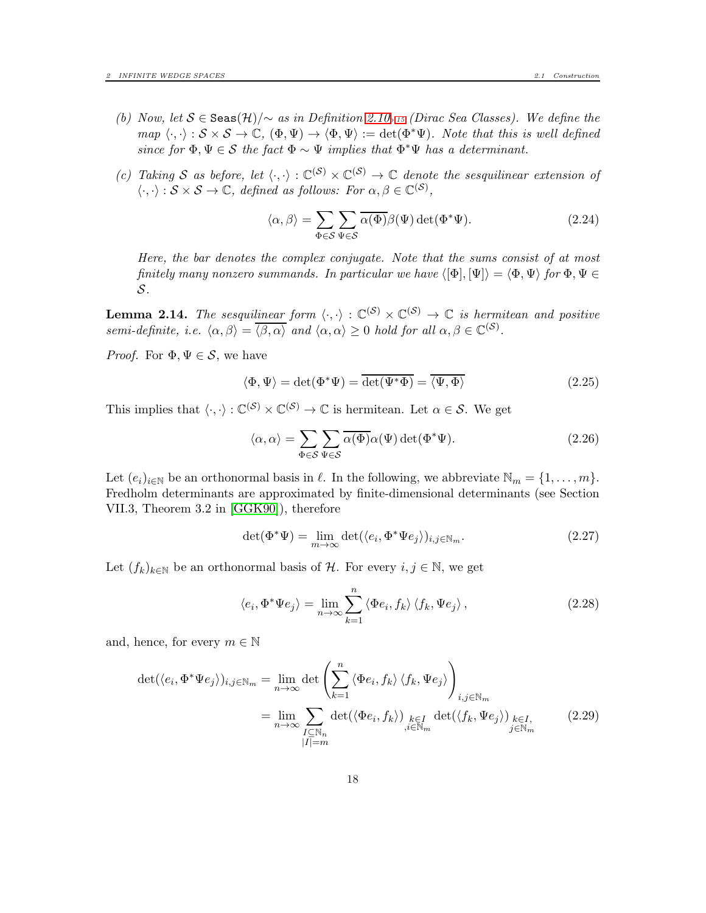- (b) Now, let S ∈ Seas(H)/<sup>∼</sup> as in Definition [2.10](#page-14-1)*p[.15](#page-14-1)* (Dirac Sea Classes). We define the  $map \langle \cdot, \cdot \rangle : \mathcal{S} \times \mathcal{S} \to \mathbb{C}, (\Phi, \Psi) \to \langle \Phi, \Psi \rangle := \det(\Phi^* \Psi)$ . Note that this is well defined since for  $\Phi, \Psi \in \mathcal{S}$  the fact  $\Phi \sim \Psi$  implies that  $\Phi^* \Psi$  has a determinant.
- (c) Taking S as before, let  $\langle \cdot, \cdot \rangle : \mathbb{C}^{(\mathcal{S})} \times \mathbb{C}^{(\mathcal{S})} \to \mathbb{C}$  denote the sesquilinear extension of  $\langle \cdot, \cdot \rangle : \mathcal{S} \times \mathcal{S} \to \mathbb{C}, \text{ defined as follows: For } \alpha, \beta \in \mathbb{C}^{(\mathcal{S})},$

$$
\langle \alpha, \beta \rangle = \sum_{\Phi \in \mathcal{S}} \sum_{\Psi \in \mathcal{S}} \overline{\alpha(\Phi)} \beta(\Psi) \det(\Phi^* \Psi). \tag{2.24}
$$

Here, the bar denotes the complex conjugate. Note that the sums consist of at most finitely many nonzero summands. In particular we have  $\langle [\Phi], [\Psi] \rangle = \langle \Phi, \Psi \rangle$  for  $\Phi, \Psi \in$ S.

**Lemma 2.14.** The sesquilinear form  $\langle \cdot, \cdot \rangle : \mathbb{C}^{(\mathcal{S})} \times \mathbb{C}^{(\mathcal{S})} \to \mathbb{C}$  is hermitean and positive semi-definite, i.e.  $\langle \alpha, \beta \rangle = \overline{\langle \beta, \alpha \rangle}$  and  $\langle \alpha, \alpha \rangle \ge 0$  hold for all  $\alpha, \beta \in \mathbb{C}^{(\mathcal{S})}$ .

*Proof.* For  $\Phi, \Psi \in \mathcal{S}$ , we have

$$
\langle \Phi, \Psi \rangle = \det(\Phi^* \Psi) = \overline{\det(\Psi^* \Phi)} = \overline{\langle \Psi, \Phi \rangle}
$$
 (2.25)

This implies that  $\langle \cdot, \cdot \rangle : \mathbb{C}^{(\mathcal{S})} \times \mathbb{C}^{(\mathcal{S})} \to \mathbb{C}$  is hermitean. Let  $\alpha \in \mathcal{S}$ . We get

<span id="page-17-0"></span>
$$
\langle \alpha, \alpha \rangle = \sum_{\Phi \in \mathcal{S}} \sum_{\Psi \in \mathcal{S}} \overline{\alpha(\Phi)} \alpha(\Psi) \det(\Phi^* \Psi). \tag{2.26}
$$

Let  $(e_i)_{i\in\mathbb{N}}$  be an orthonormal basis in  $\ell$ . In the following, we abbreviate  $\mathbb{N}_m = \{1, \ldots, m\}$ . Fredholm determinants are approximated by finite-dimensional determinants (see Section VII.3, Theorem 3.2 in [\[GGK90\]](#page-59-10)), therefore

<span id="page-17-1"></span>
$$
\det(\Phi^*\Psi) = \lim_{m \to \infty} \det(\langle e_i, \Phi^*\Psi e_j \rangle)_{i,j \in \mathbb{N}_m}.
$$
\n(2.27)

Let  $(f_k)_{k\in\mathbb{N}}$  be an orthonormal basis of H. For every  $i, j \in \mathbb{N}$ , we get

$$
\langle e_i, \Phi^* \Psi e_j \rangle = \lim_{n \to \infty} \sum_{k=1}^n \langle \Phi e_i, f_k \rangle \langle f_k, \Psi e_j \rangle, \qquad (2.28)
$$

and, hence, for every  $m \in \mathbb{N}$ 

$$
\det(\langle e_i, \Phi^* \Psi e_j \rangle)_{i,j \in \mathbb{N}_m} = \lim_{n \to \infty} \det \left( \sum_{k=1}^n \langle \Phi e_i, f_k \rangle \langle f_k, \Psi e_j \rangle \right)_{\substack{i,j \in \mathbb{N}_m \\ i,j \in \mathbb{N}_m}} \det(\langle \Phi e_i, f_k \rangle)_{\substack{k \in I \\ j \in \mathbb{N}_m}} \det(\langle f_k, \Psi e_j \rangle)_{\substack{k \in I, \\ j \in \mathbb{N}_m}} \qquad (2.29)
$$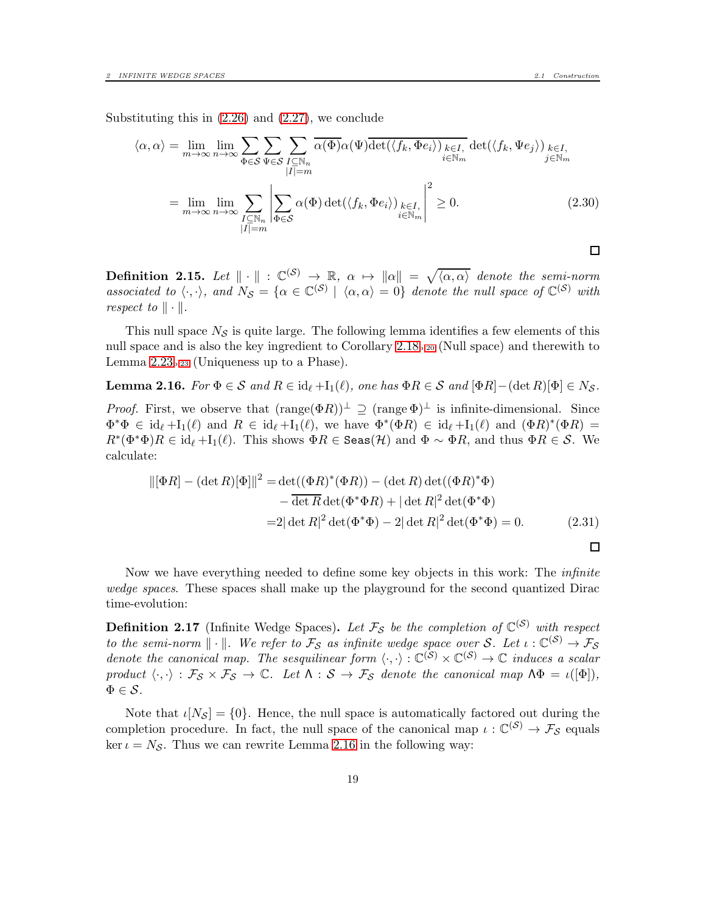$$
\langle \alpha, \alpha \rangle = \lim_{m \to \infty} \lim_{n \to \infty} \sum_{n \to \infty} \sum_{\Phi \in \mathcal{S}} \sum_{\Psi \in \mathcal{S}} \sum_{\substack{I \subseteq \mathbb{N}_n \\ |I| = m}} \overline{\alpha(\Phi)} \alpha(\Psi) \overline{\det(\langle f_k, \Phi e_i \rangle) \sum_{k \in I, \ i \in \mathbb{N}_m}} \det(\langle f_k, \Psi e_j \rangle) \sum_{j \in \mathbb{N}_m} \epsilon_{I, \Psi \in \mathcal{S}} \overline{\det(\langle f_k, \Phi e_j \rangle) \sum_{i \in \mathbb{N}_m} \sum_{j \in \mathbb{N}_m}} \sum_{|I| = m} \alpha(\Phi) \det(\langle f_k, \Phi e_i \rangle) \sum_{i \in \mathbb{N}_m} \left| \sum_{i \in \mathbb{N}_m} \alpha(\Phi) \det(\langle f_k, \Phi e_i \rangle) \sum_{i \in \mathbb{N}_m} \right|^{2} \ge 0.
$$
 (2.30)

**Definition 2.15.** Let  $\|\cdot\|$  :  $\mathbb{C}^{(S)} \to \mathbb{R}$ ,  $\alpha \mapsto \|\alpha\| = \sqrt{\langle \alpha, \alpha \rangle}$  denote the semi-norm associated to  $\langle \cdot, \cdot \rangle$ , and  $N_S = {\alpha \in \mathbb{C}^{(S)} \mid \langle \alpha, \alpha \rangle = 0}$  denote the null space of  $\mathbb{C}^{(S)}$  with respect to  $\|\cdot\|$ .

This null space  $N<sub>S</sub>$  is quite large. The following lemma identifies a few elements of this null space and is also the key ingredient to Corollary [2.18](#page-19-0)p[.20](#page-19-0) (Null space) and therewith to Lemma  $2.23<sub>p.23</sub>$  (Uniqueness up to a Phase).

<span id="page-18-1"></span>**Lemma 2.16.** For  $\Phi \in \mathcal{S}$  and  $R \in id_{\ell} + I_1(\ell)$ , one has  $\Phi R \in \mathcal{S}$  and  $[\Phi R] - (\det R)[\Phi] \in N_{\mathcal{S}}$ . *Proof.* First, we observe that  $(\text{range}(\Phi R))^{\perp} \supseteq (\text{range} \Phi)^{\perp}$  is infinite-dimensional. Since  $\Phi^*\Phi \in \mathrm{id}_{\ell} + \mathrm{I}_1(\ell)$  and  $R \in \mathrm{id}_{\ell} + \mathrm{I}_1(\ell)$ , we have  $\Phi^*(\Phi R) \in \mathrm{id}_{\ell} + \mathrm{I}_1(\ell)$  and  $(\Phi R)^*(\Phi R) =$  $R^*(\Phi^*\Phi)R \in \mathrm{id}_{\ell} + \mathrm{I}_1(\ell)$ . This shows  $\Phi R \in \mathrm{Seas}(\mathcal{H})$  and  $\Phi \sim \Phi R$ , and thus  $\Phi R \in \mathcal{S}$ . We calculate:

$$
\|[\Phi R] - (\det R)[\Phi]\|^2 = \det((\Phi R)^*(\Phi R)) - (\det R)\det((\Phi R)^*\Phi)
$$

$$
- \overline{\det R}\det(\Phi^*\Phi R) + |\det R|^2\det(\Phi^*\Phi)
$$

$$
= 2|\det R|^2\det(\Phi^*\Phi) - 2|\det R|^2\det(\Phi^*\Phi) = 0. \tag{2.31}
$$

Now we have everything needed to define some key objects in this work: The infinite wedge spaces. These spaces shall make up the playground for the second quantized Dirac time-evolution:

<span id="page-18-0"></span>**Definition 2.17** (Infinite Wedge Spaces). Let  $\mathcal{F}_{\mathcal{S}}$  be the completion of  $\mathbb{C}^{(\mathcal{S})}$  with respect to the semi-norm  $\|\cdot\|$ . We refer to  $\mathcal{F}_{\mathcal{S}}$  as infinite wedge space over  $\mathcal{S}$ . Let  $\iota: \mathbb{C}^{(\mathcal{S})} \to \mathcal{F}_{\mathcal{S}}$ denote the canonical map. The sesquilinear form  $\langle \cdot, \cdot \rangle : \mathbb{C}^{(\mathcal{S})} \times \mathbb{C}^{(\mathcal{S})} \to \mathbb{C}$  induces a scalar product  $\langle \cdot, \cdot \rangle : \mathcal{F}_{\mathcal{S}} \times \mathcal{F}_{\mathcal{S}} \to \mathbb{C}$ . Let  $\Lambda : \mathcal{S} \to \mathcal{F}_{\mathcal{S}}$  denote the canonical map  $\Lambda \Phi = \iota([\Phi]),$  $\Phi \in \mathcal{S}.$ 

Note that  $\iota[N_{\mathcal{S}}] = \{0\}$ . Hence, the null space is automatically factored out during the completion procedure. In fact, the null space of the canonical map  $\iota : \mathbb{C}^{(S)} \to \mathcal{F}_{S}$  equals ker  $\iota = N_{\mathcal{S}}$ . Thus we can rewrite Lemma [2.16](#page-18-1) in the following way:

 $\Box$ 

 $\Box$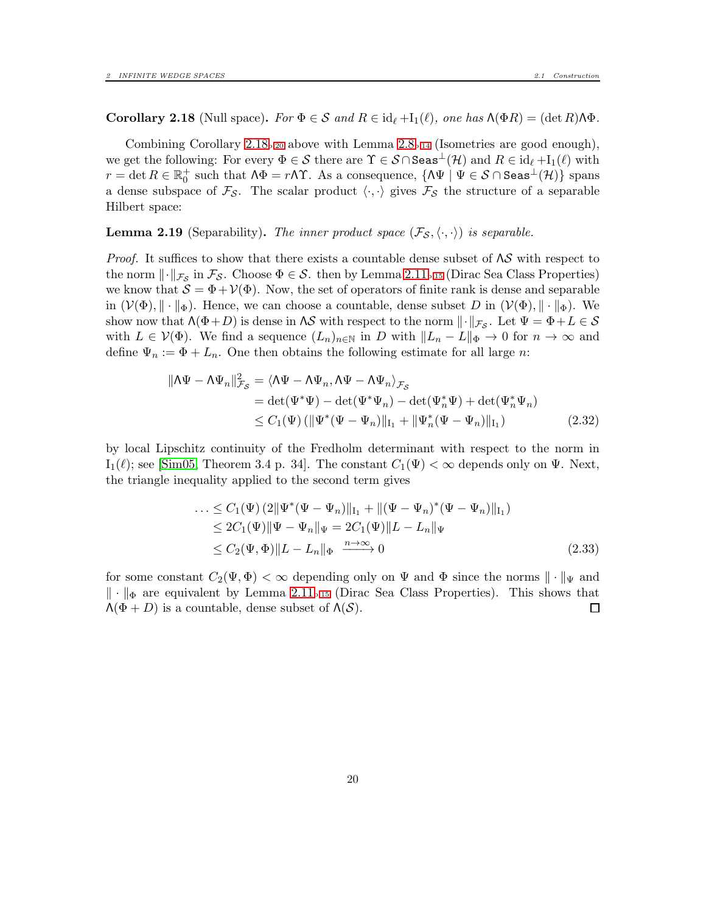<span id="page-19-0"></span>**Corollary 2.18** (Null space). For  $\Phi \in \mathcal{S}$  and  $R \in id_{\ell} + I_1(\ell)$ , one has  $\Lambda(\Phi R) = (\det R) \Lambda \Phi$ .

Combining Corollary  $2.18_{p.20}$  $2.18_{p.20}$  $2.18_{p.20}$  above with Lemma  $2.8_{p.14}$  $2.8_{p.14}$  $2.8_{p.14}$  (Isometries are good enough), we get the following: For every  $\Phi \in \mathcal{S}$  there are  $\Upsilon \in \mathcal{S} \cap \mathsf{Seas}^{\perp}(\mathcal{H})$  and  $R \in id_{\ell} + I_1(\ell)$  with  $r=\det R\in\mathbb{R}_{0}^{+}$  such that  $\Lambda\Phi=r\Lambda\Upsilon$ . As a consequence,  $\{\Lambda\Psi\mid\Psi\in\mathcal{S}\cap\mathtt{Seas}^{\bot}(\mathcal{H})\}$  spans a dense subspace of  $\mathcal{F}_{\mathcal{S}}$ . The scalar product  $\langle \cdot, \cdot \rangle$  gives  $\mathcal{F}_{\mathcal{S}}$  the structure of a separable Hilbert space:

<span id="page-19-1"></span>**Lemma 2.19** (Separability). The inner product space  $(\mathcal{F}_{\mathcal{S}}, \langle \cdot, \cdot \rangle)$  is separable.

*Proof.* It suffices to show that there exists a countable dense subset of  $\Lambda S$  with respect to the norm  $\lVert \cdot \rVert_{\mathcal{F}_{\mathcal{S}}}$  in  $\mathcal{F}_{\mathcal{S}}$ . Choose  $\Phi \in \mathcal{S}$ . then by Lemma [2.11](#page-14-2)<sub>p[.15](#page-14-2)</sub> (Dirac Sea Class Properties) we know that  $S = \Phi + \mathcal{V}(\Phi)$ . Now, the set of operators of finite rank is dense and separable in  $(\mathcal{V}(\Phi), \|\cdot\|_{\Phi})$ . Hence, we can choose a countable, dense subset D in  $(\mathcal{V}(\Phi), \|\cdot\|_{\Phi})$ . We show now that  $\Lambda(\Phi+D)$  is dense in  $\Lambda S$  with respect to the norm  $\|\cdot\|_{\mathcal{F}_{\mathcal{S}}}$ . Let  $\Psi = \Phi + L \in \mathcal{S}$ with  $L \in \mathcal{V}(\Phi)$ . We find a sequence  $(L_n)_{n \in \mathbb{N}}$  in D with  $||L_n - L||_{\Phi} \to 0$  for  $n \to \infty$  and define  $\Psi_n := \Phi + L_n$ . One then obtains the following estimate for all large n:

$$
\|\Lambda\Psi - \Lambda\Psi_n\|_{\mathcal{F}_{\mathcal{S}}}^2 = \langle \Lambda\Psi - \Lambda\Psi_n, \Lambda\Psi - \Lambda\Psi_n \rangle_{\mathcal{F}_{\mathcal{S}}} \n= \det(\Psi^*\Psi) - \det(\Psi^*\Psi_n) - \det(\Psi^*_n\Psi) + \det(\Psi^*_n\Psi_n) \n\le C_1(\Psi) \left( \|\Psi^*(\Psi - \Psi_n)\|_{\mathcal{I}_1} + \|\Psi^*_n(\Psi - \Psi_n)\|_{\mathcal{I}_1} \right)
$$
\n(2.32)

by local Lipschitz continuity of the Fredholm determinant with respect to the norm in  $I_1(\ell)$ ; see [\[Sim05,](#page-59-11) Theorem 3.4 p. 34]. The constant  $C_1(\Psi) < \infty$  depends only on  $\Psi$ . Next, the triangle inequality applied to the second term gives

$$
\dots \leq C_1(\Psi) (2 \|\Psi^*(\Psi - \Psi_n)\|_{\mathcal{I}_1} + \|(\Psi - \Psi_n)^*(\Psi - \Psi_n)\|_{\mathcal{I}_1})
$$
  
\n
$$
\leq 2C_1(\Psi) \|\Psi - \Psi_n\|_{\Psi} = 2C_1(\Psi) \|L - L_n\|_{\Psi}
$$
  
\n
$$
\leq C_2(\Psi, \Phi) \|L - L_n\|_{\Phi} \xrightarrow{n \to \infty} 0
$$
\n(2.33)

for some constant  $C_2(\Psi, \Phi) < \infty$  depending only on  $\Psi$  and  $\Phi$  since the norms  $\|\cdot\|_{\Psi}$  and  $\|\cdot\|_{\Phi}$  are equivalent by Lemma [2.11](#page-14-2)<sub>p[.15](#page-14-2)</sub> (Dirac Sea Class Properties). This shows that  $\Lambda(\Phi+D)$  is a countable, dense subset of  $\Lambda(S)$ .  $\Lambda(\Phi+D)$  is a countable, dense subset of  $\Lambda(\mathcal{S})$ .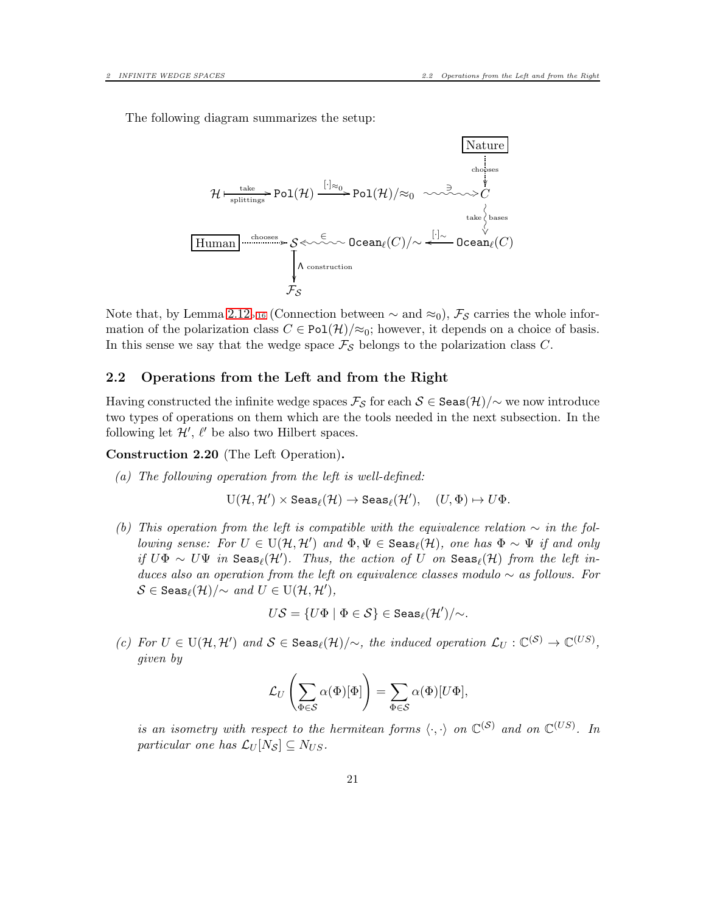The following diagram summarizes the setup:



Note that, by Lemma [2.12](#page-15-0)<sub>p[.16](#page-15-0)</sub> (Connection between  $\sim$  and  $\approx_0$ ),  $\mathcal{F}_{\mathcal{S}}$  carries the whole information of the polarization class  $C \in \text{Pol}(\mathcal{H})/\approx_0$ ; however, it depends on a choice of basis. In this sense we say that the wedge space  $\mathcal{F}_{\mathcal{S}}$  belongs to the polarization class C.

#### <span id="page-20-0"></span>2.2 Operations from the Left and from the Right

Having constructed the infinite wedge spaces  $\mathcal{F}_{\mathcal{S}}$  for each  $\mathcal{S} \in$  Seas $(\mathcal{H})/\sim$  we now introduce two types of operations on them which are the tools needed in the next subsection. In the following let  $\mathcal{H}', \ell'$  be also two Hilbert spaces.

<span id="page-20-1"></span>Construction 2.20 (The Left Operation).

(a) The following operation from the left is well-defined:

$$
\mathrm{U}(\mathcal{H},\mathcal{H}')\times \mathrm{Seas}_\ell(\mathcal{H})\to \mathrm{Seas}_\ell(\mathcal{H}'),\quad (U,\Phi)\mapsto U\Phi.
$$

(b) This operation from the left is compatible with the equivalence relation  $\sim$  in the following sense: For  $U \in U(\mathcal{H}, \mathcal{H}')$  and  $\Phi, \Psi \in \texttt{Seas}_{\ell}(\mathcal{H})$ , one has  $\Phi \sim \Psi$  if and only if  $U\Phi \sim U\Psi$  in  $\texttt{Seas}_{\ell}(\mathcal{H}')$ . Thus, the action of U on  $\texttt{Seas}_{\ell}(\mathcal{H})$  from the left induces also an operation from the left on equivalence classes modulo  $\sim$  as follows. For  $\mathcal{S} \in \texttt{Seas}_{\ell}(\mathcal{H})/{\sim} \textit{ and } U \in \text{U}(\mathcal{H},\mathcal{H}'),$ 

$$
U{\cal S}=\{U\Phi\mid \Phi\in {\cal S}\}\in {\tt Seas}_\ell({\cal H}')/\!\!\sim.
$$

(c) For  $U \in U(H, H')$  and  $S \in \text{Seas}_{\ell}(\mathcal{H})/\sim$ , the induced operation  $\mathcal{L}_U : \mathbb{C}^{(S)} \to \mathbb{C}^{(US)}$ , given by

$$
\mathcal{L}_U\left(\sum_{\Phi \in \mathcal{S}} \alpha(\Phi)[\Phi]\right) = \sum_{\Phi \in \mathcal{S}} \alpha(\Phi)[U\Phi],
$$

is an isometry with respect to the hermitean forms  $\langle \cdot, \cdot \rangle$  on  $\mathbb{C}^{(S)}$  and on  $\mathbb{C}^{(US)}$ . In particular one has  $\mathcal{L}_U[N_{\mathcal{S}}] \subseteq N_{US}$ .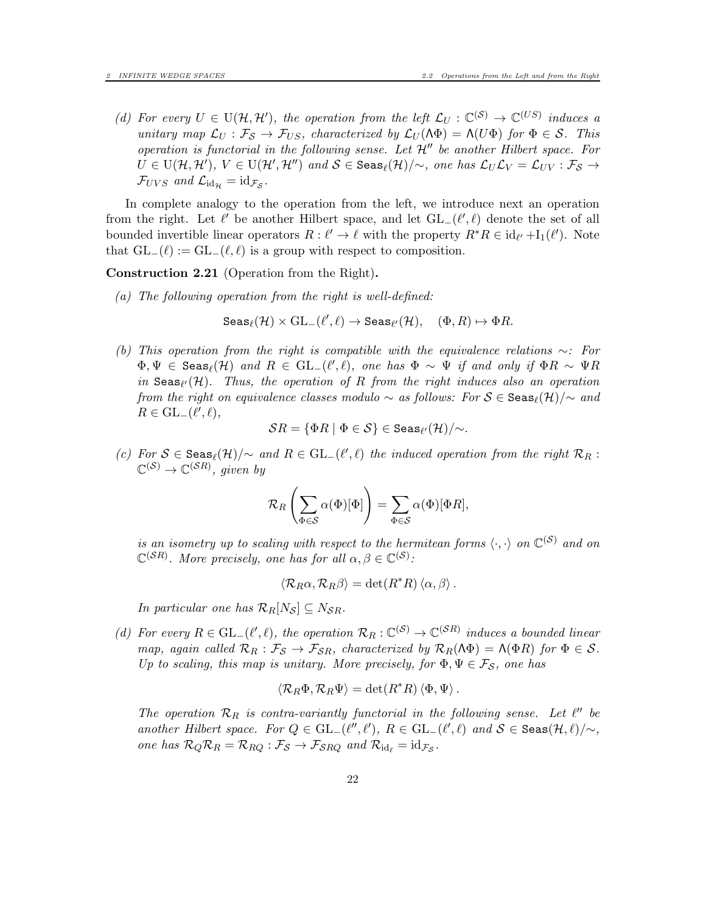(d) For every  $U \in U(H, H')$ , the operation from the left  $\mathcal{L}_U : \mathbb{C}^{(\mathcal{S})} \to \mathbb{C}^{(US)}$  induces a unitary map  $\mathcal{L}_U : \mathcal{F}_S \to \mathcal{F}_{US}$ , characterized by  $\mathcal{L}_U(\Lambda \Phi) = \Lambda(U\Phi)$  for  $\Phi \in S$ . This operation is functorial in the following sense. Let  $\mathcal{H}''$  be another Hilbert space. For  $U \in U(H, H'), V \in U(H', H'')$  and  $S \in \texttt{Seas}_{\ell}(H)/\sim$ , one has  $\mathcal{L}_U \mathcal{L}_V = \mathcal{L}_{UV} : \mathcal{F}_S \rightarrow$  $\mathcal{F}_{UVS}$  and  $\mathcal{L}_{\mathrm{id}_{\mathcal{H}}} = \mathrm{id}_{\mathcal{F}_{\mathcal{S}}}$ .

In complete analogy to the operation from the left, we introduce next an operation from the right. Let  $\ell'$  be another Hilbert space, and let  $GL_{-}(\ell',\ell)$  denote the set of all bounded invertible linear operators  $R: \ell' \to \ell$  with the property  $R^*R \in id_{\ell'} + I_1(\ell')$ . Note that  $GL_-(\ell) := GL_-(\ell, \ell)$  is a group with respect to composition.

#### <span id="page-21-0"></span>Construction 2.21 (Operation from the Right).

(a) The following operation from the right is well-defined:

$$
\mathrm{Seas}_\ell(\mathcal{H}) \times \mathrm{GL}_-(\ell',\ell) \to \mathrm{Seas}_{\ell'}(\mathcal{H}), \quad (\Phi,R) \mapsto \Phi R.
$$

(b) This operation from the right is compatible with the equivalence relations ∼: For  $\Phi, \Psi \in \text{Seas}_{\ell}(\mathcal{H})$  and  $R \in GL_{\ell}(\ell', \ell)$ , one has  $\Phi \sim \Psi$  if and only if  $\Phi R \sim \Psi R$ in  $\texttt{Seas}_{\ell'}(\mathcal{H})$ . Thus, the operation of R from the right induces also an operation from the right on equivalence classes modulo  $\sim$  as follows: For  $S \in \text{Seas}_{\ell}(\mathcal{H})/\sim$  and  $R \in GL_-(\ell',\ell),$ 

$$
\mathcal{S}R = \{ \Phi R \mid \Phi \in \mathcal{S} \} \in \texttt{Seas}_{\ell'}(\mathcal{H})/{\sim}.
$$

(c) For  $S \in \text{Seas}_{\ell}(\mathcal{H})/\sim$  and  $R \in GL_{\ell}(\ell', \ell)$  the induced operation from the right  $\mathcal{R}_R$ :  $\mathbb{C}^{(\mathcal{S})} \to \mathbb{C}^{(\mathcal{S}R)}$ , given by

$$
\mathcal{R}_R\left(\sum_{\Phi \in \mathcal{S}} \alpha(\Phi)[\Phi]\right) = \sum_{\Phi \in \mathcal{S}} \alpha(\Phi)[\Phi R],
$$

is an isometry up to scaling with respect to the hermitean forms  $\langle \cdot, \cdot \rangle$  on  $\mathbb{C}^{(S)}$  and on  $\mathbb{C}^{(\mathcal{S}R)}$ . More precisely, one has for all  $\alpha, \beta \in \mathbb{C}^{(\mathcal{S})}$ :

$$
\langle \mathcal{R}_R \alpha, \mathcal{R}_R \beta \rangle = \det(R^*R) \langle \alpha, \beta \rangle.
$$

In particular one has  $\mathcal{R}_R[N_{\mathcal{S}}] \subseteq N_{\mathcal{S}R}$ .

(d) For every  $R \in GL_{-}(\ell', \ell)$ , the operation  $\mathcal{R}_R : \mathbb{C}^{(S)} \to \mathbb{C}^{(SR)}$  induces a bounded linear map, again called  $\mathcal{R}_R : \mathcal{F}_S \to \mathcal{F}_{SR}$ , characterized by  $\mathcal{R}_R(\Lambda \Phi) = \Lambda(\Phi R)$  for  $\Phi \in \mathcal{S}$ . Up to scaling, this map is unitary. More precisely, for  $\Phi, \Psi \in \mathcal{F}_{\mathcal{S}}$ , one has

$$
\langle \mathcal{R}_R \Phi, \mathcal{R}_R \Psi \rangle = \det(R^* R) \langle \Phi, \Psi \rangle.
$$

The operation  $\mathcal{R}_R$  is contra-variantly functorial in the following sense. Let  $\ell''$  be another Hilbert space. For  $Q \in GL_{-}(\ell'', \ell'), R \in GL_{-}(\ell', \ell)$  and  $S \in \text{Seas}(\mathcal{H}, \ell)/\sim$ , one has  $\mathcal{R}_Q \mathcal{R}_R = \mathcal{R}_{RQ} : \mathcal{F}_{S} \to \mathcal{F}_{SRQ}$  and  $\mathcal{R}_{\mathrm{id}_{\ell}} = \mathrm{id}_{\mathcal{F}_{S}}$ .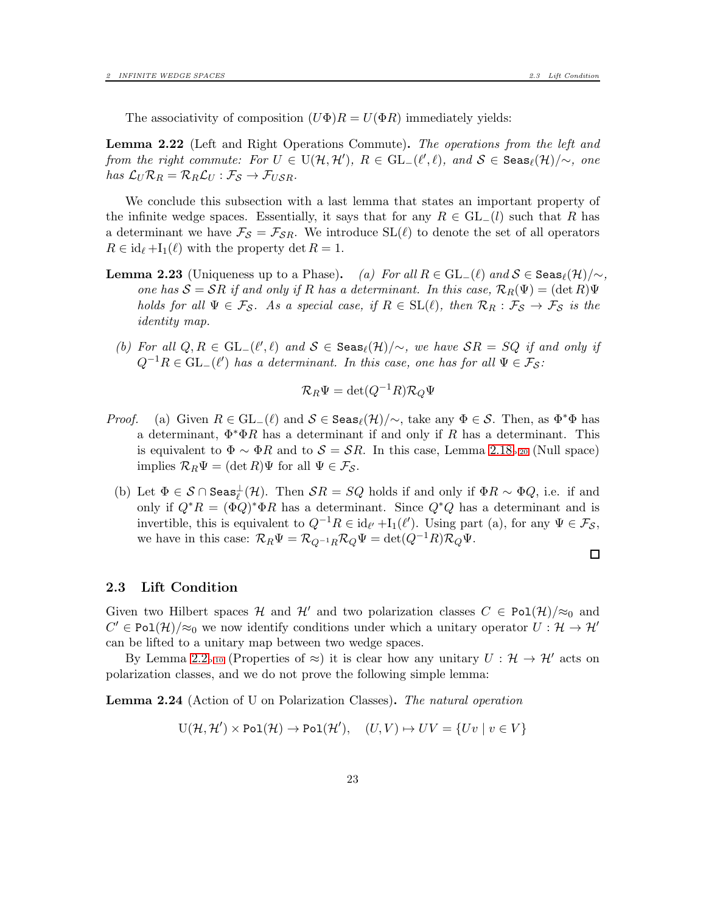The associativity of composition  $(U\Phi)R = U(\Phi R)$  immediately yields:

Lemma 2.22 (Left and Right Operations Commute). The operations from the left and from the right commute: For  $U \in U(H, H')$ ,  $R \in GL_{-}(\ell', \ell)$ , and  $S \in \text{Seas}_{\ell}(\mathcal{H})/\sim$ , one has  $\mathcal{L}_U \mathcal{R}_R = \mathcal{R}_R \mathcal{L}_U : \mathcal{F}_S \to \mathcal{F}_{USR}$ .

We conclude this subsection with a last lemma that states an important property of the infinite wedge spaces. Essentially, it says that for any  $R \in GL_1(l)$  such that R has a determinant we have  $\mathcal{F}_{\mathcal{S}} = \mathcal{F}_{\mathcal{S}R}$ . We introduce  $SL(\ell)$  to denote the set of all operators  $R \in id_{\ell} + I_1(\ell)$  with the property det  $R = 1$ .

- **Lemma 2.23** (Uniqueness up to a Phase). (a) For all  $R \in GL_(\ell)$  and  $S \in \text{Seas}_{\ell}(\mathcal{H})/\sim$ , one has  $S = SR$  if and only if R has a determinant. In this case,  $\mathcal{R}_R(\Psi) = (\det R)\Psi$ holds for all  $\Psi \in \mathcal{F}_{\mathcal{S}}$ . As a special case, if  $R \in SL(\ell)$ , then  $\mathcal{R}_R : \mathcal{F}_{\mathcal{S}} \to \mathcal{F}_{\mathcal{S}}$  is the identity map.
	- (b) For all  $Q, R \in GL_+(\ell', \ell)$  and  $S \in \text{Seas}_{\ell}(\mathcal{H})/\sim$ , we have  $SR = SQ$  if and only if  $Q^{-1}R \in GL_-(\ell')$  has a determinant. In this case, one has for all  $\Psi \in \mathcal{F}_{\mathcal{S}}$ :

$$
\mathcal{R}_R \Psi = \det(Q^{-1}R)\mathcal{R}_Q \Psi
$$

- *Proof.* (a) Given  $R \in GL_-(\ell)$  and  $S \in \text{Seas}_{\ell}(\mathcal{H})/\sim$ , take any  $\Phi \in S$ . Then, as  $\Phi^*\Phi$  has a determinant,  $\Phi^*\Phi R$  has a determinant if and only if R has a determinant. This is equivalent to  $\Phi \sim \Phi R$  and to  $S = SR$ . In this case, Lemma [2.18](#page-19-0)<sub>p[.20](#page-19-0)</sub> (Null space) implies  $\mathcal{R}_R \Psi = (\det R) \Psi$  for all  $\Psi \in \mathcal{F}_{\mathcal{S}}$ .
	- (b) Let  $\Phi \in \mathcal{S} \cap \text{Seas}_{\ell}^{\perp}(\mathcal{H})$ . Then  $\mathcal{S}R = SQ$  holds if and only if  $\Phi R \sim \Phi Q$ , i.e. if and only if  $Q^*R = (\Phi Q)^*\Phi R$  has a determinant. Since  $Q^*Q$  has a determinant and is invertible, this is equivalent to  $Q^{-1}R \in id_{\ell'} + I_1(\ell')$ . Using part (a), for any  $\Psi \in \mathcal{F}_{\mathcal{S}}$ , we have in this case:  $\mathcal{R}_R \Psi = \mathcal{R}_{Q^{-1}R} \mathcal{R}_Q \Psi = \det(Q^{-1}R) \mathcal{R}_Q \Psi$ .

#### $\Box$

#### <span id="page-22-0"></span>2.3 Lift Condition

Given two Hilbert spaces H and H' and two polarization classes  $C \in \text{Pol}(\mathcal{H})/\approx_0$  and  $C' \in \text{Pol}(\mathcal{H})/\approx_0$  we now identify conditions under which a unitary operator  $U: \mathcal{H} \to \mathcal{H}'$ can be lifted to a unitary map between two wedge spaces.

By Lemma [2.2](#page-9-3)<sub>p[.10](#page-9-3)</sub> (Properties of  $\approx$ ) it is clear how any unitary  $U : \mathcal{H} \to \mathcal{H}'$  acts on polarization classes, and we do not prove the following simple lemma:

Lemma 2.24 (Action of U on Polarization Classes). The natural operation

$$
U(\mathcal{H}, \mathcal{H}') \times \text{Pol}(\mathcal{H}) \to \text{Pol}(\mathcal{H}'), \quad (U, V) \mapsto UV = \{Uv \mid v \in V\}
$$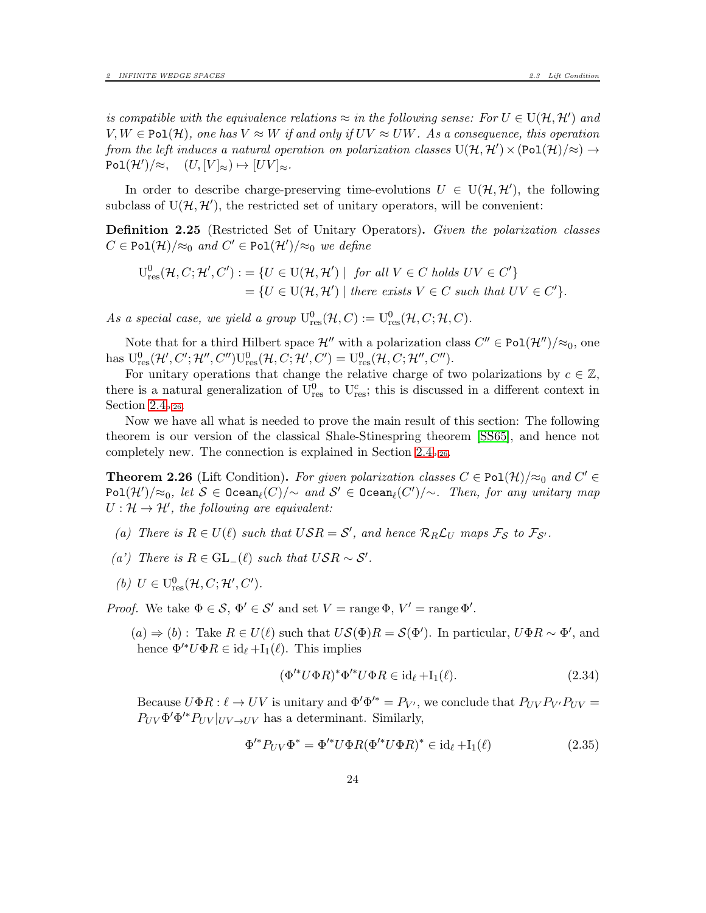is compatible with the equivalence relations  $\approx$  in the following sense: For  $U \in U(H, H')$  and  $V, W \in \text{Pol}(\mathcal{H})$ , one has  $V \approx W$  if and only if  $UV \approx UW$ . As a consequence, this operation from the left induces a natural operation on polarization classes  $U(\mathcal{H}, \mathcal{H}') \times (Pol(\mathcal{H})/\approx) \rightarrow$  $Pol(\mathcal{H}')/\approx, \quad (U, [V]_{\approx}) \mapsto [UV]_{\approx}.$ 

In order to describe charge-preserving time-evolutions  $U \in U(H, H')$ , the following subclass of  $U(\mathcal{H}, \mathcal{H}')$ , the restricted set of unitary operators, will be convenient:

<span id="page-23-1"></span>**Definition 2.25** (Restricted Set of Unitary Operators). Given the polarization classes  $C \in \text{Pol}(\mathcal{H})/\approx_0 \text{ and } C' \in \text{Pol}(\mathcal{H}')/\approx_0 \text{ we define}$ 

$$
U_{res}^{0}(\mathcal{H}, C; \mathcal{H}', C') := \{ U \in U(\mathcal{H}, \mathcal{H}') \mid \text{ for all } V \in C \text{ holds } UV \in C' \}
$$
  
=  $\{ U \in U(\mathcal{H}, \mathcal{H}') \mid \text{there exists } V \in C \text{ such that } UV \in C' \}.$ 

As a special case, we yield a group  $U^0_{res}(\mathcal{H}, C) := U^0_{res}(\mathcal{H}, C; \mathcal{H}, C)$ .

Note that for a third Hilbert space  $\mathcal{H}''$  with a polarization class  $C'' \in \text{Pol}(\mathcal{H}'')/\approx_0$ , one has  $U_{res}^0(\mathcal{H}', C'; \mathcal{H}'', C'')U_{res}^0(\mathcal{H}, C; \mathcal{H}', C') = U_{res}^0(\mathcal{H}, C; \mathcal{H}'', C'').$ 

For unitary operations that change the relative charge of two polarizations by  $c \in \mathbb{Z}$ , there is a natural generalization of  $U_{res}^0$  to  $U_{res}^c$ ; this is discussed in a different context in Section [2.4](#page-25-0)<sub>p[.26](#page-25-0)</sub>.

Now we have all what is needed to prove the main result of this section: The following theorem is our version of the classical Shale-Stinespring theorem [\[SS65\]](#page-59-0), and hence not completely new. The connection is explained in Section [2.4](#page-25-0)p[.26](#page-25-0).

<span id="page-23-0"></span>**Theorem 2.26** (Lift Condition). For given polarization classes  $C \in \text{Pol}(\mathcal{H})/\approx_0$  and  $C' \in$  ${\tt Pol}({\cal H}')/\!\!\approx_0, \, let \; {\cal S} \in {\tt Ocean}_{\ell}(C)/\!\!\sim \; and \; {\cal S}' \in {\tt Ocean}_{\ell}(C')/\!\!\sim \dots$  Then, for any unitary map  $U: \mathcal{H} \to \mathcal{H}'$ , the following are equivalent:

- (a) There is  $R \in U(\ell)$  such that  $USR = S'$ , and hence  $\mathcal{R}_R \mathcal{L}_U$  maps  $\mathcal{F}_S$  to  $\mathcal{F}_{S'}$ .
- (a') There is  $R \in GL_+(\ell)$  such that  $USR \sim S'$ .
- (b)  $U \in U_{\text{res}}^0(\mathcal{H}, C; \mathcal{H}', C').$

*Proof.* We take  $\Phi \in \mathcal{S}, \, \Phi' \in \mathcal{S}'$  and set  $V = \text{range } \Phi, V' = \text{range } \Phi'.$ 

 $(a) \Rightarrow (b)$ : Take  $R \in U(\ell)$  such that  $US(\Phi)R = S(\Phi')$ . In particular,  $U\Phi R \sim \Phi'$ , and hence  $\Phi'^* U \Phi R \in \mathrm{id}_{\ell} + \mathrm{I}_1(\ell)$ . This implies

$$
(\Phi'^* U \Phi R)^* \Phi'^* U \Phi R \in \mathrm{id}_{\ell} + \mathrm{I}_1(\ell). \tag{2.34}
$$

Because  $U\Phi R: \ell \to UV$  is unitary and  $\Phi'\Phi'^* = P_{V'}$ , we conclude that  $P_{UV}P_{V'}P_{UV} =$  $P_{UV}\Phi'\Phi'^*P_{UV}|_{UV\to UV}$  has a determinant. Similarly,

$$
\Phi'^* P_{UV} \Phi^* = \Phi'^* U \Phi R (\Phi'^* U \Phi R)^* \in \mathrm{id}_{\ell} + I_1(\ell) \tag{2.35}
$$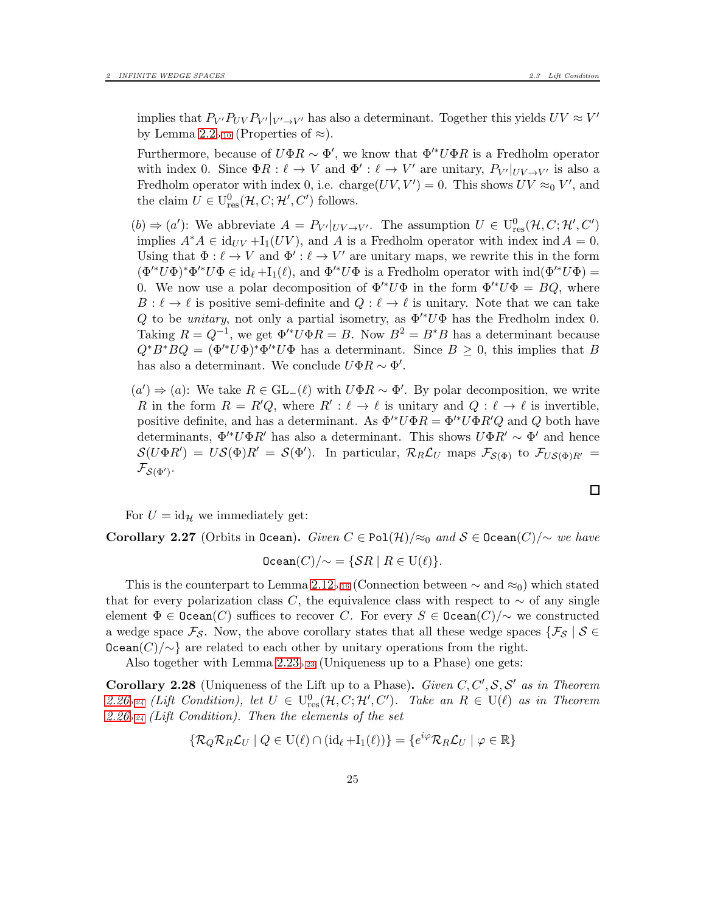implies that  $P_{V'}P_{UV}P_{V'}|_{V' \to V'}$  has also a determinant. Together this yields  $UV \approx V'$ by Lemma [2.2](#page-9-3)<sub>p[.10](#page-9-3)</sub> (Properties of  $\approx$ ).

Furthermore, because of  $U\Phi R \sim \Phi'$ , we know that  $\Phi'^* U\Phi R$  is a Fredholm operator with index 0. Since  $\Phi R: \ell \to V$  and  $\Phi': \ell \to V'$  are unitary,  $P_{V'}|_{UV \to V'}$  is also a Fredholm operator with index 0, i.e. charge $(UV, V') = 0$ . This shows  $UV \approx_0 V'$ , and the claim  $U \in U^0_{res}(\mathcal{H}, C; \mathcal{H}', C')$  follows.

 $(b) \Rightarrow (a')$ : We abbreviate  $A = P_{V'}|_{UV \to V'}$ . The assumption  $U \in U_{res}^{0}(\mathcal{H}, C; \mathcal{H}', C')$ implies  $A^*A \in id_{UV} + I_1(UV)$ , and A is a Fredholm operator with index ind  $A = 0$ . Using that  $\Phi: \ell \to V$  and  $\Phi': \ell \to V'$  are unitary maps, we rewrite this in the form  $(\Phi^* U \Phi)^* \Phi^* U \Phi \in \mathrm{id}_{\ell} + \mathrm{I}_1(\ell)$ , and  $\Phi^* U \Phi$  is a Fredholm operator with  $\mathrm{ind}(\Phi^* U \Phi) =$ 0. We now use a polar decomposition of  $\Phi'^* U \Phi$  in the form  $\Phi'^* U \Phi = BQ$ , where  $B: \ell \to \ell$  is positive semi-definite and  $Q: \ell \to \ell$  is unitary. Note that we can take Q to be *unitary*, not only a partial isometry, as  $\Phi^*U\Phi$  has the Fredholm index 0. Taking  $R = Q^{-1}$ , we get  $\Phi'^* U \Phi R = B$ . Now  $B^2 = B^* B$  has a determinant because  $Q^*B^*BQ = (\Phi'^*U\Phi)^*\Phi'^*U\Phi$  has a determinant. Since  $B \geq 0$ , this implies that B has also a determinant. We conclude  $U\Phi R \sim \Phi'$ .

 $(a')$  ⇒  $(a)$ : We take  $R \in GL_-(\ell)$  with  $U\Phi R \sim \Phi'$ . By polar decomposition, we write R in the form  $R = R'Q$ , where  $R' : \ell \to \ell$  is unitary and  $Q : \ell \to \ell$  is invertible, positive definite, and has a determinant. As  $\Phi'^* U \Phi R = \Phi'^* U \Phi R' Q$  and Q both have determinants,  $\Phi'^* U \Phi R'$  has also a determinant. This shows  $U \Phi R' \sim \Phi'$  and hence  $\mathcal{S}(U\Phi R') = US(\Phi)R' = \mathcal{S}(\Phi')$ . In particular,  $\mathcal{R}_R\mathcal{L}_U$  maps  $\mathcal{F}_{\mathcal{S}(\Phi)}$  to  $\mathcal{F}_{US(\Phi)R'} =$  $\mathcal{F}_{\mathcal{S}(\Phi')} .$ 

For  $U = id_{\mathcal{H}}$  we immediately get:

Corollary 2.27 (Orbits in Ocean). Given  $C \in \text{Pol}(\mathcal{H})/\approx_0$  and  $S \in \text{ Ocean}(C)/\sim$  we have

$$
\mathtt{ Ocean}(C)/{\sim} = \{\mathcal{S}R \mid R \in \mathrm{U}(\ell)\}.
$$

This is the counterpart to Lemma [2.12](#page-15-0)<sub>p[.16](#page-15-0)</sub> (Connection between  $\sim$  and  $\approx_0$ ) which stated that for every polarization class C, the equivalence class with respect to  $\sim$  of any single element  $\Phi \in \text{Ocean}(C)$  suffices to recover C. For every  $S \in \text{Ocean}(C)/\sim$  we constructed a wedge space  $\mathcal{F}_{\mathcal{S}}$ . Now, the above corollary states that all these wedge spaces  $\{\mathcal{F}_{\mathcal{S}} \mid \mathcal{S} \in$  $Ocean(C)/\sim$ } are related to each other by unitary operations from the right.

Also together with Lemma  $2.23_{p.23}$  (Uniqueness up to a Phase) one gets:

<span id="page-24-0"></span>**Corollary 2.28** (Uniqueness of the Lift up to a Phase). Given  $C, C', S, S'$  as in Theorem [2.26](#page-23-0)<sub>p</sub>.<sub>24</sub> (Lift Condition), let  $U \in U_{res}^0(\mathcal{H}, C; \mathcal{H}', C')$ . Take an  $R \in U(\ell)$  as in Theorem [2.26](#page-23-0)*p[.24](#page-23-0)* (Lift Condition). Then the elements of the set

$$
\{ \mathcal{R}_Q \mathcal{R}_R \mathcal{L}_U \mid Q \in \mathrm{U}(\ell) \cap (\mathrm{id}_{\ell} + \mathrm{I}_1(\ell)) \} = \{ e^{i\varphi} \mathcal{R}_R \mathcal{L}_U \mid \varphi \in \mathbb{R} \}
$$

 $\Box$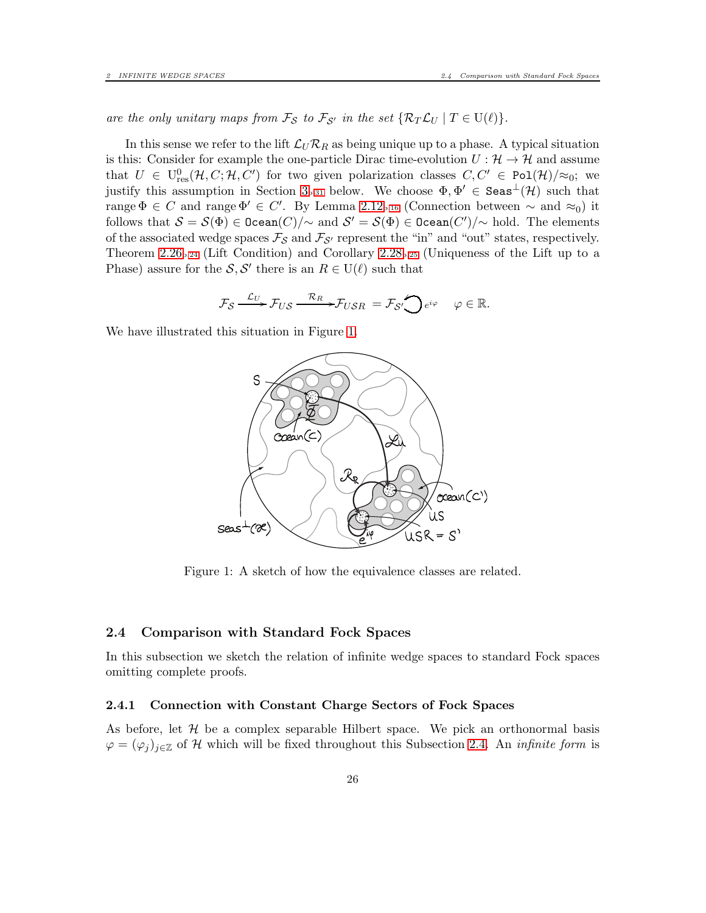are the only unitary maps from  $\mathcal{F}_{\mathcal{S}}$  to  $\mathcal{F}_{\mathcal{S}'}$  in the set  $\{\mathcal{R}_T\mathcal{L}_U \mid T \in U(\ell)\}.$ 

In this sense we refer to the lift  $\mathcal{L}_U \mathcal{R}_R$  as being unique up to a phase. A typical situation is this: Consider for example the one-particle Dirac time-evolution  $U : \mathcal{H} \to \mathcal{H}$  and assume that  $U \in U_{res}^{0}(\mathcal{H}, C; \mathcal{H}, C')$  for two given polarization classes  $C, C' \in Pol(\mathcal{H})/\approx_{0}$ ; we justify this assumption in Section [3](#page-30-0)<sub>p[.31](#page-30-0)</sub> below. We choose  $\Phi, \Phi' \in \text{Seas}^{\perp}(\mathcal{H})$  such that range  $\Phi \in C$  and range  $\Phi' \in C'$ . By Lemma [2.12](#page-15-0)<sub>p[.16](#page-15-0)</sub> (Connection between  $\sim$  and  $\approx_0$ ) it follows that  $S = \mathcal{S}(\Phi) \in \texttt{Ocean}(C)/\sim$  and  $\mathcal{S}' = \mathcal{S}(\Phi) \in \texttt{Ocean}(C')/\sim$  hold. The elements of the associated wedge spaces  $\mathcal{F}_{\mathcal{S}}$  and  $\mathcal{F}_{\mathcal{S}'}$  represent the "in" and "out" states, respectively. Theorem [2.26](#page-23-0)<sub>p[.24](#page-23-0)</sub> (Lift Condition) and Corollary [2.28](#page-24-0)<sub>p[.25](#page-24-0)</sub> (Uniqueness of the Lift up to a Phase) assure for the  $S, S'$  there is an  $R \in U(\ell)$  such that

$$
\mathcal{F}_{\mathcal{S}} \xrightarrow{\mathcal{L}_{U}} \mathcal{F}_{US} \xrightarrow{\mathcal{R}_{R}} \mathcal{F}_{USR} = \mathcal{F}_{\mathcal{S}} \bigotimes_{e^{i\varphi}} e^{i\varphi} \quad \varphi \in \mathbb{R}.
$$

We have illustrated this situation in Figure [1.](#page-25-2)



<span id="page-25-2"></span>Figure 1: A sketch of how the equivalence classes are related.

#### <span id="page-25-0"></span>2.4 Comparison with Standard Fock Spaces

In this subsection we sketch the relation of infinite wedge spaces to standard Fock spaces omitting complete proofs.

#### <span id="page-25-1"></span>2.4.1 Connection with Constant Charge Sectors of Fock Spaces

As before, let  $H$  be a complex separable Hilbert space. We pick an orthonormal basis  $\varphi = (\varphi_i)_{i \in \mathbb{Z}}$  of H which will be fixed throughout this Subsection [2.4.](#page-25-0) An *infinite form* is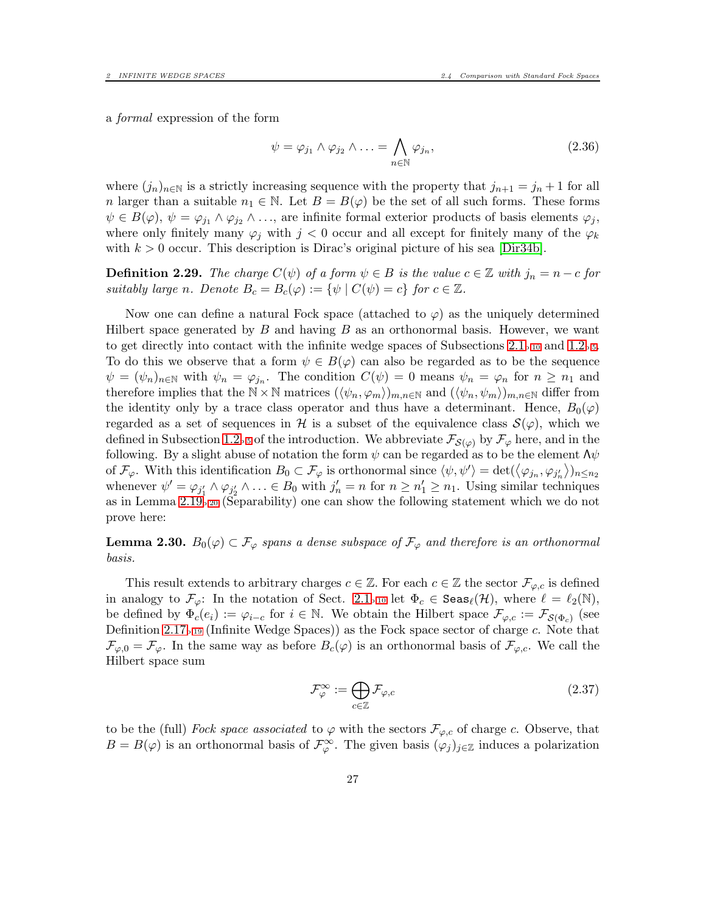a formal expression of the form

<span id="page-26-1"></span>
$$
\psi = \varphi_{j_1} \wedge \varphi_{j_2} \wedge \ldots = \bigwedge_{n \in \mathbb{N}} \varphi_{j_n},\tag{2.36}
$$

where  $(j_n)_{n\in\mathbb{N}}$  is a strictly increasing sequence with the property that  $j_{n+1} = j_n + 1$  for all n larger than a suitable  $n_1 \in \mathbb{N}$ . Let  $B = B(\varphi)$  be the set of all such forms. These forms  $\psi \in B(\varphi), \psi = \varphi_{j_1} \wedge \varphi_{j_2} \wedge \ldots$ , are infinite formal exterior products of basis elements  $\varphi_j$ , where only finitely many  $\varphi_j$  with  $j < 0$  occur and all except for finitely many of the  $\varphi_k$ with  $k > 0$  occur. This description is Dirac's original picture of his sea [\[Dir34b\]](#page-58-3).

<span id="page-26-0"></span>**Definition 2.29.** The charge  $C(\psi)$  of a form  $\psi \in B$  is the value  $c \in \mathbb{Z}$  with  $j_n = n - c$  for suitably large n. Denote  $B_c = B_c(\varphi) := \{ \psi \mid C(\psi) = c \}$  for  $c \in \mathbb{Z}$ .

Now one can define a natural Fock space (attached to  $\varphi$ ) as the uniquely determined Hilbert space generated by  $B$  and having  $B$  as an orthonormal basis. However, we want to get directly into contact with the infinite wedge spaces of Subsections  $2.1_{p.10}$  $2.1_{p.10}$  $2.1_{p.10}$  and  $1.2_{p.5}$  $1.2_{p.5}$  $1.2_{p.5}$ . To do this we observe that a form  $\psi \in B(\varphi)$  can also be regarded as to be the sequence  $\psi = (\psi_n)_{n \in \mathbb{N}}$  with  $\psi_n = \varphi_{j_n}$ . The condition  $C(\psi) = 0$  means  $\psi_n = \varphi_n$  for  $n \geq n_1$  and therefore implies that the  $\mathbb{N} \times \mathbb{N}$  matrices  $(\langle \psi_n, \varphi_m \rangle)_{m,n \in \mathbb{N}}$  and  $(\langle \psi_n, \psi_m \rangle)_{m,n \in \mathbb{N}}$  differ from the identity only by a trace class operator and thus have a determinant. Hence,  $B_0(\varphi)$ regarded as a set of sequences in H is a subset of the equivalence class  $\mathcal{S}(\varphi)$ , which we defined in Subsection [1.2](#page-4-0)<sub>p[.5](#page-4-0)</sub> of the introduction. We abbreviate  $\mathcal{F}_{\mathcal{S}(\varphi)}$  by  $\mathcal{F}_{\varphi}$  here, and in the following. By a slight abuse of notation the form  $\psi$  can be regarded as to be the element  $\Lambda \psi$ of  $\mathcal{F}_{\varphi}$ . With this identification  $B_0 \subset \mathcal{F}_{\varphi}$  is orthonormal since  $\langle \psi, \psi' \rangle = \det(\langle \varphi_{j_n}, \varphi_{j'_n} \rangle)_{n \leq n_2}$ whenever  $\psi' = \varphi_{j_1'} \wedge \varphi_{j_2'} \wedge \ldots \in B_0$  with  $j_n' = n$  for  $n \geq n_1' \geq n_1$ . Using similar techniques as in Lemma [2.19](#page-19-1)p[.20](#page-19-1) (Separability) one can show the following statement which we do not prove here:

**Lemma 2.30.**  $B_0(\varphi) \subset \mathcal{F}_{\varphi}$  spans a dense subspace of  $\mathcal{F}_{\varphi}$  and therefore is an orthonormal basis.

This result extends to arbitrary charges  $c \in \mathbb{Z}$ . For each  $c \in \mathbb{Z}$  the sector  $\mathcal{F}_{\varphi,c}$  is defined in analogy to  $\mathcal{F}_{\varphi}$ : In the notation of Sect. [2.1](#page-9-1)<sub>p[.10](#page-9-1)</sub> let  $\Phi_c \in \text{Seas}_{\ell}(\mathcal{H})$ , where  $\ell = \ell_2(\mathbb{N})$ , be defined by  $\Phi_c(e_i) := \varphi_{i-c}$  for  $i \in \mathbb{N}$ . We obtain the Hilbert space  $\mathcal{F}_{\varphi,c} := \mathcal{F}_{\mathcal{S}(\Phi_c)}$  (see Definition [2.17](#page-18-0)p[.19](#page-18-0) (Infinite Wedge Spaces)) as the Fock space sector of charge c. Note that  $\mathcal{F}_{\varphi,0} = \mathcal{F}_{\varphi}$ . In the same way as before  $B_c(\varphi)$  is an orthonormal basis of  $\mathcal{F}_{\varphi,c}$ . We call the Hilbert space sum

$$
\mathcal{F}_{\varphi}^{\infty} := \bigoplus_{c \in \mathbb{Z}} \mathcal{F}_{\varphi,c}
$$
\n(2.37)

to be the (full) Fock space associated to  $\varphi$  with the sectors  $\mathcal{F}_{\varphi,c}$  of charge c. Observe, that  $B = B(\varphi)$  is an orthonormal basis of  $\mathcal{F}_{\varphi}^{\infty}$ . The given basis  $(\varphi_j)_{j \in \mathbb{Z}}$  induces a polarization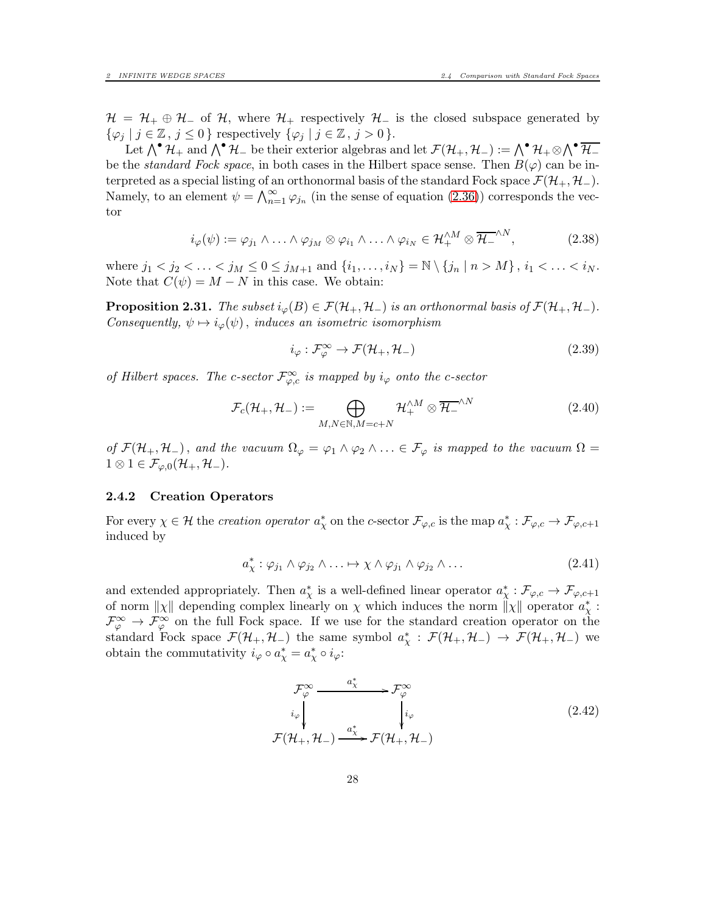$\mathcal{H} = \mathcal{H}_+ \oplus \mathcal{H}_-$  of  $\mathcal{H}_+$ , where  $\mathcal{H}_+$  respectively  $\mathcal{H}_-$  is the closed subspace generated by  $\{\varphi_j \mid j \in \mathbb{Z}, j \leq 0\}$  respectively  $\{\varphi_j \mid j \in \mathbb{Z}, j > 0\}.$ 

Let  $\bigwedge^{\bullet} \mathcal{H}_+$  and  $\bigwedge^{\bullet} \mathcal{H}_-$  be their exterior algebras and let  $\mathcal{F}(\mathcal{H}_+,\mathcal{H}_-) := \bigwedge^{\bullet} \mathcal{H}_+ \otimes \bigwedge^{\bullet} \overline{\mathcal{H}_-}$ be the *standard Fock space*, in both cases in the Hilbert space sense. Then  $B(\varphi)$  can be interpreted as a special listing of an orthonormal basis of the standard Fock space  $\mathcal{F}(\mathcal{H}_+, \mathcal{H}_-)$ . Namely, to an element  $\psi = \bigwedge_{n=1}^{\infty} \varphi_{j_n}$  (in the sense of equation [\(2.36\)](#page-26-1)) corresponds the vector

$$
i_{\varphi}(\psi) := \varphi_{j_1} \wedge \ldots \wedge \varphi_{j_M} \otimes \varphi_{i_1} \wedge \ldots \wedge \varphi_{i_N} \in \mathcal{H}_{+}^{\wedge M} \otimes \overline{\mathcal{H}_{-}}^{\wedge N}, \tag{2.38}
$$

where  $j_1 < j_2 < \ldots < j_M \leq 0 \leq j_{M+1}$  and  $\{i_1, \ldots, i_N\} = \mathbb{N} \setminus \{j_n | n > M\}$ ,  $i_1 < \ldots < i_N$ . Note that  $C(\psi) = M - N$  in this case. We obtain:

**Proposition 2.31.** The subset  $i_{\varphi}(B) \in \mathcal{F}(\mathcal{H}_+, \mathcal{H}_-)$  is an orthonormal basis of  $\mathcal{F}(\mathcal{H}_+, \mathcal{H}_-)$ . Consequently,  $\psi \mapsto i_{\varphi}(\psi)$ , induces an isometric isomorphism

$$
i_{\varphi} : \mathcal{F}_{\varphi}^{\infty} \to \mathcal{F}(\mathcal{H}_{+}, \mathcal{H}_{-})
$$
\n
$$
(2.39)
$$

of Hilbert spaces. The c-sector  $\mathcal{F}^{\infty}_{\varphi,c}$  is mapped by  $i_{\varphi}$  onto the c-sector

$$
\mathcal{F}_c(\mathcal{H}_+,\mathcal{H}_-) := \bigoplus_{M,N \in \mathbb{N}, M=c+N} \mathcal{H}_+^{\wedge M} \otimes \overline{\mathcal{H}_-}^{\wedge N}
$$
(2.40)

of  $\mathcal{F}(\mathcal{H}_+,\mathcal{H}_-)$ , and the vacuum  $\Omega_\varphi = \varphi_1 \wedge \varphi_2 \wedge \ldots \in \mathcal{F}_\varphi$  is mapped to the vacuum  $\Omega =$  $1 \otimes 1 \in \mathcal{F}_{\varphi,0}(\mathcal{H}_+,\mathcal{H}_-).$ 

### <span id="page-27-0"></span>2.4.2 Creation Operators

For every  $\chi \in \mathcal{H}$  the *creation operator*  $a^*_{\chi}$  on the *c*-sector  $\mathcal{F}_{\varphi,c}$  is the map  $a^*_{\chi} : \mathcal{F}_{\varphi,c} \to \mathcal{F}_{\varphi,c+1}$ induced by

$$
a_{\chi}^* : \varphi_{j_1} \wedge \varphi_{j_2} \wedge \ldots \mapsto \chi \wedge \varphi_{j_1} \wedge \varphi_{j_2} \wedge \ldots \tag{2.41}
$$

and extended appropriately. Then  $a^*_\chi$  is a well-defined linear operator  $a^*_\chi : \mathcal{F}_{\varphi,c} \to \mathcal{F}_{\varphi,c+1}$ of norm  $||\chi||$  depending complex linearly on  $\chi$  which induces the norm  $||\chi||$  operator  $a^*_{\chi}$ :  $\mathcal{F}_{\varphi}^{\infty} \to \mathcal{F}_{\varphi}^{\infty}$  on the full Fock space. If we use for the standard creation operator on the standard Fock space  $\mathcal{F}(\mathcal{H}_+,\mathcal{H}_-)$  the same symbol  $a^*_{\chi} : \mathcal{F}(\mathcal{H}_+,\mathcal{H}_-) \to \mathcal{F}(\mathcal{H}_+,\mathcal{H}_-)$  we obtain the commutativity  $i_{\varphi} \circ a_{\chi}^* = a_{\chi}^* \circ i_{\varphi}$ :

<span id="page-27-1"></span>
$$
\mathcal{F}_{\varphi}^{\infty} \longrightarrow \mathcal{F}_{\varphi}^{\infty} \n\downarrow_{i_{\varphi}} \qquad \qquad i_{\varphi} \qquad \qquad i_{\varphi} \n\mathcal{F}(\mathcal{H}_{+}, \mathcal{H}_{-}) \longrightarrow \mathcal{F}(\mathcal{H}_{+}, \mathcal{H}_{-})
$$
\n(2.42)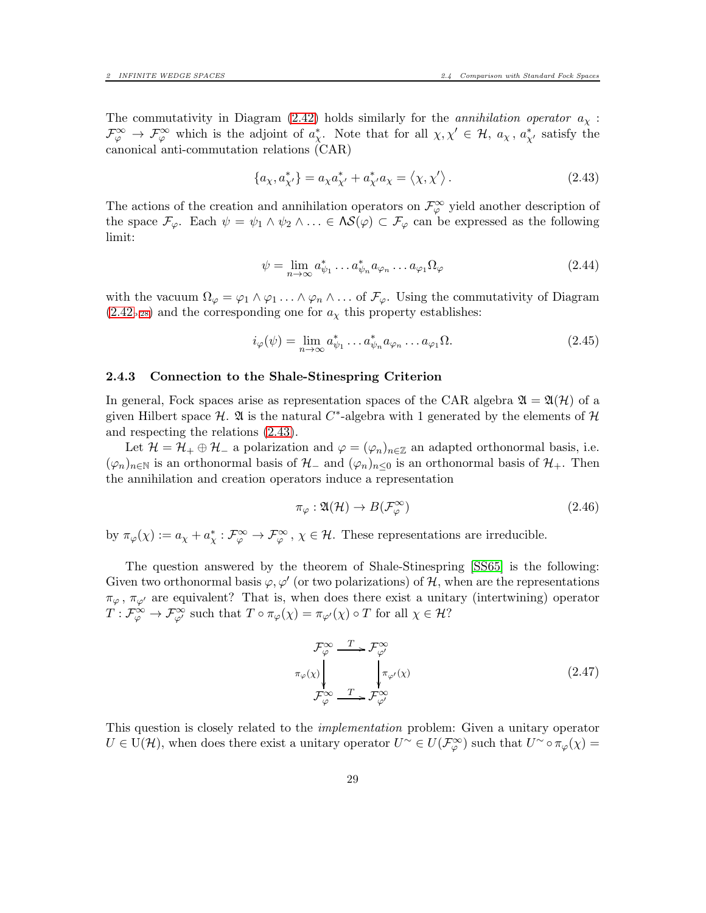The commutativity in Diagram [\(2.42\)](#page-27-1) holds similarly for the *annihilation operator*  $a_{\chi}$ :  $\mathcal{F}_{\varphi}^{\infty} \to \mathcal{F}_{\varphi}^{\infty}$  which is the adjoint of  $a_{\chi}^*$ . Note that for all  $\chi, \chi' \in \mathcal{H}$ ,  $a_{\chi}$ ,  $a_{\chi'}^*$  satisfy the canonical anti-commutation relations (CAR)

<span id="page-28-1"></span>
$$
\{a_{\chi}, a_{\chi'}^*\} = a_{\chi} a_{\chi'}^* + a_{\chi'}^* a_{\chi} = \langle \chi, \chi' \rangle.
$$
 (2.43)

The actions of the creation and annihilation operators on  $\mathcal{F}_{\varphi}^{\infty}$  yield another description of the space  $\mathcal{F}_{\varphi}$ . Each  $\psi = \psi_1 \wedge \psi_2 \wedge \ldots \in \Lambda S(\varphi) \subset \mathcal{F}_{\varphi}$  can be expressed as the following limit:

$$
\psi = \lim_{n \to \infty} a_{\psi_1}^* \dots a_{\psi_n}^* a_{\varphi_n} \dots a_{\varphi_1} \Omega_\varphi \tag{2.44}
$$

with the vacuum  $\Omega_{\varphi} = \varphi_1 \wedge \varphi_1 \ldots \wedge \varphi_n \wedge \ldots$  of  $\mathcal{F}_{\varphi}$ . Using the commutativity of Diagram  $(2.42<sub>p.28</sub>)$  $(2.42<sub>p.28</sub>)$  $(2.42<sub>p.28</sub>)$  $(2.42<sub>p.28</sub>)$  and the corresponding one for  $a<sub>\chi</sub>$  this property establishes:

$$
i_{\varphi}(\psi) = \lim_{n \to \infty} a_{\psi_1}^* \dots a_{\psi_n}^* a_{\varphi_n} \dots a_{\varphi_1} \Omega.
$$
 (2.45)

#### <span id="page-28-0"></span>2.4.3 Connection to the Shale-Stinespring Criterion

In general, Fock spaces arise as representation spaces of the CAR algebra  $\mathfrak{A} = \mathfrak{A}(\mathcal{H})$  of a given Hilbert space  $\mathcal{H}$ .  $\mathfrak A$  is the natural  $C^*$ -algebra with 1 generated by the elements of  $\mathcal H$ and respecting the relations [\(2.43\)](#page-28-1).

Let  $\mathcal{H} = \mathcal{H}_+ \oplus \mathcal{H}_-$  a polarization and  $\varphi = (\varphi_n)_{n \in \mathbb{Z}}$  an adapted orthonormal basis, i.e.  $(\varphi_n)_{n\in\mathbb{N}}$  is an orthonormal basis of  $\mathcal{H}_-$  and  $(\varphi_n)_{n\leq 0}$  is an orthonormal basis of  $\mathcal{H}_+$ . Then the annihilation and creation operators induce a representation

$$
\pi_{\varphi} : \mathfrak{A}(\mathcal{H}) \to B(\mathcal{F}_{\varphi}^{\infty})
$$
\n
$$
(2.46)
$$

by  $\pi_{\varphi}(\chi) := a_{\chi} + a_{\chi}^* : \mathcal{F}_{\varphi}^{\infty} \to \mathcal{F}_{\varphi}^{\infty}$ ,  $\chi \in \mathcal{H}$ . These representations are irreducible.

The question answered by the theorem of Shale-Stinespring [\[SS65\]](#page-59-0) is the following: Given two orthonormal basis  $\varphi, \varphi'$  (or two polarizations) of  $\mathcal{H}$ , when are the representations  $\pi_{\varphi}$ ,  $\pi_{\varphi'}$  are equivalent? That is, when does there exist a unitary (intertwining) operator  $T: \mathcal{F}_{\varphi}^{\infty} \to \mathcal{F}_{\varphi'}^{\infty}$  such that  $T \circ \pi_{\varphi}(\chi) = \pi_{\varphi'}(\chi) \circ T$  for all  $\chi \in \mathcal{H}$ ?

$$
\mathcal{F}_{\varphi}^{\infty} \xrightarrow{T} \mathcal{F}_{\varphi'}^{\infty}
$$
\n
$$
\pi_{\varphi}(\chi) \downarrow \qquad \qquad \downarrow \pi_{\varphi'}(\chi)
$$
\n
$$
\mathcal{F}_{\varphi}^{\infty} \xrightarrow{T} \mathcal{F}_{\varphi'}^{\infty}
$$
\n
$$
(2.47)
$$

This question is closely related to the implementation problem: Given a unitary operator  $U \in U(\mathcal{H})$ , when does there exist a unitary operator  $U \sim U(\mathcal{F}_{\varphi}^{\infty})$  such that  $U \sim \sigma_{\varphi}(\chi) =$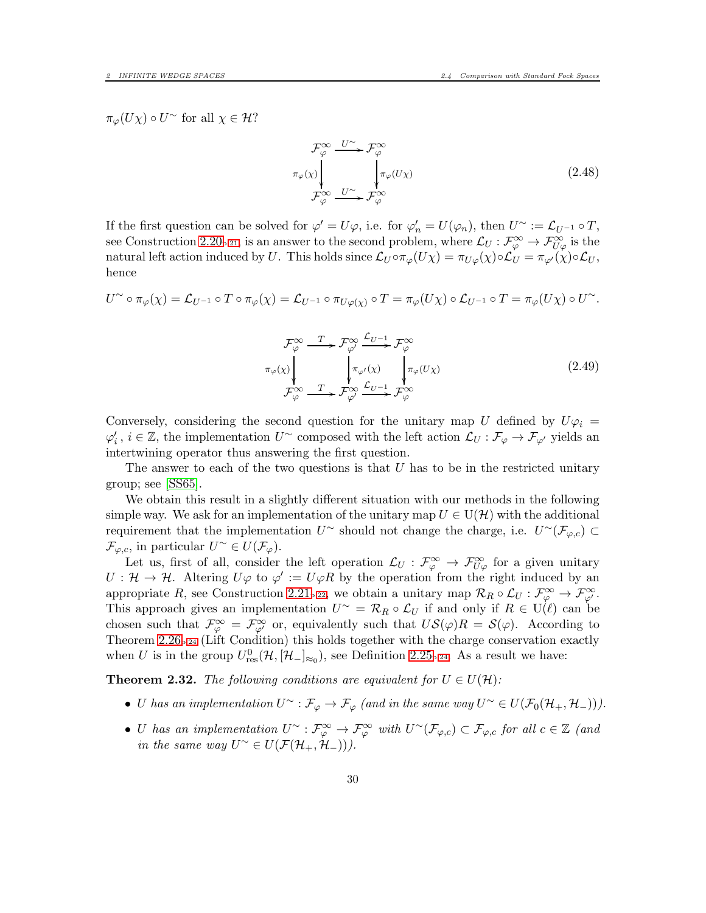$\pi_{\varphi}(U\chi) \circ U^{\sim}$  for all  $\chi \in \mathcal{H}$ ?

$$
\mathcal{F}_{\varphi}^{\infty} \xrightarrow{U^{\sim}} \mathcal{F}_{\varphi}^{\infty}
$$
\n
$$
\pi_{\varphi}(\chi) \downarrow \qquad \qquad \downarrow \pi_{\varphi}(U\chi)
$$
\n
$$
\mathcal{F}_{\varphi}^{\infty} \xrightarrow{U^{\sim}} \mathcal{F}_{\varphi}^{\infty}
$$
\n(2.48)

If the first question can be solved for  $\varphi' = U\varphi$ , i.e. for  $\varphi'_n = U(\varphi_n)$ , then  $U^{\sim} := \mathcal{L}_{U^{-1}} \circ T$ , see Construction [2.20](#page-20-1)<sub>p[.21](#page-20-1)</sub>, is an answer to the second problem, where  $\mathcal{L}_U : \mathcal{F}_{\varphi}^{\infty} \to \mathcal{F}_{U\varphi}^{\infty}$  is the natural left action induced by U. This holds since  $\mathcal{L}_U \circ \pi_{\varphi}(U\chi) = \pi_{U\varphi}(\chi) \circ \mathcal{L}_U = \pi_{\varphi'}(\chi) \circ \mathcal{L}_U$ , hence

$$
U^{\sim}\circ\pi_{\varphi}(\chi)=\mathcal{L}_{U^{-1}}\circ T\circ\pi_{\varphi}(\chi)=\mathcal{L}_{U^{-1}}\circ\pi_{U\varphi(\chi)}\circ T=\pi_{\varphi}(U\chi)\circ\mathcal{L}_{U^{-1}}\circ T=\pi_{\varphi}(U\chi)\circ U^{\sim}.
$$

$$
\mathcal{F}_{\varphi}^{\infty} \xrightarrow{T} \mathcal{F}_{\varphi}^{\infty} \xrightarrow{L_{U-1}} \mathcal{F}_{\varphi}^{\infty}
$$
\n
$$
\pi_{\varphi}(\chi) \qquad \qquad \downarrow \pi_{\varphi'}(\chi) \qquad \qquad \downarrow \pi_{\varphi}(U\chi)
$$
\n
$$
\mathcal{F}_{\varphi}^{\infty} \xrightarrow{T} \mathcal{F}_{\varphi}^{\infty} \xrightarrow{L_{U-1}} \mathcal{F}_{\varphi}^{\infty}
$$
\n(2.49)

Conversely, considering the second question for the unitary map U defined by  $U\varphi_i =$  $\varphi'_i$ ,  $i \in \mathbb{Z}$ , the implementation  $U^{\sim}$  composed with the left action  $\mathcal{L}_U : \mathcal{F}_{\varphi} \to \mathcal{F}_{\varphi'}$  yields an intertwining operator thus answering the first question.

The answer to each of the two questions is that  $U$  has to be in the restricted unitary group; see [\[SS65\]](#page-59-0).

We obtain this result in a slightly different situation with our methods in the following simple way. We ask for an implementation of the unitary map  $U \in U(\mathcal{H})$  with the additional requirement that the implementation  $U^{\sim}$  should not change the charge, i.e.  $U^{\sim}(\mathcal{F}_{\varphi,c}) \subset$  $\mathcal{F}_{\varphi,c}$ , in particular  $U^{\sim} \in U(\mathcal{F}_{\varphi}).$ 

Let us, first of all, consider the left operation  $\mathcal{L}_U : \mathcal{F}_{\varphi}^{\infty} \to \mathcal{F}_{U\varphi}^{\infty}$  for a given unitary  $U: \mathcal{H} \to \mathcal{H}$ . Altering  $U\varphi$  to  $\varphi' := U\varphi R$  by the operation from the right induced by an appropriate R, see Construction [2.21](#page-21-0)<sub>p[.22](#page-21-0)</sub>, we obtain a unitary map  $\mathcal{R}_R \circ \mathcal{L}_U : \mathcal{F}_{\varphi}^{\infty} \to \mathcal{F}_{\varphi'}^{\infty}$ . This approach gives an implementation  $U^{\sim} = \mathcal{R}_R \circ \mathcal{L}_U$  if and only if  $R \in U(\ell)$  can be chosen such that  $\mathcal{F}_{\varphi}^{\infty} = \mathcal{F}_{\varphi'}^{\infty}$  or, equivalently such that  $US(\varphi)R = S(\varphi)$ . According to Theorem  $2.26<sub>p.24</sub>$  $2.26<sub>p.24</sub>$  $2.26<sub>p.24</sub>$  (Lift Condition) this holds together with the charge conservation exactly when U is in the group  $U_{\text{res}}^0(\mathcal{H}, [\mathcal{H}_-]_{\approx_0})$ , see Definition [2.25](#page-23-1)<sub>p[.24](#page-23-1)</sub>. As a result we have:

**Theorem 2.32.** The following conditions are equivalent for  $U \in U(\mathcal{H})$ :

- U has an implementation  $U^{\sim}$  :  $\mathcal{F}_{\varphi} \to \mathcal{F}_{\varphi}$  (and in the same way  $U^{\sim} \in U(\mathcal{F}_0(\mathcal{H}_+,\mathcal{H}_-)))$ ).
- U has an implementation  $U^{\sim} : \mathcal{F}_{\varphi}^{\infty} \to \mathcal{F}_{\varphi}^{\infty}$  with  $U^{\sim}(\mathcal{F}_{\varphi,c}) \subset \mathcal{F}_{\varphi,c}$  for all  $c \in \mathbb{Z}$  (and in the same way  $U^{\sim} \in U(\mathcal{F}(\mathcal{H}_{+}, \mathcal{H}_{-}))).$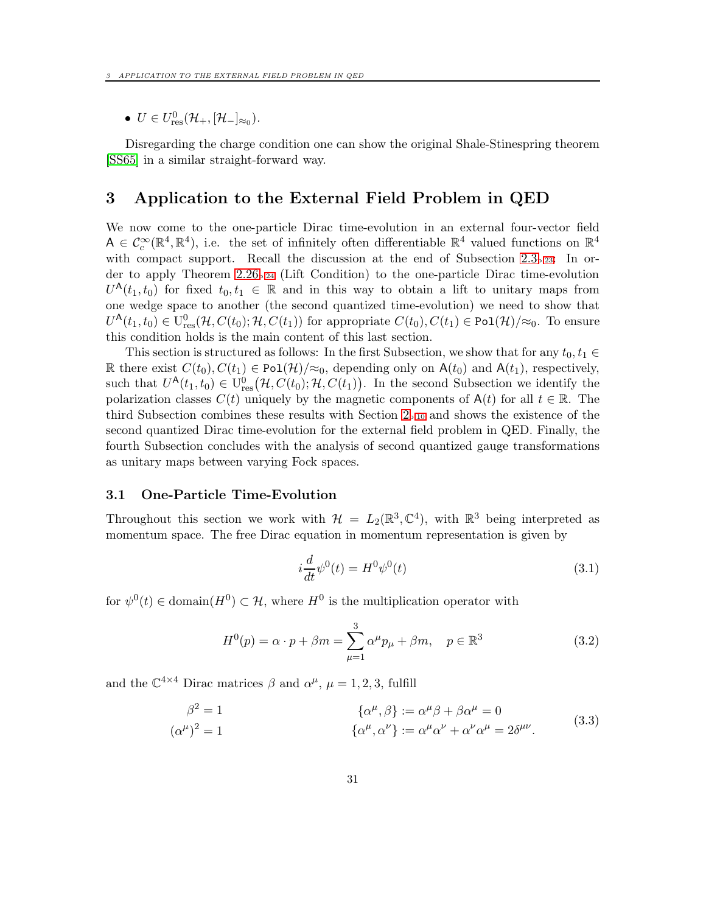•  $U \in U_{\text{res}}^0(\mathcal{H}_+,[\mathcal{H}_-]_{\approx_0}).$ 

Disregarding the charge condition one can show the original Shale-Stinespring theorem [\[SS65\]](#page-59-0) in a similar straight-forward way.

# <span id="page-30-0"></span>3 Application to the External Field Problem in QED

We now come to the one-particle Dirac time-evolution in an external four-vector field  $A \in \mathcal{C}_c^{\infty}(\mathbb{R}^4, \mathbb{R}^4)$ , i.e. the set of infinitely often differentiable  $\mathbb{R}^4$  valued functions on  $\mathbb{R}^4$ with compact support. Recall the discussion at the end of Subsection [2.3](#page-22-0)<sub>p[.23](#page-22-0)</sub>: In order to apply Theorem  $2.26_{p.24}$  $2.26_{p.24}$  $2.26_{p.24}$  (Lift Condition) to the one-particle Dirac time-evolution  $U^{\mathsf{A}}(t_1,t_0)$  for fixed  $t_0,t_1 \in \mathbb{R}$  and in this way to obtain a lift to unitary maps from one wedge space to another (the second quantized time-evolution) we need to show that  $U^{\mathsf{A}}(t_1,t_0) \in U^0_{\text{res}}(\mathcal{H}, C(t_0); \mathcal{H}, C(t_1))$  for appropriate  $C(t_0), C(t_1) \in \text{Pol}(\mathcal{H})/\approx_0$ . To ensure this condition holds is the main content of this last section.

This section is structured as follows: In the first Subsection, we show that for any  $t_0, t_1 \in$ R there exist  $C(t_0), C(t_1) \in \text{Pol}(\mathcal{H})/\approx_0$ , depending only on  $A(t_0)$  and  $A(t_1)$ , respectively, such that  $U^{\mathsf{A}}(t_1,t_0) \in U^0_{\text{res}}(\mathcal{H}, C(t_0); \mathcal{H}, C(t_1)).$  In the second Subsection we identify the polarization classes  $C(t)$  uniquely by the magnetic components of  $A(t)$  for all  $t \in \mathbb{R}$ . The third Subsection combines these results with Section  $2_{p,10}$  and shows the existence of the second quantized Dirac time-evolution for the external field problem in QED. Finally, the fourth Subsection concludes with the analysis of second quantized gauge transformations as unitary maps between varying Fock spaces.

#### <span id="page-30-1"></span>3.1 One-Particle Time-Evolution

Throughout this section we work with  $\mathcal{H} = L_2(\mathbb{R}^3, \mathbb{C}^4)$ , with  $\mathbb{R}^3$  being interpreted as momentum space. The free Dirac equation in momentum representation is given by

<span id="page-30-2"></span>
$$
i\frac{d}{dt}\psi^0(t) = H^0\psi^0(t)
$$
\n(3.1)

for  $\psi^0(t) \in \text{domain}(H^0) \subset \mathcal{H}$ , where  $H^0$  is the multiplication operator with

$$
H^{0}(p) = \alpha \cdot p + \beta m = \sum_{\mu=1}^{3} \alpha^{\mu} p_{\mu} + \beta m, \quad p \in \mathbb{R}^{3}
$$
 (3.2)

and the  $\mathbb{C}^{4\times4}$  Dirac matrices  $\beta$  and  $\alpha^{\mu}$ ,  $\mu = 1, 2, 3$ , fulfill

$$
\beta^2 = 1 \qquad \qquad {\alpha^{\mu}, \beta} := \alpha^{\mu} \beta + \beta \alpha^{\mu} = 0
$$
  

$$
(\alpha^{\mu})^2 = 1 \qquad {\alpha^{\mu}, \alpha^{\nu}} := \alpha^{\mu} \alpha^{\nu} + \alpha^{\nu} \alpha^{\mu} = 2 \delta^{\mu \nu}.
$$
  
(3.3)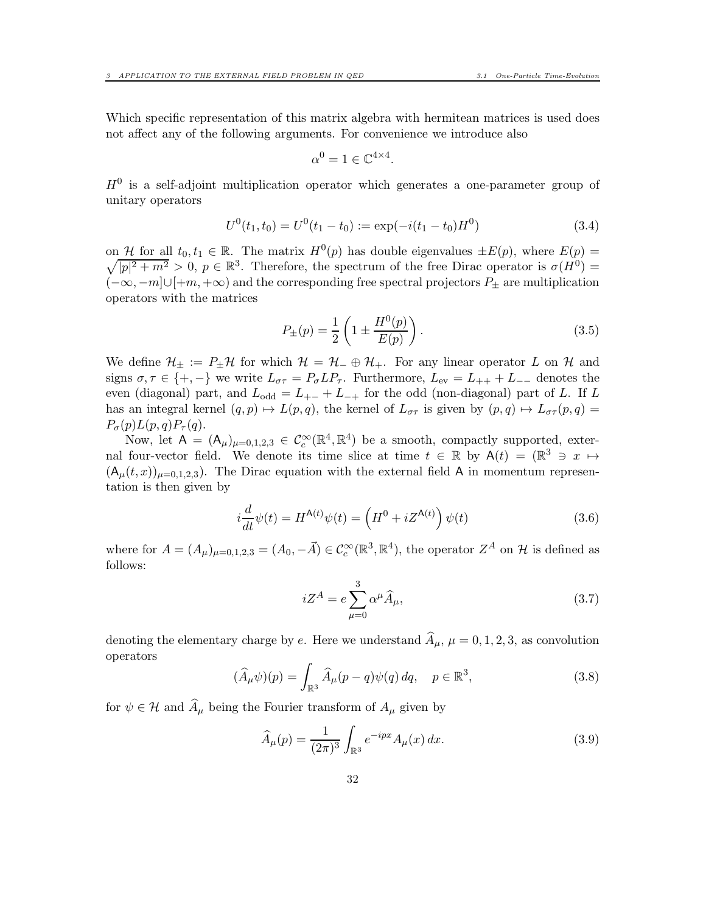Which specific representation of this matrix algebra with hermitean matrices is used does not affect any of the following arguments. For convenience we introduce also

<span id="page-31-1"></span>
$$
\alpha^0 = 1 \in \mathbb{C}^{4 \times 4}.
$$

 $H<sup>0</sup>$  is a self-adjoint multiplication operator which generates a one-parameter group of unitary operators

$$
U^{0}(t_{1}, t_{0}) = U^{0}(t_{1} - t_{0}) := \exp(-i(t_{1} - t_{0})H^{0})
$$
\n(3.4)

on H for all  $t_0, t_1 \in \mathbb{R}$ . The matrix  $H^0(p)$  has double eigenvalues  $\pm E(p)$ , where  $E(p)$  $\sqrt{|p|^2 + m^2} > 0$ ,  $p \in \mathbb{R}^3$ . Therefore, the spectrum of the free Dirac operator is  $\sigma(H^0)$  =  $(-\infty, -m] \cup [+m, +\infty)$  and the corresponding free spectral projectors  $P_{\pm}$  are multiplication operators with the matrices

<span id="page-31-3"></span>
$$
P_{\pm}(p) = \frac{1}{2} \left( 1 \pm \frac{H^0(p)}{E(p)} \right). \tag{3.5}
$$

We define  $\mathcal{H}_{\pm} := P_{\pm}\mathcal{H}$  for which  $\mathcal{H} = \mathcal{H}_{-} \oplus \mathcal{H}_{+}$ . For any linear operator L on  $\mathcal{H}$  and signs  $\sigma, \tau \in \{+, -\}$  we write  $L_{\sigma\tau} = P_{\sigma} L P_{\tau}$ . Furthermore,  $L_{ev} = L_{++} + L_{--}$  denotes the even (diagonal) part, and  $L_{odd} = L_{+-} + L_{-+}$  for the odd (non-diagonal) part of L. If L has an integral kernel  $(q, p) \mapsto L(p, q)$ , the kernel of  $L_{\sigma\tau}$  is given by  $(p, q) \mapsto L_{\sigma\tau}(p, q) =$  $P_{\sigma}(p)L(p,q)P_{\tau}(q).$ 

Now, let  $A = (A_{\mu})_{\mu=0,1,2,3} \in C_c^{\infty}(\mathbb{R}^4, \mathbb{R}^4)$  be a smooth, compactly supported, external four-vector field. We denote its time slice at time  $t \in \mathbb{R}$  by  $A(t) = (\mathbb{R}^3 \ni x \mapsto$  $(A<sub>\mu</sub>(t, x))<sub>\mu=0.1,2,3</sub>$ . The Dirac equation with the external field A in momentum representation is then given by

$$
i\frac{d}{dt}\psi(t) = H^{\mathsf{A}(t)}\psi(t) = \left(H^0 + iZ^{\mathsf{A}(t)}\right)\psi(t)
$$
\n(3.6)

where for  $A = (A_\mu)_{\mu=0,1,2,3} = (A_0, -\vec{A}) \in C_c^{\infty}(\mathbb{R}^3, \mathbb{R}^4)$ , the operator  $Z^A$  on  $\mathcal{H}$  is defined as follows:

<span id="page-31-0"></span>
$$
iZ^{A} = e \sum_{\mu=0}^{3} \alpha^{\mu} \widehat{A}_{\mu}, \qquad (3.7)
$$

denoting the elementary charge by e. Here we understand  $\hat{A}_{\mu}$ ,  $\mu = 0, 1, 2, 3$ , as convolution operators

$$
(\widehat{A}_{\mu}\psi)(p) = \int_{\mathbb{R}^3} \widehat{A}_{\mu}(p-q)\psi(q) \, dq, \quad p \in \mathbb{R}^3,
$$
\n(3.8)

for  $\psi \in \mathcal{H}$  and  $\widehat{A}_{\mu}$  being the Fourier transform of  $A_{\mu}$  given by

<span id="page-31-2"></span>
$$
\widehat{A}_{\mu}(p) = \frac{1}{(2\pi)^3} \int_{\mathbb{R}^3} e^{-ipx} A_{\mu}(x) dx.
$$
 (3.9)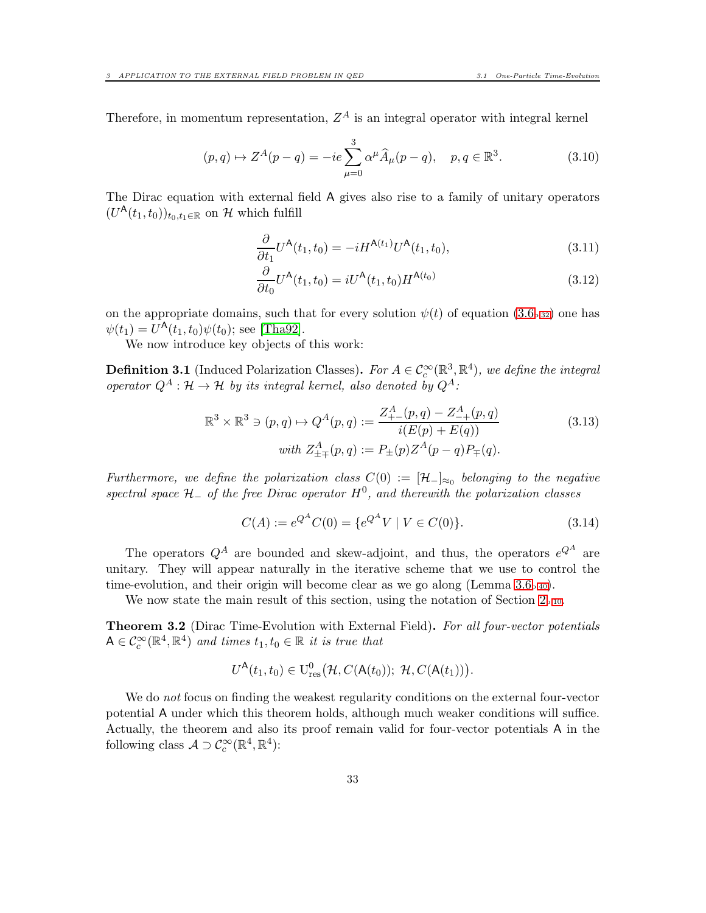Therefore, in momentum representation,  $Z^A$  is an integral operator with integral kernel

<span id="page-32-5"></span>
$$
(p,q) \mapsto Z^{A}(p-q) = -ie \sum_{\mu=0}^{3} \alpha^{\mu} \widehat{A}_{\mu}(p-q), \quad p, q \in \mathbb{R}^{3}.
$$
 (3.10)

The Dirac equation with external field A gives also rise to a family of unitary operators  $(U^{\mathsf{A}}(t_1,t_0))_{t_0,t_1\in\mathbb{R}}$  on  $\mathcal H$  which fulfill

<span id="page-32-2"></span>
$$
\frac{\partial}{\partial t_1} U^{\mathsf{A}}(t_1, t_0) = -i H^{\mathsf{A}(t_1)} U^{\mathsf{A}}(t_1, t_0),\tag{3.11}
$$

<span id="page-32-3"></span>
$$
\frac{\partial}{\partial t_0} U^{\mathsf{A}}(t_1, t_0) = i U^{\mathsf{A}}(t_1, t_0) H^{\mathsf{A}(t_0)}
$$
\n(3.12)

on the appropriate domains, such that for every solution  $\psi(t)$  of equation  $(3.6<sub>p.32</sub>)$  $(3.6<sub>p.32</sub>)$  $(3.6<sub>p.32</sub>)$  one has  $\psi(t_1) = U^{\mathsf{A}}(t_1, t_0)\psi(t_0)$ ; see [\[Tha92\]](#page-59-12).

We now introduce key objects of this work:

<span id="page-32-1"></span>**Definition 3.1** (Induced Polarization Classes). For  $A \in C_c^{\infty}(\mathbb{R}^3, \mathbb{R}^4)$ , we define the integral operator  $Q^A : \mathcal{H} \to \mathcal{H}$  by its integral kernel, also denoted by  $Q^A$ :

$$
\mathbb{R}^3 \times \mathbb{R}^3 \ni (p, q) \mapsto Q^A(p, q) := \frac{Z^A_{+-}(p, q) - Z^A_{-+}(p, q)}{i(E(p) + E(q))}
$$
(3.13)  
\nwith  $Z^A_{\pm \mp}(p, q) := P_{\pm}(p) Z^A(p - q) P_{\mp}(q)$ .

Furthermore, we define the polarization class  $C(0) := [\mathcal{H}_-]_{\approx_0}$  belonging to the negative spectral space  $H_-\,$  of the free Dirac operator  $H^0$ , and therewith the polarization classes

<span id="page-32-4"></span>
$$
C(A) := e^{Q^A} C(0) = \{ e^{Q^A} V \mid V \in C(0) \}.
$$
\n(3.14)

The operators  $Q^A$  are bounded and skew-adjoint, and thus, the operators  $e^{Q^A}$  are unitary. They will appear naturally in the iterative scheme that we use to control the time-evolution, and their origin will become clear as we go along (Lemma  $3.6<sub>p.40</sub>$  $3.6<sub>p.40</sub>$  $3.6<sub>p.40</sub>$ ).

We now state the main result of this section, using the notation of Section  $2_{p.10}$  $2_{p.10}$  $2_{p.10}$ .

<span id="page-32-0"></span>Theorem 3.2 (Dirac Time-Evolution with External Field). For all four-vector potentials  $A \in \mathcal{C}_c^{\infty}(\mathbb{R}^4, \mathbb{R}^4)$  and times  $t_1, t_0 \in \mathbb{R}$  it is true that

$$
U^{\mathsf{A}}(t_1,t_0)\in \mathrm{U}^0_{\mathrm{res}}\big(\mathcal{H},\mathit{C}(\mathsf{A}(t_0));\ \mathcal{H},\mathit{C}(\mathsf{A}(t_1))\big).
$$

We do not focus on finding the weakest regularity conditions on the external four-vector potential A under which this theorem holds, although much weaker conditions will suffice. Actually, the theorem and also its proof remain valid for four-vector potentials A in the following class  $\mathcal{A} \supset \mathcal{C}_c^{\infty}(\mathbb{R}^4, \mathbb{R}^4)$ :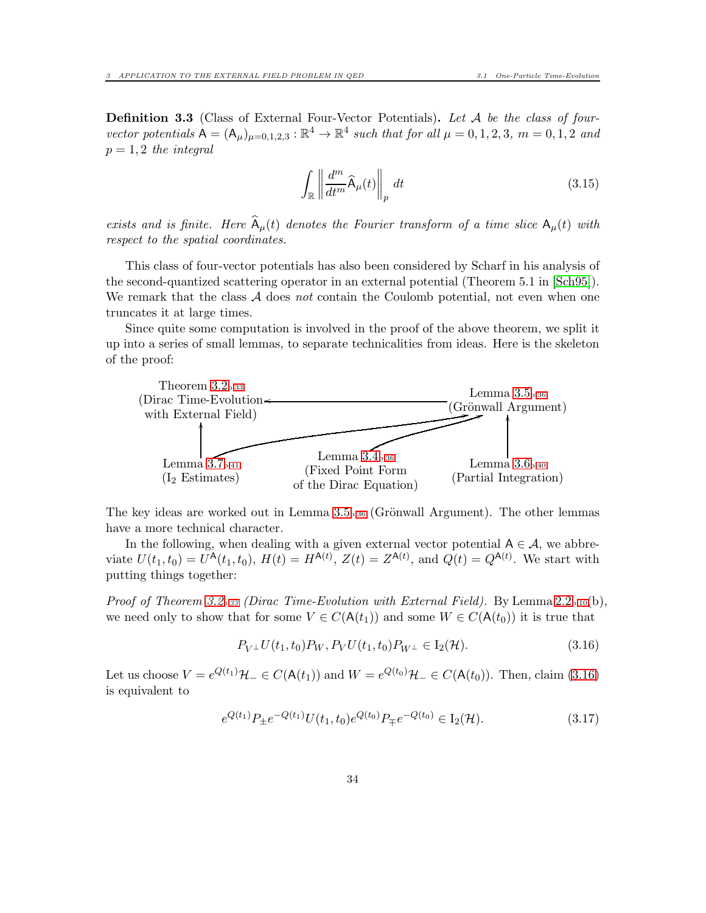<span id="page-33-1"></span>**Definition 3.3** (Class of External Four-Vector Potentials). Let A be the class of fourvector potentials  $A = (A_{\mu})_{\mu=0,1,2,3} : \mathbb{R}^4 \to \mathbb{R}^4$  such that for all  $\mu = 0, 1, 2, 3, m = 0, 1, 2$  and  $p = 1, 2$  the integral

$$
\int_{\mathbb{R}} \left\| \frac{d^m}{dt^m} \widehat{\mathsf{A}}_{\mu}(t) \right\|_{p} dt \tag{3.15}
$$

exists and is finite. Here  $\widehat{A}_{\mu}(t)$  denotes the Fourier transform of a time slice  $A_{\mu}(t)$  with respect to the spatial coordinates.

This class of four-vector potentials has also been considered by Scharf in his analysis of the second-quantized scattering operator in an external potential (Theorem 5.1 in [\[Sch95\]](#page-59-6)). We remark that the class  $A$  does not contain the Coulomb potential, not even when one truncates it at large times.

Since quite some computation is involved in the proof of the above theorem, we split it up into a series of small lemmas, to separate technicalities from ideas. Here is the skeleton of the proof:



The key ideas are worked out in Lemma  $3.5_{p.36}$  $3.5_{p.36}$  $3.5_{p.36}$  (Grönwall Argument). The other lemmas have a more technical character.

In the following, when dealing with a given external vector potential  $A \in \mathcal{A}$ , we abbreviate  $U(t_1, t_0) = U^{\mathsf{A}}(t_1, t_0), H(t) = H^{\mathsf{A}(t)}, Z(t) = Z^{\mathsf{A}(t)}, \text{ and } Q(t) = Q^{\mathsf{A}(t)}.$  We start with putting things together:

Proof of Theorem [3.2](#page-32-0)*p[.33](#page-32-0)* (Dirac Time-Evolution with External Field). By Lemma [2.2](#page-9-3)p[.10](#page-9-3)(b), we need only to show that for some  $V \in C(\mathsf{A}(t_1))$  and some  $W \in C(\mathsf{A}(t_0))$  it is true that

<span id="page-33-0"></span>
$$
P_{V^{\perp}}U(t_1, t_0)P_W, P_VU(t_1, t_0)P_{W^{\perp}} \in I_2(\mathcal{H}).
$$
\n(3.16)

Let us choose  $V = e^{Q(t_1)}\mathcal{H}_- \in C(\mathsf{A}(t_1))$  and  $W = e^{Q(t_0)}\mathcal{H}_- \in C(\mathsf{A}(t_0))$ . Then, claim [\(3.16\)](#page-33-0) is equivalent to

$$
e^{Q(t_1)}P_{\pm}e^{-Q(t_1)}U(t_1,t_0)e^{Q(t_0)}P_{\mp}e^{-Q(t_0)} \in I_2(\mathcal{H}).\tag{3.17}
$$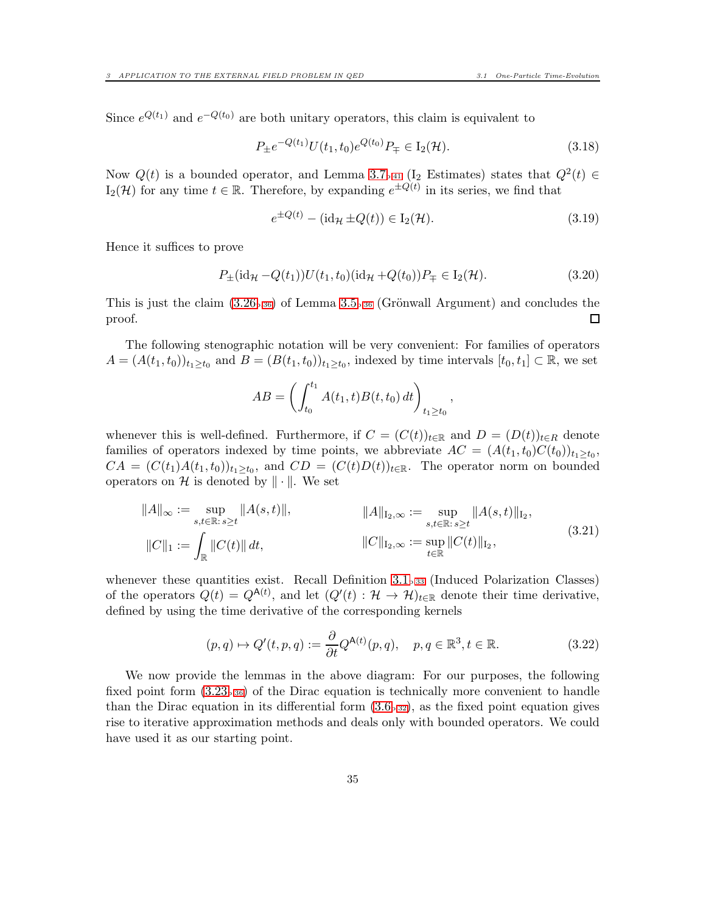Since  $e^{Q(t_1)}$  and  $e^{-Q(t_0)}$  are both unitary operators, this claim is equivalent to

$$
P_{\pm}e^{-Q(t_1)}U(t_1, t_0)e^{Q(t_0)}P_{\mp} \in I_2(\mathcal{H}).\tag{3.18}
$$

Now  $Q(t)$  is a bounded operator, and Lemma [3.7](#page-40-0)<sub>p[.41](#page-40-0)</sub> (I<sub>2</sub> Estimates) states that  $Q^2(t) \in$  $I_2(\mathcal{H})$  for any time  $t \in \mathbb{R}$ . Therefore, by expanding  $e^{\pm Q(t)}$  in its series, we find that

<span id="page-34-2"></span>
$$
e^{\pm Q(t)} - (\mathrm{id}_{\mathcal{H}} \pm Q(t)) \in I_2(\mathcal{H}).\tag{3.19}
$$

Hence it suffices to prove

$$
P_{\pm}(\mathrm{id}_{\mathcal{H}} - Q(t_1))U(t_1, t_0)(\mathrm{id}_{\mathcal{H}} + Q(t_0))P_{\mp} \in I_2(\mathcal{H}).\tag{3.20}
$$

This is just the claim  $(3.26_{p.36})$  $(3.26_{p.36})$  $(3.26_{p.36})$  of Lemma [3.5](#page-35-0)<sub>p.36</sub> (Grönwall Argument) and concludes the proof. □

The following stenographic notation will be very convenient: For families of operators  $A = (A(t_1, t_0))_{t_1 \ge t_0}$  and  $B = (B(t_1, t_0))_{t_1 \ge t_0}$ , indexed by time intervals  $[t_0, t_1] \subset \mathbb{R}$ , we set

<span id="page-34-1"></span>
$$
AB = \left( \int_{t_0}^{t_1} A(t_1, t) B(t, t_0) dt \right)_{t_1 \ge t_0},
$$

whenever this is well-defined. Furthermore, if  $C = (C(t))_{t \in \mathbb{R}}$  and  $D = (D(t))_{t \in R}$  denote families of operators indexed by time points, we abbreviate  $AC = (A(t_1, t_0)C(t_0))_{t_1 \geq t_0}$ ,  $CA = (C(t_1)A(t_1,t_0))_{t_1 \geq t_0}$ , and  $CD = (C(t)D(t))_{t \in \mathbb{R}}$ . The operator norm on bounded operators on H is denoted by  $\|\cdot\|$ . We set

$$
||A||_{\infty} := \sup_{s,t \in \mathbb{R}: s \ge t} ||A(s,t)||, \qquad ||A||_{I_2,\infty} := \sup_{s,t \in \mathbb{R}: s \ge t} ||A(s,t)||_{I_2},
$$
  

$$
||C||_1 := \int_{\mathbb{R}} ||C(t)|| dt, \qquad ||C||_{I_2,\infty} := \sup_{t \in \mathbb{R}} ||C(t)||_{I_2}, \qquad (3.21)
$$

whenever these quantities exist. Recall Definition  $3.1_{p.33}$  $3.1_{p.33}$  $3.1_{p.33}$  (Induced Polarization Classes) of the operators  $Q(t) = Q^{A(t)}$ , and let  $(Q'(t) : H \to H)_{t \in \mathbb{R}}$  denote their time derivative, defined by using the time derivative of the corresponding kernels

<span id="page-34-0"></span>
$$
(p,q) \mapsto Q'(t,p,q) := \frac{\partial}{\partial t} Q^{\mathsf{A}(t)}(p,q), \quad p,q \in \mathbb{R}^3, t \in \mathbb{R}.
$$
 (3.22)

We now provide the lemmas in the above diagram: For our purposes, the following fixed point form  $(3.23<sub>p.36</sub>)$  $(3.23<sub>p.36</sub>)$  $(3.23<sub>p.36</sub>)$  of the Dirac equation is technically more convenient to handle than the Dirac equation in its differential form  $(3.6<sub>p.32</sub>)$  $(3.6<sub>p.32</sub>)$  $(3.6<sub>p.32</sub>)$ , as the fixed point equation gives rise to iterative approximation methods and deals only with bounded operators. We could have used it as our starting point.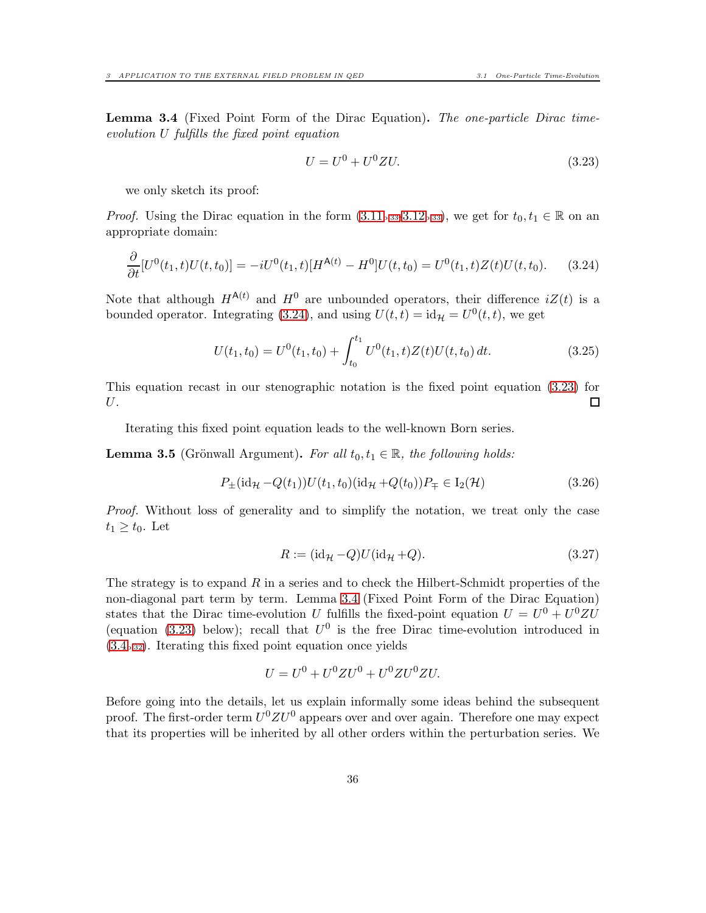<span id="page-35-1"></span>Lemma 3.4 (Fixed Point Form of the Dirac Equation). The one-particle Dirac timeevolution U fulfills the fixed point equation

<span id="page-35-4"></span><span id="page-35-3"></span>
$$
U = U^0 + U^0 Z U.
$$
\n(3.23)

we only sketch its proof:

*Proof.* Using the Dirac equation in the form  $(3.11_{p.33-}3.12_{p.33})$  $(3.11_{p.33-}3.12_{p.33})$  $(3.11_{p.33-}3.12_{p.33})$ , we get for  $t_0, t_1 \in \mathbb{R}$  on an appropriate domain:

$$
\frac{\partial}{\partial t}[U^0(t_1,t)U(t,t_0)] = -iU^0(t_1,t)[H^{A(t)} - H^0]U(t,t_0) = U^0(t_1,t)Z(t)U(t,t_0). \tag{3.24}
$$

Note that although  $H^{A(t)}$  and  $H^0$  are unbounded operators, their difference  $iZ(t)$  is a bounded operator. Integrating [\(3.24\)](#page-35-4), and using  $U(t,t) = id_{\mathcal{H}} = U^0(t,t)$ , we get

$$
U(t_1, t_0) = U^0(t_1, t_0) + \int_{t_0}^{t_1} U^0(t_1, t) Z(t) U(t, t_0) dt.
$$
 (3.25)

This equation recast in our stenographic notation is the fixed point equation [\(3.23\)](#page-35-3) for U. 口

Iterating this fixed point equation leads to the well-known Born series.

<span id="page-35-0"></span>**Lemma 3.5** (Grönwall Argument). For all  $t_0, t_1 \in \mathbb{R}$ , the following holds:

$$
P_{\pm}(\mathrm{id}_{\mathcal{H}} - Q(t_1))U(t_1, t_0)(\mathrm{id}_{\mathcal{H}} + Q(t_0))P_{\mp} \in I_2(\mathcal{H})
$$
\n(3.26)

Proof. Without loss of generality and to simplify the notation, we treat only the case  $t_1 \geq t_0$ . Let

<span id="page-35-5"></span><span id="page-35-2"></span>
$$
R := (\mathrm{id}_{\mathcal{H}} - Q)U(\mathrm{id}_{\mathcal{H}} + Q). \tag{3.27}
$$

The strategy is to expand  $R$  in a series and to check the Hilbert-Schmidt properties of the non-diagonal part term by term. Lemma [3.4](#page-35-1) (Fixed Point Form of the Dirac Equation) states that the Dirac time-evolution U fulfills the fixed-point equation  $U = U^0 + U^0 Z U$ (equation [\(3.23\)](#page-35-3) below); recall that  $U^0$  is the free Dirac time-evolution introduced in  $(3.4<sub>p.32</sub>)$  $(3.4<sub>p.32</sub>)$  $(3.4<sub>p.32</sub>)$  $(3.4<sub>p.32</sub>)$ . Iterating this fixed point equation once yields

$$
U = U^0 + U^0 Z U^0 + U^0 Z U^0 Z U.
$$

Before going into the details, let us explain informally some ideas behind the subsequent proof. The first-order term  $U^0 Z U^0$  appears over and over again. Therefore one may expect that its properties will be inherited by all other orders within the perturbation series. We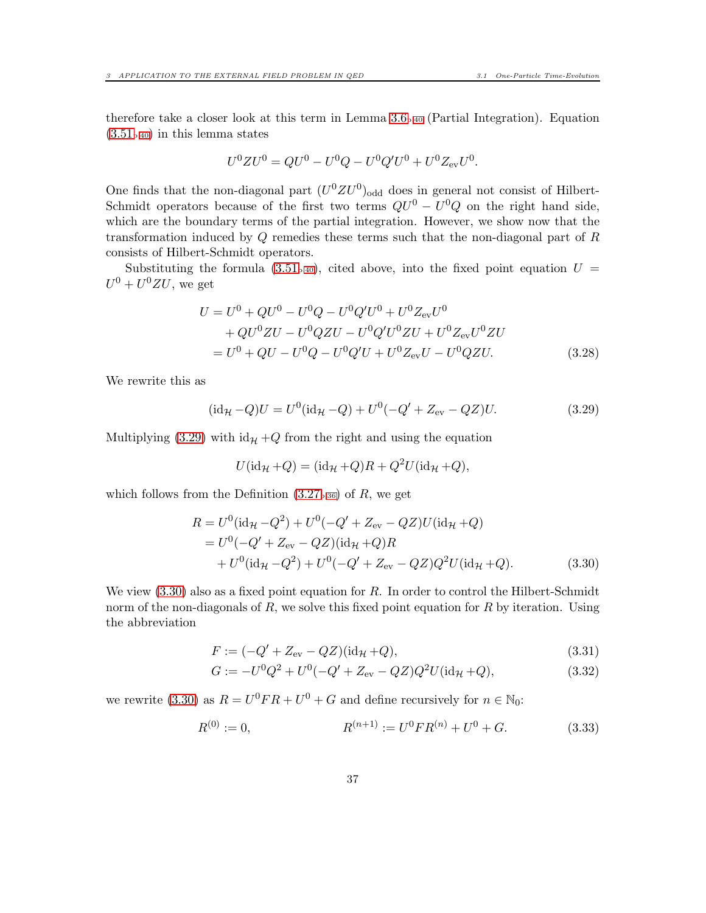therefore take a closer look at this term in Lemma  $3.6<sub>p.40</sub>$  $3.6<sub>p.40</sub>$  $3.6<sub>p.40</sub>$  (Partial Integration). Equation  $(3.51<sub>p.40</sub>)$  $(3.51<sub>p.40</sub>)$  $(3.51<sub>p.40</sub>)$  $(3.51<sub>p.40</sub>)$  in this lemma states

$$
U^{0}ZU^{0} = QU^{0} - U^{0}Q - U^{0}Q'U^{0} + U^{0}Z_{\text{ev}}U^{0}.
$$

One finds that the non-diagonal part  $(U^0 Z U^0)$ <sub>odd</sub> does in general not consist of Hilbert-Schmidt operators because of the first two terms  $QU^0 - U^0Q$  on the right hand side, which are the boundary terms of the partial integration. However, we show now that the transformation induced by Q remedies these terms such that the non-diagonal part of R consists of Hilbert-Schmidt operators.

Substituting the formula  $(3.51_{p.40})$  $(3.51_{p.40})$  $(3.51_{p.40})$ , cited above, into the fixed point equation  $U =$  $U^0 + U^0 Z U$ , we get

$$
U = U^{0} + QU^{0} - U^{0}Q - U^{0}Q'U^{0} + U^{0}Z_{\text{ev}}U^{0}
$$
  
+  $QU^{0}ZU - U^{0}QZU - U^{0}Q'U^{0}ZU + U^{0}Z_{\text{ev}}U^{0}ZU$   
=  $U^{0} + QU - U^{0}Q - U^{0}Q'U + U^{0}Z_{\text{ev}}U - U^{0}QZU.$  (3.28)

We rewrite this as

<span id="page-36-0"></span>
$$
(\mathrm{id}_{\mathcal{H}} - Q)U = U^{0}(\mathrm{id}_{\mathcal{H}} - Q) + U^{0}(-Q' + Z_{\mathrm{ev}} - QZ)U. \tag{3.29}
$$

Multiplying [\(3.29\)](#page-36-0) with  $id_{\mathcal{H}} + Q$  from the right and using the equation

<span id="page-36-1"></span>
$$
U(\mathrm{id}_{\mathcal{H}} + Q) = (\mathrm{id}_{\mathcal{H}} + Q)R + Q^2 U(\mathrm{id}_{\mathcal{H}} + Q),
$$

which follows from the Definition  $(3.27_{P.36})$  $(3.27_{P.36})$  $(3.27_{P.36})$  of R, we get

$$
R = U^{0}(\mathrm{id}_{\mathcal{H}} - Q^{2}) + U^{0}(-Q' + Z_{\mathrm{ev}} - QZ)U(\mathrm{id}_{\mathcal{H}} + Q)
$$
  
=  $U^{0}(-Q' + Z_{\mathrm{ev}} - QZ)(\mathrm{id}_{\mathcal{H}} + Q)R$   
+  $U^{0}(\mathrm{id}_{\mathcal{H}} - Q^{2}) + U^{0}(-Q' + Z_{\mathrm{ev}} - QZ)Q^{2}U(\mathrm{id}_{\mathcal{H}} + Q).$  (3.30)

We view  $(3.30)$  also as a fixed point equation for R. In order to control the Hilbert-Schmidt norm of the non-diagonals of  $R$ , we solve this fixed point equation for  $R$  by iteration. Using the abbreviation

<span id="page-36-2"></span>
$$
F := (-Q' + Z_{\text{ev}} - QZ)(\text{id}_{\mathcal{H}} + Q), \tag{3.31}
$$

<span id="page-36-3"></span>
$$
G := -U^{0}Q^{2} + U^{0}(-Q' + Z_{\text{ev}} - QZ)Q^{2}U(\text{id}_{\mathcal{H}} + Q), \qquad (3.32)
$$

we rewrite [\(3.30\)](#page-36-1) as  $R = U^0FR + U^0 + G$  and define recursively for  $n \in \mathbb{N}_0$ :

$$
R^{(0)} := 0, \qquad R^{(n+1)} := U^0 F R^{(n)} + U^0 + G. \tag{3.33}
$$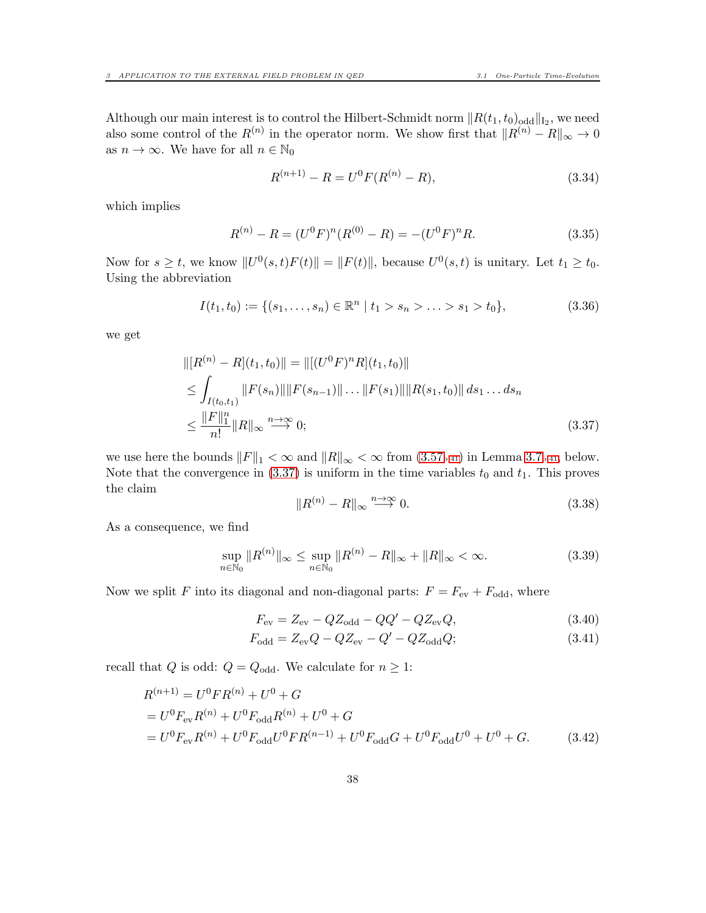Although our main interest is to control the Hilbert-Schmidt norm  $||R(t_1, t_0)_{\text{odd}}||_{I_2}$ , we need also some control of the  $R^{(n)}$  in the operator norm. We show first that  $||R^{(n)} - R||_{\infty} \to 0$ as  $n \to \infty$ . We have for all  $n \in \mathbb{N}_0$ 

$$
R^{(n+1)} - R = U^{0} F(R^{(n)} - R), \qquad (3.34)
$$

which implies

$$
R^{(n)} - R = (U^0 F)^n (R^{(0)} - R) = -(U^0 F)^n R.
$$
\n(3.35)

Now for  $s \geq t$ , we know  $||U^0(s,t)F(t)|| = ||F(t)||$ , because  $U^0(s,t)$  is unitary. Let  $t_1 \geq t_0$ . Using the abbreviation

$$
I(t_1, t_0) := \{ (s_1, \dots, s_n) \in \mathbb{R}^n \mid t_1 > s_n > \dots > s_1 > t_0 \},
$$
\n(3.36)

we get

$$
\begin{aligned} &\| [R^{(n)} - R](t_1, t_0) \| = \| [(U^0 F)^n R](t_1, t_0) \| \\ &\leq \int_{I(t_0, t_1)} \| F(s_n) \| \| F(s_{n-1}) \| \dots \| F(s_1) \| \| R(s_1, t_0) \| \, ds_1 \dots ds_n \\ &\leq \frac{\| F \|_{1}^{n}}{n!} \| R \|_{\infty} \xrightarrow{n \to \infty} 0; \end{aligned} \tag{3.37}
$$

we use here the bounds  $||F||_1 < \infty$  and  $||R||_{\infty} < \infty$  from  $(3.57_{p.41})$  $(3.57_{p.41})$  $(3.57_{p.41})$  in Lemma [3.7](#page-40-0)<sub>p.41</sub>, below. Note that the convergence in  $(3.37)$  is uniform in the time variables  $t_0$  and  $t_1$ . This proves the claim

<span id="page-37-4"></span><span id="page-37-3"></span><span id="page-37-0"></span>
$$
||R^{(n)} - R||_{\infty} \stackrel{n \to \infty}{\longrightarrow} 0. \tag{3.38}
$$

As a consequence, we find

<span id="page-37-2"></span>
$$
\sup_{n \in \mathbb{N}_0} \|R^{(n)}\|_{\infty} \le \sup_{n \in \mathbb{N}_0} \|R^{(n)} - R\|_{\infty} + \|R\|_{\infty} < \infty.
$$
\n(3.39)

Now we split F into its diagonal and non-diagonal parts:  $F = F_{ev} + F_{odd}$ , where

$$
F_{\rm ev} = Z_{\rm ev} - QZ_{\rm odd} - QQ' - QZ_{\rm ev}Q,\tag{3.40}
$$

<span id="page-37-1"></span>
$$
F_{\text{odd}} = Z_{\text{ev}}Q - QZ_{\text{ev}} - Q' - QZ_{\text{odd}}Q;
$$
\n(3.41)

recall that  $Q$  is odd:  $Q=Q_{\rm odd}.$  We calculate for  $n\geq 1:$ 

$$
R^{(n+1)} = U^{0}FR^{(n)} + U^{0} + G
$$
  
=  $U^{0}F_{\text{ev}}R^{(n)} + U^{0}F_{\text{odd}}R^{(n)} + U^{0} + G$   
=  $U^{0}F_{\text{ev}}R^{(n)} + U^{0}F_{\text{odd}}U^{0}FR^{(n-1)} + U^{0}F_{\text{odd}}G + U^{0}F_{\text{odd}}U^{0} + U^{0} + G.$  (3.42)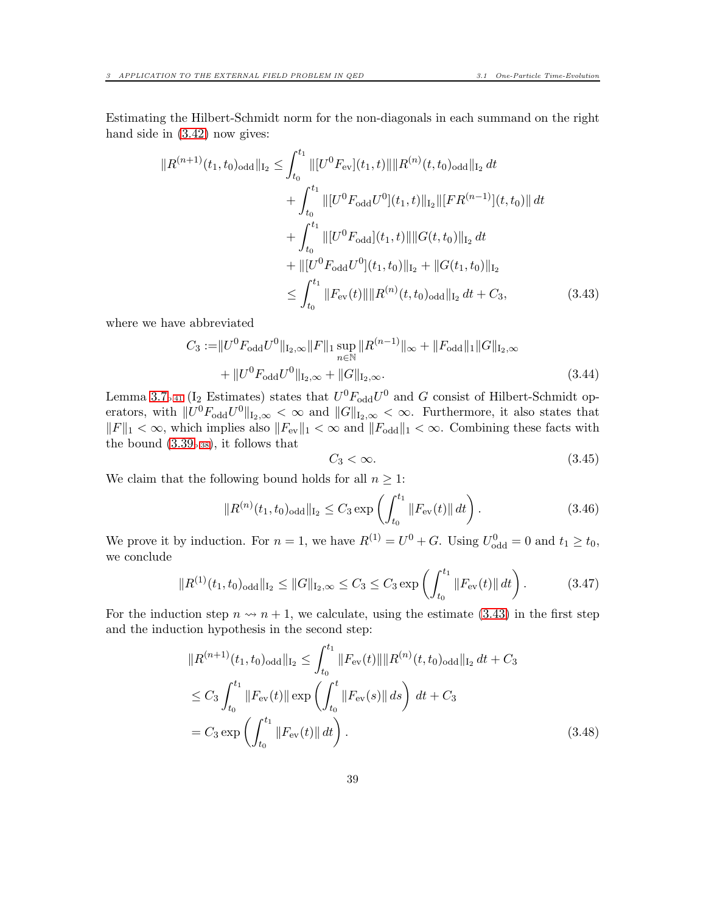Estimating the Hilbert-Schmidt norm for the non-diagonals in each summand on the right hand side in  $(3.42)$  now gives:

$$
||R^{(n+1)}(t_1, t_0)_{\text{odd}}||_{I_2} \leq \int_{t_0}^{t_1} ||[U^0 F_{\text{ev}}](t_1, t)|| ||R^{(n)}(t, t_0)_{\text{odd}}||_{I_2} dt + \int_{t_0}^{t_1} ||[U^0 F_{\text{odd}} U^0](t_1, t)||_{I_2} ||[FR^{(n-1)}](t, t_0)|| dt + \int_{t_0}^{t_1} ||[U^0 F_{\text{odd}}](t_1, t)|| ||G(t, t_0)||_{I_2} dt + ||[U^0 F_{\text{odd}} U^0](t_1, t_0)||_{I_2} + ||G(t_1, t_0)||_{I_2} \leq \int_{t_0}^{t_1} ||F_{\text{ev}}(t)|| ||R^{(n)}(t, t_0)_{\text{odd}}||_{I_2} dt + C_3,
$$
(3.43)

where we have abbreviated

$$
C_3 := ||U^0 F_{\text{odd}} U^0||_{\text{I}_2,\infty} ||F||_1 \sup_{n \in \mathbb{N}} ||R^{(n-1)}||_{\infty} + ||F_{\text{odd}}||_1 ||G||_{\text{I}_2,\infty} + ||U^0 F_{\text{odd}} U^0||_{\text{I}_2,\infty} + ||G||_{\text{I}_2,\infty}.
$$
\n(3.44)

Lemma [3.7](#page-40-0)<sub>p</sub>.<sub>41</sub> (I<sub>2</sub> Estimates) states that  $U^0F_{odd}U^0$  and G consist of Hilbert-Schmidt operators, with  $||U^0F_{odd}U^0||_{I_2,\infty} \leq \infty$  and  $||G||_{I_2,\infty} \leq \infty$ . Furthermore, it also states that  $||F||_1 < \infty$ , which implies also  $||F_{ev}||_1 < \infty$  and  $||F_{odd}||_1 < \infty$ . Combining these facts with the bound  $(3.39<sub>p.38</sub>)$  $(3.39<sub>p.38</sub>)$  $(3.39<sub>p.38</sub>)$ , it follows that

<span id="page-38-0"></span>
$$
C_3 < \infty. \tag{3.45}
$$

We claim that the following bound holds for all  $n \geq 1$ :

$$
||R^{(n)}(t_1, t_0)_{\text{odd}}||_{I_2} \le C_3 \exp\left(\int_{t_0}^{t_1} ||F_{\text{ev}}(t)|| dt\right). \tag{3.46}
$$

We prove it by induction. For  $n = 1$ , we have  $R^{(1)} = U^0 + G$ . Using  $U_{odd}^0 = 0$  and  $t_1 \ge t_0$ , we conclude

$$
||R^{(1)}(t_1, t_0)_{\text{odd}}||_{\mathcal{I}_2} \le ||G||_{\mathcal{I}_2, \infty} \le C_3 \le C_3 \exp\left(\int_{t_0}^{t_1} ||F_{\text{ev}}(t)|| dt\right). \tag{3.47}
$$

For the induction step  $n \rightarrow n + 1$ , we calculate, using the estimate [\(3.43\)](#page-38-0) in the first step and the induction hypothesis in the second step:

$$
||R^{(n+1)}(t_1, t_0)_{\text{odd}}||_{I_2} \le \int_{t_0}^{t_1} ||F_{\text{ev}}(t)|| ||R^{(n)}(t, t_0)_{\text{odd}}||_{I_2} dt + C_3
$$
  
\n
$$
\le C_3 \int_{t_0}^{t_1} ||F_{\text{ev}}(t)|| \exp\left(\int_{t_0}^t ||F_{\text{ev}}(s)|| ds\right) dt + C_3
$$
  
\n
$$
= C_3 \exp\left(\int_{t_0}^{t_1} ||F_{\text{ev}}(t)|| dt\right).
$$
\n(3.48)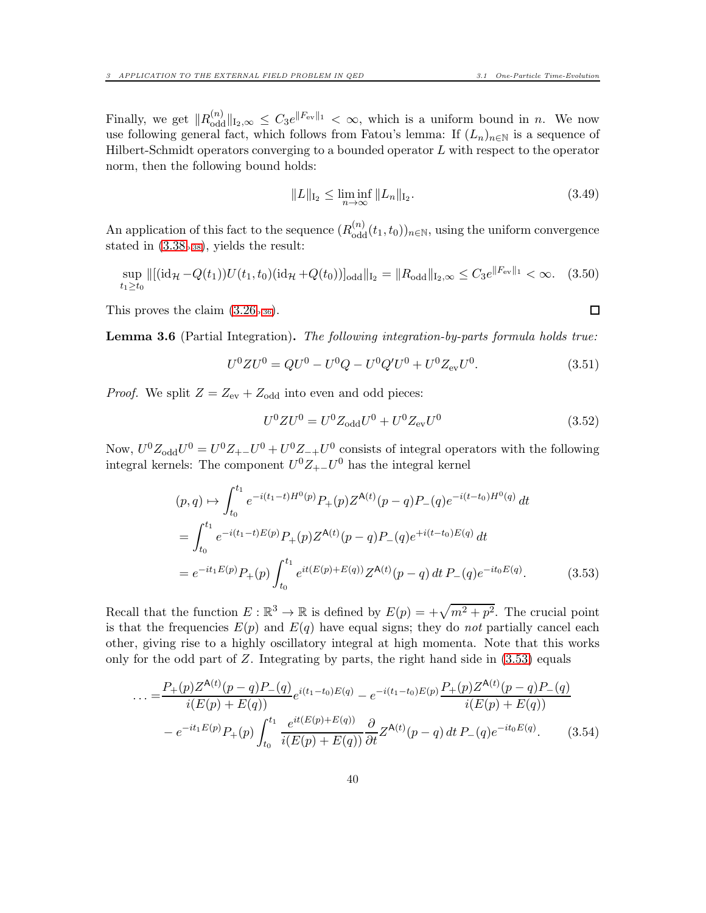Finally, we get  $||R_{odd}^{(n)}||_{I_2,\infty} \leq C_3 e^{\|F_{ev}\|_1} < \infty$ , which is a uniform bound in n. We now use following general fact, which follows from Fatou's lemma: If  $(L_n)_{n\in\mathbb{N}}$  is a sequence of Hilbert-Schmidt operators converging to a bounded operator  $L$  with respect to the operator norm, then the following bound holds:

$$
||L||_{I_2} \le \liminf_{n \to \infty} ||L_n||_{I_2}.
$$
\n(3.49)

An application of this fact to the sequence  $(R_{\text{odd}}^{(n)}(t_1, t_0))_{n \in \mathbb{N}}$ , using the uniform convergence stated in [\(3.38](#page-37-3)p[.38](#page-37-3)), yields the result:

$$
\sup_{t_1 \ge t_0} \|\left[(\mathrm{id}_{\mathcal{H}} - Q(t_1))U(t_1, t_0)(\mathrm{id}_{\mathcal{H}} + Q(t_0))\right]_{\text{odd}}\|_{I_2} = \|R_{\text{odd}}\|_{I_2, \infty} \le C_3 e^{\|F_{\text{ev}}\|_1} < \infty. \tag{3.50}
$$

This proves the claim  $(3.26_{p.36})$  $(3.26_{p.36})$  $(3.26_{p.36})$ .

<span id="page-39-0"></span>Lemma 3.6 (Partial Integration). The following integration-by-parts formula holds true:

<span id="page-39-1"></span>
$$
U^{0}ZU^{0} = QU^{0} - U^{0}Q - U^{0}Q'U^{0} + U^{0}Z_{\text{ev}}U^{0}. \qquad (3.51)
$$

*Proof.* We split  $Z = Z_{\text{ev}} + Z_{\text{odd}}$  into even and odd pieces:

<span id="page-39-4"></span>
$$
U^{0}ZU^{0} = U^{0}Z_{\text{odd}}U^{0} + U^{0}Z_{\text{ev}}U^{0}
$$
\n(3.52)

Now,  $U^0 Z_{odd} U^0 = U^0 Z_{+-} U^0 + U^0 Z_{-+} U^0$  consists of integral operators with the following integral kernels: The component  $U^0 Z_{+-} U^0$  has the integral kernel

$$
(p,q) \mapsto \int_{t_0}^{t_1} e^{-i(t_1-t)H^0(p)} P_+(p) Z^{\mathbf{A}(t)}(p-q) P_-(q) e^{-i(t-t_0)H^0(q)} dt
$$
  
= 
$$
\int_{t_0}^{t_1} e^{-i(t_1-t)E(p)} P_+(p) Z^{\mathbf{A}(t)}(p-q) P_-(q) e^{+i(t-t_0)E(q)} dt
$$
  
= 
$$
e^{-it_1 E(p)} P_+(p) \int_{t_0}^{t_1} e^{it(E(p)+E(q))} Z^{\mathbf{A}(t)}(p-q) dt P_-(q) e^{-it_0 E(q)}.
$$
(3.53)

Recall that the function  $E: \mathbb{R}^3 \to \mathbb{R}$  is defined by  $E(p) = +\sqrt{m^2 + p^2}$ . The crucial point is that the frequencies  $E(p)$  and  $E(q)$  have equal signs; they do not partially cancel each other, giving rise to a highly oscillatory integral at high momenta. Note that this works only for the odd part of  $Z$ . Integrating by parts, the right hand side in  $(3.53)$  equals

$$
\dots = \frac{P_{+}(p)Z^{\mathsf{A}(t)}(p-q)P_{-}(q)}{i(E(p) + E(q))}e^{i(t_{1}-t_{0})E(q)} - e^{-i(t_{1}-t_{0})E(p)}\frac{P_{+}(p)Z^{\mathsf{A}(t)}(p-q)P_{-}(q)}{i(E(p) + E(q))}
$$

$$
- e^{-it_{1}E(p)}P_{+}(p)\int_{t_{0}}^{t_{1}}\frac{e^{it(E(p) + E(q))}}{i(E(p) + E(q))}\frac{\partial}{\partial t}Z^{\mathsf{A}(t)}(p-q) dt P_{-}(q)e^{-it_{0}E(q)}.\tag{3.54}
$$

<span id="page-39-3"></span><span id="page-39-2"></span> $\Box$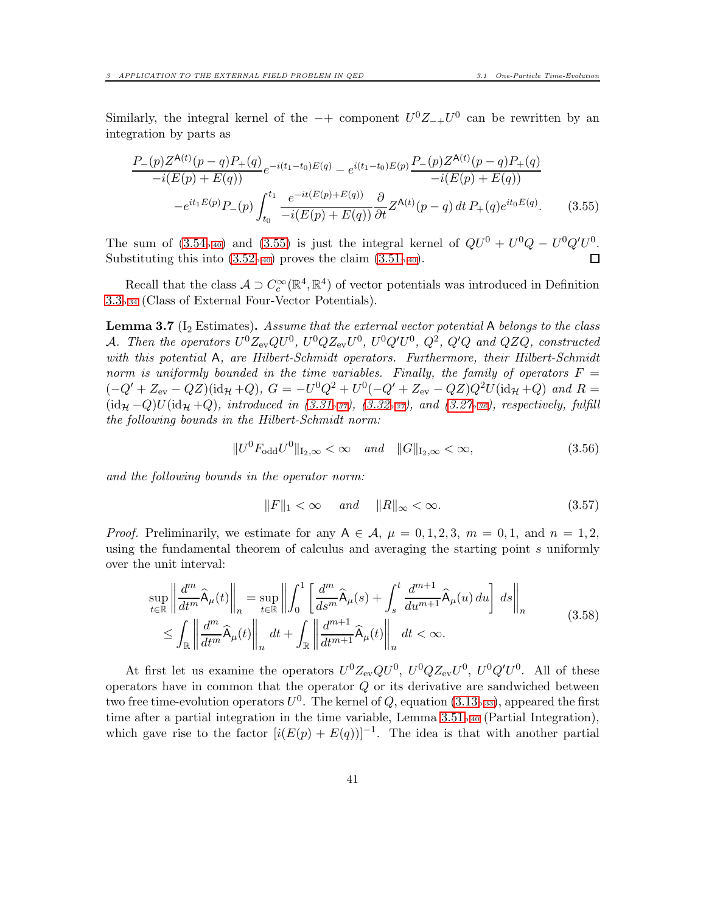Similarly, the integral kernel of the  $-+$  component  $U^0Z_{-+}U^0$  can be rewritten by an integration by parts as

$$
\frac{P_{-}(p)Z^{\mathsf{A}(t)}(p-q)P_{+}(q)}{-i(E(p)+E(q))}e^{-i(t_{1}-t_{0})E(q)} - e^{i(t_{1}-t_{0})E(p)}\frac{P_{-}(p)Z^{\mathsf{A}(t)}(p-q)P_{+}(q)}{-i(E(p)+E(q))}
$$
\n
$$
-e^{it_{1}E(p)}P_{-}(p)\int_{t_{0}}^{t_{1}}\frac{e^{-it(E(p)+E(q))}}{-i(E(p)+E(q))}\frac{\partial}{\partial t}Z^{\mathsf{A}(t)}(p-q)dt\,P_{+}(q)e^{it_{0}E(q)}.\tag{3.55}
$$

The sum of  $(3.54_{p.40})$  $(3.54_{p.40})$  $(3.54_{p.40})$  and  $(3.55)$  is just the integral kernel of  $QU^0 + U^0Q - U^0Q'U^0$ . Substituting this into  $(3.52_{p.40})$  $(3.52_{p.40})$  $(3.52_{p.40})$  proves the claim  $(3.51_{p.40})$ . П

Recall that the class  $A \supset C_c^{\infty}(\mathbb{R}^4, \mathbb{R}^4)$  of vector potentials was introduced in Definition [3.3](#page-33-1)p[.34](#page-33-1) (Class of External Four-Vector Potentials).

<span id="page-40-0"></span>**Lemma 3.7** ( $I_2$  Estimates). Assume that the external vector potential A belongs to the class A. Then the operators  $U^0Z_{\text{ev}}QU^0$ ,  $U^0QZ_{\text{ev}}U^0$ ,  $U^0Q'U^0$ ,  $Q^2$ ,  $Q'Q$  and  $QZQ$ , constructed with this potential A, are Hilbert-Schmidt operators. Furthermore, their Hilbert-Schmidt norm is uniformly bounded in the time variables. Finally, the family of operators  $F =$  $(-Q' + Z_{ev} - QZ)(id_{\mathcal{H}} + Q), G = -U^{0}Q^{2} + U^{0}(-Q' + Z_{ev} - QZ)Q^{2}U(id_{\mathcal{H}} + Q)$  and  $R =$  $(id_{\mathcal{H}}-Q)U(id_{\mathcal{H}}+Q)$ , introduced in  $(3.31<sub>p.37</sub>)$  $(3.31<sub>p.37</sub>)$  $(3.31<sub>p.37</sub>)$ ,  $(3.32<sub>p.37</sub>)$ , and  $(3.27<sub>p.36</sub>)$  $(3.27<sub>p.36</sub>)$  $(3.27<sub>p.36</sub>)$ , respectively, fulfill the following bounds in the Hilbert-Schmidt norm:

<span id="page-40-4"></span><span id="page-40-2"></span>
$$
||U^{0}F_{\text{odd}}U^{0}||_{1_{2},\infty} < \infty \quad \text{and} \quad ||G||_{1_{2},\infty} < \infty,
$$
\n(3.56)

and the following bounds in the operator norm:

<span id="page-40-3"></span><span id="page-40-1"></span>
$$
||F||_1 < \infty \quad and \quad ||R||_{\infty} < \infty. \tag{3.57}
$$

*Proof.* Preliminarily, we estimate for any  $A \in \mathcal{A}$ ,  $\mu = 0, 1, 2, 3$ ,  $m = 0, 1$ , and  $n = 1, 2$ , using the fundamental theorem of calculus and averaging the starting point s uniformly over the unit interval:

$$
\sup_{t \in \mathbb{R}} \left\| \frac{d^m}{dt^m} \widehat{A}_{\mu}(t) \right\|_{n} = \sup_{t \in \mathbb{R}} \left\| \int_0^1 \left[ \frac{d^m}{ds^m} \widehat{A}_{\mu}(s) + \int_s^t \frac{d^{m+1}}{du^{m+1}} \widehat{A}_{\mu}(u) du \right] ds \right\|_{n}
$$
\n
$$
\leq \int_{\mathbb{R}} \left\| \frac{d^m}{dt^m} \widehat{A}_{\mu}(t) \right\|_{n} dt + \int_{\mathbb{R}} \left\| \frac{d^{m+1}}{dt^{m+1}} \widehat{A}_{\mu}(t) \right\|_{n} dt < \infty.
$$
\n(3.58)

At first let us examine the operators  $U^0 Z_{ev} Q U^0$ ,  $U^0 Q Z_{ev} U^0$ ,  $U^0 Q' U^0$ . All of these operators have in common that the operator  $Q$  or its derivative are sandwiched between two free time-evolution operators  $U^0$ . The kernel of Q, equation [\(3.13](#page-32-4)<sub>p[.33](#page-32-4)</sub>), appeared the first time after a partial integration in the time variable, Lemma [3.51](#page-39-1)p[.40](#page-39-1) (Partial Integration), which gave rise to the factor  $[i(E(p) + E(q))]^{-1}$ . The idea is that with another partial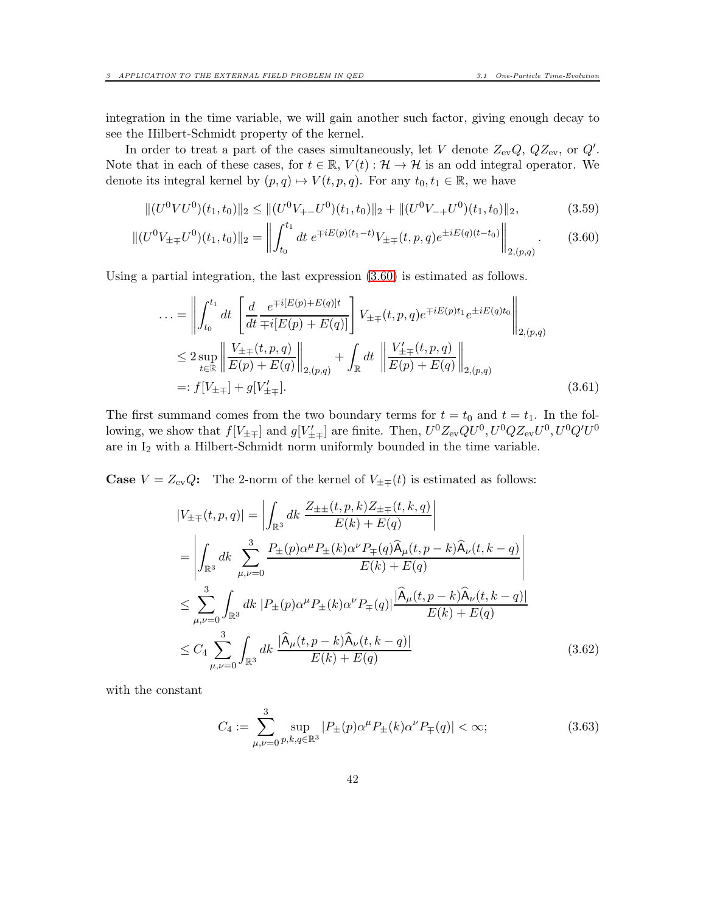integration in the time variable, we will gain another such factor, giving enough decay to see the Hilbert-Schmidt property of the kernel.

In order to treat a part of the cases simultaneously, let V denote  $Z_{ev}Q$ ,  $QZ_{ev}$ , or  $Q'$ . Note that in each of these cases, for  $t \in \mathbb{R}$ ,  $V(t): \mathcal{H} \to \mathcal{H}$  is an odd integral operator. We denote its integral kernel by  $(p, q) \mapsto V(t, p, q)$ . For any  $t_0, t_1 \in \mathbb{R}$ , we have

$$
\|(U^0 V U^0)(t_1, t_0)\|_2 \le \|(U^0 V_{+-} U^0)(t_1, t_0)\|_2 + \|(U^0 V_{-+} U^0)(t_1, t_0)\|_2,\tag{3.59}
$$

$$
\|(U^0 V_{\pm\mp} U^0)(t_1, t_0)\|_2 = \left\|\int_{t_0}^{t_1} dt \ e^{\mp iE(p)(t_1 - t)} V_{\pm\mp}(t, p, q) e^{\pm iE(q)(t - t_0)}\right\|_{2, (p, q)}.
$$
 (3.60)

Using a partial integration, the last expression [\(3.60\)](#page-41-0) is estimated as follows.

<span id="page-41-0"></span>
$$
\ldots = \left\| \int_{t_0}^{t_1} dt \left[ \frac{d}{dt} \frac{e^{\mp i[E(p) + E(q)]t}}{\mp i[E(p) + E(q)]} \right] V_{\pm \mp}(t, p, q) e^{\mp iE(p)t_1} e^{\pm iE(q)t_0} \right\|_{2, (p, q)}
$$
  
\n
$$
\leq 2 \sup_{t \in \mathbb{R}} \left\| \frac{V_{\pm \mp}(t, p, q)}{E(p) + E(q)} \right\|_{2, (p, q)} + \int_{\mathbb{R}} dt \left\| \frac{V'_{\pm \mp}(t, p, q)}{E(p) + E(q)} \right\|_{2, (p, q)}
$$
  
\n
$$
=: f[V_{\pm \mp}] + g[V'_{\pm \mp}]. \tag{3.61}
$$

The first summand comes from the two boundary terms for  $t = t_0$  and  $t = t_1$ . In the following, we show that  $f[V_{\pm\mp}]$  and  $g[V'_{\pm\mp}]$  are finite. Then,  $U^0Z_{ev}QU^0, U^0QZ_{ev}U^0, U^0Q'U^0$ are in  $I_2$  with a Hilbert-Schmidt norm uniformly bounded in the time variable.

**Case**  $V = Z_{ev}Q$ : The 2-norm of the kernel of  $V_{\pm\mp}(t)$  is estimated as follows:

<span id="page-41-2"></span>
$$
|V_{\pm\mp}(t,p,q)| = \left| \int_{\mathbb{R}^3} dk \frac{Z_{\pm\pm}(t,p,k)Z_{\pm\mp}(t,k,q)}{E(k) + E(q)} \right|
$$
  
\n
$$
= \left| \int_{\mathbb{R}^3} dk \sum_{\mu,\nu=0}^3 \frac{P_{\pm}(p)\alpha^{\mu}P_{\pm}(k)\alpha^{\nu}P_{\mp}(q)\hat{A}_{\mu}(t,p-k)\hat{A}_{\nu}(t,k-q)}{E(k) + E(q)} \right|
$$
  
\n
$$
\leq \sum_{\mu,\nu=0}^3 \int_{\mathbb{R}^3} dk \left| P_{\pm}(p)\alpha^{\mu}P_{\pm}(k)\alpha^{\nu}P_{\mp}(q) \right| \frac{|\hat{A}_{\mu}(t,p-k)\hat{A}_{\nu}(t,k-q)|}{E(k) + E(q)}
$$
  
\n
$$
\leq C_4 \sum_{\mu,\nu=0}^3 \int_{\mathbb{R}^3} dk \frac{|\hat{A}_{\mu}(t,p-k)\hat{A}_{\nu}(t,k-q)|}{E(k) + E(q)}
$$
(3.62)

with the constant

<span id="page-41-1"></span>
$$
C_4 := \sum_{\mu,\nu=0}^{3} \sup_{p,k,q \in \mathbb{R}^3} |P_{\pm}(p)\alpha^{\mu} P_{\pm}(k)\alpha^{\nu} P_{\mp}(q)| < \infty; \tag{3.63}
$$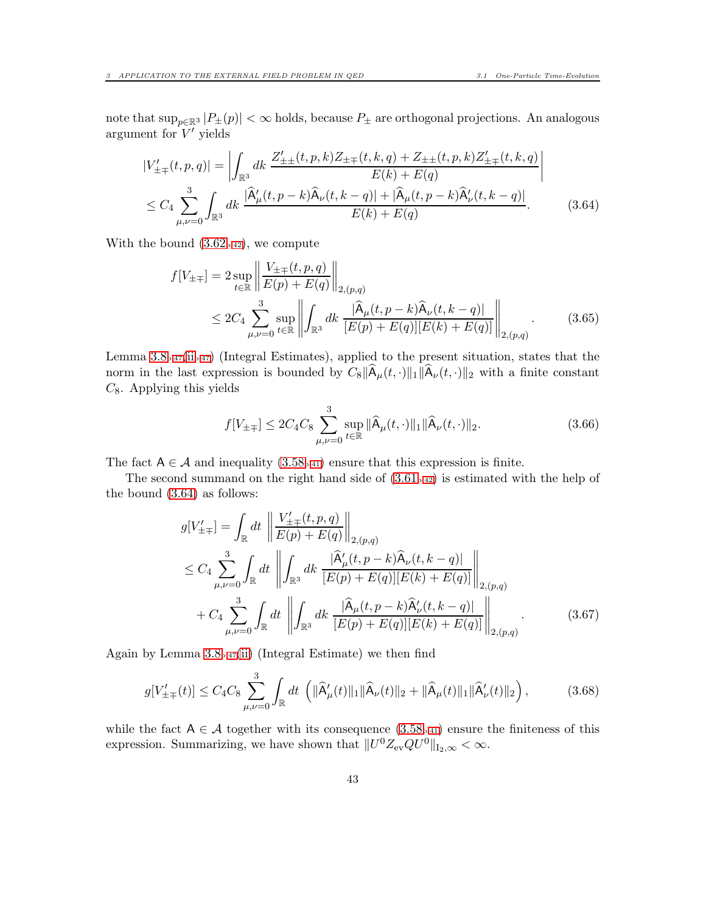note that  $\sup_{p\in\mathbb{R}^3} |P_{\pm}(p)| < \infty$  holds, because  $P_{\pm}$  are orthogonal projections. An analogous argument for  $V'$  yields

$$
|V'_{\pm\mp}(t,p,q)| = \left| \int_{\mathbb{R}^3} dk \frac{Z'_{\pm\pm}(t,p,k)Z_{\pm\mp}(t,k,q) + Z_{\pm\pm}(t,p,k)Z'_{\pm\mp}(t,k,q)}{E(k) + E(q)} \right|
$$
  

$$
\leq C_4 \sum_{\mu,\nu=0}^3 \int_{\mathbb{R}^3} dk \frac{|\hat{A}'_{\mu}(t,p-k)\hat{A}_{\nu}(t,k-q)| + |\hat{A}_{\mu}(t,p-k)\hat{A}'_{\nu}(t,k-q)|}{E(k) + E(q)}.
$$
(3.64)

With the bound  $(3.62<sub>p.42</sub>)$  $(3.62<sub>p.42</sub>)$  $(3.62<sub>p.42</sub>)$ , we compute

<span id="page-42-0"></span>
$$
f[V_{\pm\mp}] = 2 \sup_{t \in \mathbb{R}} \left\| \frac{V_{\pm\mp}(t, p, q)}{E(p) + E(q)} \right\|_{2, (p, q)} \n\leq 2C_4 \sum_{\mu, \nu=0}^3 \sup_{t \in \mathbb{R}} \left\| \int_{\mathbb{R}^3} dk \frac{|\hat{A}_{\mu}(t, p - k)\hat{A}_{\nu}(t, k - q)|}{[E(p) + E(q)][E(k) + E(q)]} \right\|_{2, (p, q)}.
$$
\n(3.65)

Lemma  $3.8_{p.47}$  $3.8_{p.47}$  $3.8_{p.47}$ [\(ii](#page-46-1)<sub>p.47</sub>) (Integral Estimates), applied to the present situation, states that the norm in the last expression is bounded by  $C_8\|\hat{A}_{\mu}(t,\cdot)\|_1\|\hat{A}_{\nu}(t,\cdot)\|_2$  with a finite constant  $C_8$ . Applying this yields

$$
f[V_{\pm\mp}] \le 2C_4 C_8 \sum_{\mu,\nu=0}^3 \sup_{t \in \mathbb{R}} ||\widehat{\mathsf{A}}_{\mu}(t,\cdot)||_1 ||\widehat{\mathsf{A}}_{\nu}(t,\cdot)||_2. \tag{3.66}
$$

The fact  $A \in \mathcal{A}$  and inequality  $(3.58_{p.41})$  $(3.58_{p.41})$  $(3.58_{p.41})$  ensure that this expression is finite.

The second summand on the right hand side of  $(3.61<sub>p.42</sub>)$  $(3.61<sub>p.42</sub>)$  $(3.61<sub>p.42</sub>)$  is estimated with the help of the bound [\(3.64\)](#page-42-0) as follows:

$$
g[V'_{\pm\mp}] = \int_{\mathbb{R}} dt \left\| \frac{V'_{\pm\mp}(t, p, q)}{E(p) + E(q)} \right\|_{2, (p, q)}
$$
  
\n
$$
\leq C_4 \sum_{\mu, \nu=0}^3 \int_{\mathbb{R}} dt \left\| \int_{\mathbb{R}^3} dk \frac{|\widehat{A}'_{\mu}(t, p - k)\widehat{A}_{\nu}(t, k - q)|}{[E(p) + E(q)][E(k) + E(q)]} \right\|_{2, (p, q)}
$$
  
\n
$$
+ C_4 \sum_{\mu, \nu=0}^3 \int_{\mathbb{R}} dt \left\| \int_{\mathbb{R}^3} dk \frac{|\widehat{A}_{\mu}(t, p - k)\widehat{A}'_{\nu}(t, k - q)|}{[E(p) + E(q)][E(k) + E(q)]} \right\|_{2, (p, q)}.
$$
(3.67)

Again by Lemma  $3.8<sub>p.47</sub>(ii)$  $3.8<sub>p.47</sub>(ii)$  $3.8<sub>p.47</sub>(ii)$  $3.8<sub>p.47</sub>(ii)$  (Integral Estimate) we then find

$$
g[V'_{\pm\mp}(t)] \le C_4 C_8 \sum_{\mu,\nu=0}^3 \int_{\mathbb{R}} dt \, \left( \|\widehat{A}'_{\mu}(t)\|_1 \|\widehat{A}_{\nu}(t)\|_2 + \|\widehat{A}_{\mu}(t)\|_1 \|\widehat{A}'_{\nu}(t)\|_2 \right),\tag{3.68}
$$

while the fact  $A \in \mathcal{A}$  together with its consequence  $(3.58_{p.41})$  $(3.58_{p.41})$  $(3.58_{p.41})$  ensure the finiteness of this expression. Summarizing, we have shown that  $||U^0 Z_{ev} Q U^0||_{L_2,\infty} < \infty$ .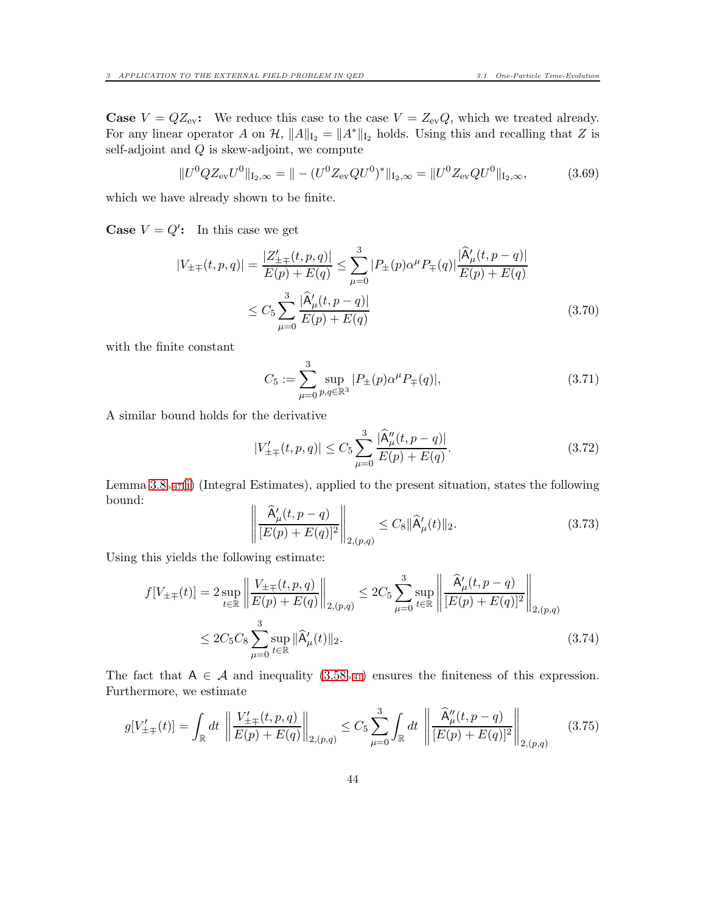**Case**  $V = QZ_{ev}$ : We reduce this case to the case  $V = Z_{ev}Q$ , which we treated already. For any linear operator A on  $\mathcal{H}, \|A\|_{I_2} = \|A^*\|_{I_2}$  holds. Using this and recalling that Z is self-adjoint and  $Q$  is skew-adjoint, we compute

$$
||U^{0}QZ_{\text{ev}}U^{0}||_{\text{I}_{2},\infty} = || - (U^{0}Z_{\text{ev}}QU^{0})^{*}||_{\text{I}_{2},\infty} = ||U^{0}Z_{\text{ev}}QU^{0}||_{\text{I}_{2},\infty},
$$
(3.69)

which we have already shown to be finite.

**Case**  $V = Q'$ : In this case we get

$$
|V_{\pm\mp}(t,p,q)| = \frac{|Z'_{\pm\mp}(t,p,q)|}{E(p)+E(q)} \le \sum_{\mu=0}^{3} |P_{\pm}(p)\alpha^{\mu}P_{\mp}(q)| \frac{|\hat{A}'_{\mu}(t,p-q)|}{E(p)+E(q)} \le C_5 \sum_{\mu=0}^{3} \frac{|\hat{A}'_{\mu}(t,p-q)|}{E(p)+E(q)}
$$
\n(3.70)

with the finite constant

$$
C_5 := \sum_{\mu=0}^{3} \sup_{p,q \in \mathbb{R}^3} |P_{\pm}(p)\alpha^{\mu} P_{\mp}(q)|,
$$
\n(3.71)

A similar bound holds for the derivative

$$
|V'_{\pm\mp}(t,p,q)| \le C_5 \sum_{\mu=0}^3 \frac{|\hat{A}''_{\mu}(t,p-q)|}{E(p)+E(q)}.
$$
\n(3.72)

Lemma [3.8](#page-46-0)p[.47](#page-46-0)[\(i\)](#page-46-2) (Integral Estimates), applied to the present situation, states the following bound:

$$
\left\| \frac{\widehat{A}'_{\mu}(t, p - q)}{[E(p) + E(q)]^2} \right\|_{2, (p, q)} \le C_8 \|\widehat{A}'_{\mu}(t)\|_2.
$$
 (3.73)

Using this yields the following estimate:

$$
f[V_{\pm\mp}(t)] = 2 \sup_{t \in \mathbb{R}} \left\| \frac{V_{\pm\mp}(t, p, q)}{E(p) + E(q)} \right\|_{2,(p,q)} \le 2C_5 \sum_{\mu=0}^3 \sup_{t \in \mathbb{R}} \left\| \frac{\hat{A}'_{\mu}(t, p - q)}{[E(p) + E(q)]^2} \right\|_{2,(p,q)} \le 2C_5 C_8 \sum_{\mu=0}^3 \sup_{t \in \mathbb{R}} \|\hat{A}'_{\mu}(t)\|_2.
$$
\n(3.74)

The fact that  $A \in \mathcal{A}$  and inequality  $(3.58_{p.41})$  $(3.58_{p.41})$  $(3.58_{p.41})$  ensures the finiteness of this expression. Furthermore, we estimate

$$
g[V'_{\pm\mp}(t)] = \int_{\mathbb{R}} dt \, \left\| \frac{V'_{\pm\mp}(t, p, q)}{E(p) + E(q)} \right\|_{2,(p,q)} \le C_5 \sum_{\mu=0}^3 \int_{\mathbb{R}} dt \, \left\| \frac{\hat{A}''_{\mu}(t, p-q)}{[E(p) + E(q)]^2} \right\|_{2,(p,q)} \tag{3.75}
$$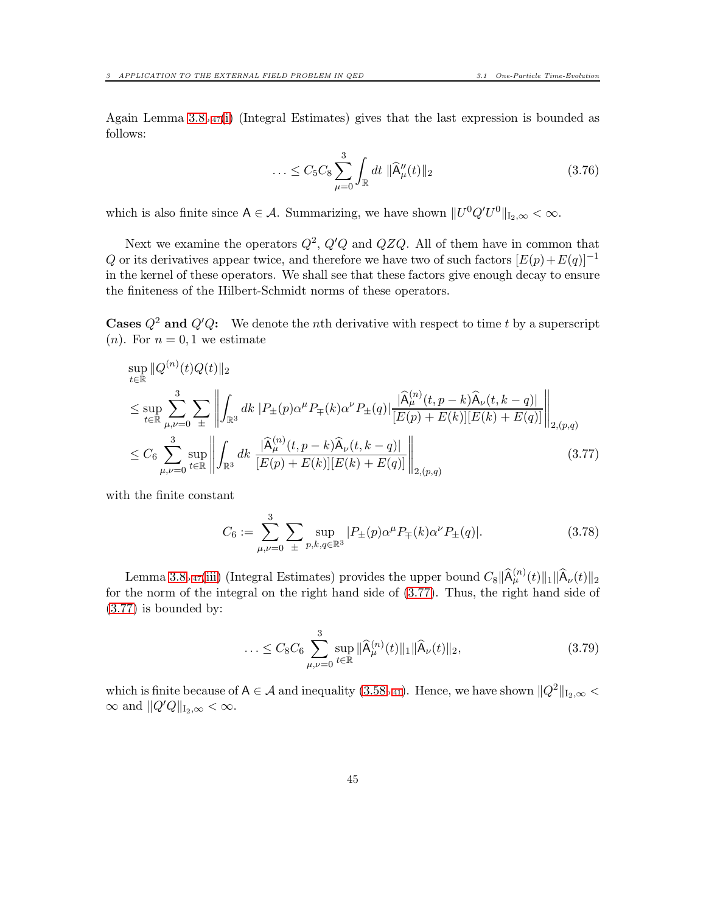Again Lemma  $3.8_{p.47}(i)$  $3.8_{p.47}(i)$  $3.8_{p.47}(i)$  $3.8_{p.47}(i)$  (Integral Estimates) gives that the last expression is bounded as follows:

$$
\ldots \leq C_5 C_8 \sum_{\mu=0}^3 \int_{\mathbb{R}} dt \, \|\widehat{\mathsf{A}}''_{\mu}(t)\|_2 \tag{3.76}
$$

which is also finite since  $A \in \mathcal{A}$ . Summarizing, we have shown  $||U^0 Q' U^0||_{L_2,\infty} < \infty$ .

Next we examine the operators  $Q^2$ ,  $Q'Q$  and  $QZQ$ . All of them have in common that Q or its derivatives appear twice, and therefore we have two of such factors  $[E(p)+E(q)]^{-1}$ in the kernel of these operators. We shall see that these factors give enough decay to ensure the finiteness of the Hilbert-Schmidt norms of these operators.

**Cases**  $Q^2$  and  $Q'Q$ : We denote the *n*th derivative with respect to time t by a superscript  $(n)$ . For  $n = 0, 1$  we estimate

$$
\sup_{t \in \mathbb{R}} \|Q^{(n)}(t)Q(t)\|_{2}
$$
\n
$$
\leq \sup_{t \in \mathbb{R}} \sum_{\mu,\nu=0}^{3} \sum_{\pm} \left\| \int_{\mathbb{R}^{3}} dk \left| P_{\pm}(p) \alpha^{\mu} P_{\mp}(k) \alpha^{\nu} P_{\pm}(q) \right| \frac{|\widehat{A}^{(n)}_{\mu}(t, p - k)\widehat{A}_{\nu}(t, k - q)|}{[E(p) + E(k)][E(k) + E(q)]} \right\|_{2, (p,q)} \leq C_{6} \sum_{\mu,\nu=0}^{3} \sup_{t \in \mathbb{R}} \left\| \int_{\mathbb{R}^{3}} dk \left| \frac{|\widehat{A}^{(n)}_{\mu}(t, p - k)\widehat{A}_{\nu}(t, k - q)|}{[E(p) + E(k)][E(k) + E(q)]} \right| \right\|_{2, (p,q)} \tag{3.77}
$$

with the finite constant

<span id="page-44-0"></span>
$$
C_6 := \sum_{\mu,\nu=0}^{3} \sum_{\pm} \sup_{p,k,q \in \mathbb{R}^3} |P_{\pm}(p)\alpha^{\mu} P_{\mp}(k)\alpha^{\nu} P_{\pm}(q)|. \tag{3.78}
$$

Lemma [3.8](#page-46-0)<sub>p</sub>.<sub>47</sub>[\(iii\)](#page-46-3) (Integral Estimates) provides the upper bound  $C_8\|\widehat{A}_{\mu}^{(n)}(t)\|_1 \|\widehat{A}_{\nu}(t)\|_2$ for the norm of the integral on the right hand side of [\(3.77\)](#page-44-0). Thus, the right hand side of [\(3.77\)](#page-44-0) is bounded by:

$$
\ldots \leq C_8 C_6 \sum_{\mu,\nu=0}^3 \sup_{t \in \mathbb{R}} \|\widehat{\mathsf{A}}_{\mu}^{(n)}(t)\|_1 \|\widehat{\mathsf{A}}_{\nu}(t)\|_2, \tag{3.79}
$$

which is finite because of A  $\in \mathcal{A}$  and inequality [\(3.58](#page-40-3)<sub>p[.41](#page-40-3)</sub>). Hence, we have shown  $||Q^2||_{I_2,\infty}$  <  $\infty$  and  $\|Q'Q\|_{\mathrm{I}_2,\infty}<\infty.$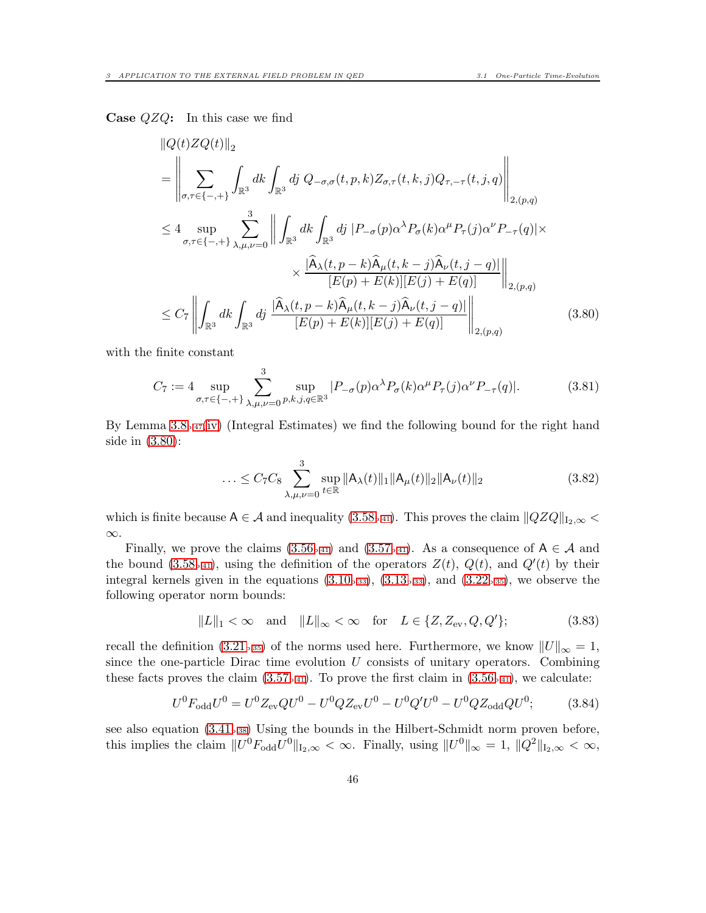**Case**  $QZQ$ : In this case we find

$$
\|Q(t)ZQ(t)\|_{2}
$$
\n
$$
= \left\|\sum_{\sigma,\tau\in\{-,+\}}\int_{\mathbb{R}^{3}}dk \int_{\mathbb{R}^{3}}dj \ Q_{-\sigma,\sigma}(t,p,k)Z_{\sigma,\tau}(t,k,j)Q_{\tau,-\tau}(t,j,q)\right\|_{2,(p,q)}
$$
\n
$$
\leq 4 \sup_{\sigma,\tau\in\{-,+\}}\sum_{\lambda,\mu,\nu=0}^{3} \left\|\int_{\mathbb{R}^{3}}dk \int_{\mathbb{R}^{3}}dj \ |P_{-\sigma}(p)\alpha^{\lambda}P_{\sigma}(k)\alpha^{\mu}P_{\tau}(j)\alpha^{\nu}P_{-\tau}(q)| \times \frac{|\widehat{A}_{\lambda}(t,p-k)\widehat{A}_{\mu}(t,k-j)\widehat{A}_{\nu}(t,j-q)|}{[E(p)+E(k)][E(j)+E(q)]}\right\|_{2,(p,q)}
$$
\n
$$
\leq C_{7} \left\|\int_{\mathbb{R}^{3}}dk \int_{\mathbb{R}^{3}}dj \ \frac{|\widehat{A}_{\lambda}(t,p-k)\widehat{A}_{\mu}(t,k-j)\widehat{A}_{\nu}(t,j-q)|}{[E(p)+E(k)][E(j)+E(q)]}\right\|_{2,(p,q)} \tag{3.80}
$$

with the finite constant

$$
C_7 := 4 \sup_{\sigma,\tau \in \{-,+\}} \sum_{\lambda,\mu,\nu=0}^3 \sup_{p,k,j,q \in \mathbb{R}^3} |P_{-\sigma}(p)\alpha^\lambda P_\sigma(k)\alpha^\mu P_\tau(j)\alpha^\nu P_{-\tau}(q)|. \tag{3.81}
$$

By Lemma  $3.8_{p.47}$  $3.8_{p.47}$  $3.8_{p.47}$ [\(iv\)](#page-46-4) (Integral Estimates) we find the following bound for the right hand side in [\(3.80\)](#page-45-0):

<span id="page-45-0"></span>
$$
\ldots \leq C_7 C_8 \sum_{\lambda,\mu,\nu=0}^3 \sup_{t \in \mathbb{R}} \|A_{\lambda}(t)\|_1 \|A_{\mu}(t)\|_2 \|A_{\nu}(t)\|_2 \tag{3.82}
$$

which is finite because  $A \in \mathcal{A}$  and inequality  $(3.58_{p.41})$  $(3.58_{p.41})$  $(3.58_{p.41})$ . This proves the claim  $||QZQ||_{I_{2,\infty}} <$ ∞.

Finally, we prove the claims [\(3.56](#page-40-4)<sub>p[.41](#page-40-1)</sub>) and [\(3.57](#page-40-1)<sub>p.41</sub>). As a consequence of  $A \in \mathcal{A}$  and the bound [\(3.58](#page-40-3)<sub>p[.41](#page-40-3)</sub>), using the definition of the operators  $Z(t)$ ,  $Q(t)$ , and  $Q'(t)$  by their integral kernels given in the equations  $(3.10<sub>p.33</sub>)$  $(3.10<sub>p.33</sub>)$  $(3.10<sub>p.33</sub>)$ ,  $(3.13<sub>p.33</sub>)$ , and  $(3.22<sub>p.35</sub>)$  $(3.22<sub>p.35</sub>)$  $(3.22<sub>p.35</sub>)$ , we observe the following operator norm bounds:

<span id="page-45-1"></span>
$$
||L||_1 < \infty \quad \text{and} \quad ||L||_{\infty} < \infty \quad \text{for} \quad L \in \{Z, Z_{\text{ev}}, Q, Q'\};\tag{3.83}
$$

recall the definition [\(3.21](#page-34-1)<sub>p[.35](#page-34-1)</sub>) of the norms used here. Furthermore, we know  $||U||_{\infty} = 1$ , since the one-particle Dirac time evolution  $U$  consists of unitary operators. Combining these facts proves the claim  $(3.57_{p.41})$  $(3.57_{p.41})$  $(3.57_{p.41})$ . To prove the first claim in  $(3.56_{p.41})$ , we calculate:

$$
U^{0}F_{\text{odd}}U^{0} = U^{0}Z_{\text{ev}}QU^{0} - U^{0}QZ_{\text{ev}}U^{0} - U^{0}Q'U^{0} - U^{0}QZ_{\text{odd}}QU^{0};
$$
(3.84)

see also equation  $(3.41_{p.38})$  $(3.41_{p.38})$  $(3.41_{p.38})$  Using the bounds in the Hilbert-Schmidt norm proven before, this implies the claim  $||U^0F_{odd}U^0||_{L_2,\infty} < \infty$ . Finally, using  $||U^0||_{\infty} = 1$ ,  $||Q^2||_{L_2,\infty} < \infty$ ,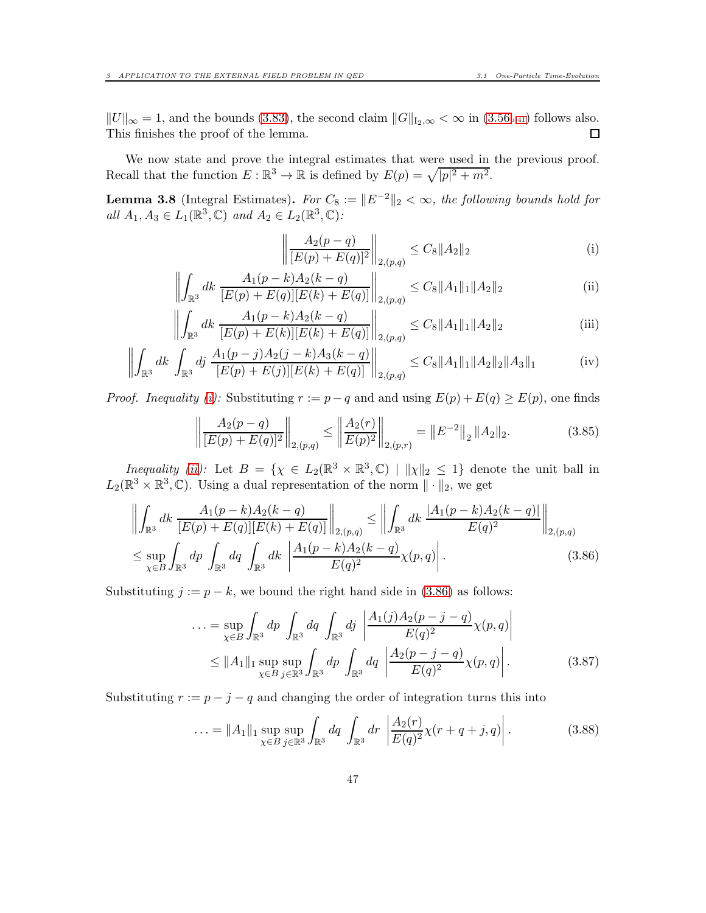$||U||_{\infty} = 1$ , and the bounds [\(3.83\)](#page-45-1), the second claim  $||G||_{I_2,\infty} < \infty$  in [\(3.56](#page-40-4)<sub>p[.41](#page-40-4)</sub>) follows also.<br>This finishes the proof of the lemma. This finishes the proof of the lemma.

We now state and prove the integral estimates that were used in the previous proof. Recall that the function  $E: \mathbb{R}^3 \to \mathbb{R}$  is defined by  $E(p) = \sqrt{|p|^2 + m^2}$ .

<span id="page-46-0"></span>**Lemma 3.8** (Integral Estimates). For  $C_8 := ||E^{-2}||_2 < \infty$ , the following bounds hold for all  $A_1, A_3 \in L_1(\mathbb{R}^3, \mathbb{C})$  and  $A_2 \in L_2(\mathbb{R}^3, \mathbb{C})$ :

<span id="page-46-4"></span><span id="page-46-3"></span><span id="page-46-2"></span><span id="page-46-1"></span>
$$
\left\| \frac{A_2(p-q)}{[E(p)+E(q)]^2} \right\|_{2,(p,q)} \le C_8 \|A_2\|_2 \tag{i}
$$

$$
\left\| \int_{\mathbb{R}^3} dk \, \frac{A_1(p-k)A_2(k-q)}{[E(p)+E(q)][E(k)+E(q)]} \right\|_{2,(p,q)} \le C_8 \|A_1\|_1 \|A_2\|_2
$$
 (ii)

$$
\left\| \int_{\mathbb{R}^3} dk \frac{A_1(p-k)A_2(k-q)}{[E(p)+E(k)][E(k)+E(q)]} \right\|_{2,(p,q)} \le C_8 \|A_1\|_1 \|A_2\|_2
$$
 (iii)

$$
\left\| \int_{\mathbb{R}^3} dk \int_{\mathbb{R}^3} dj \left. \frac{A_1(p-j)A_2(j-k)A_3(k-q)}{[E(p)+E(j)][E(k)+E(q)]} \right\|_{2,(p,q)} \le C_8 \|A_1\|_1 \|A_2\|_2 \|A_3\|_1 \right\} \tag{iv}
$$

*Proof. Inequality [\(i\)](#page-46-2):* Substituting  $r := p - q$  and and using  $E(p) + E(q) \ge E(p)$ , one finds

$$
\left\| \frac{A_2(p-q)}{[E(p)+E(q)]^2} \right\|_{2,(p,q)} \le \left\| \frac{A_2(r)}{E(p)^2} \right\|_{2,(p,r)} = \left\| E^{-2} \right\|_2 \| A_2 \|_2.
$$
 (3.85)

*Inequality [\(ii\)](#page-46-1)*: Let  $B = \{ \chi \in L_2(\mathbb{R}^3 \times \mathbb{R}^3, \mathbb{C}) \mid ||\chi||_2 \leq 1 \}$  denote the unit ball in  $L_2(\mathbb{R}^3 \times \mathbb{R}^3, \mathbb{C})$ . Using a dual representation of the norm  $\|\cdot\|_2$ , we get

$$
\left\| \int_{\mathbb{R}^3} dk \frac{A_1(p-k)A_2(k-q)}{[E(p)+E(q)][E(k)+E(q)]} \right\|_{2,(p,q)} \le \left\| \int_{\mathbb{R}^3} dk \frac{|A_1(p-k)A_2(k-q)|}{E(q)^2} \right\|_{2,(p,q)}
$$
  

$$
\le \sup_{\chi \in B} \int_{\mathbb{R}^3} dp \int_{\mathbb{R}^3} dq \int_{\mathbb{R}^3} dk \left\| \frac{A_1(p-k)A_2(k-q)}{E(q)^2} \chi(p,q) \right\|.
$$
 (3.86)

Substituting  $j := p - k$ , we bound the right hand side in [\(3.86\)](#page-46-5) as follows:

<span id="page-46-5"></span>
$$
\ldots = \sup_{\chi \in B} \int_{\mathbb{R}^3} dp \int_{\mathbb{R}^3} dq \int_{\mathbb{R}^3} dj \left| \frac{A_1(j) A_2(p-j-q)}{E(q)^2} \chi(p,q) \right|
$$
  
 
$$
\leq ||A_1||_1 \sup_{\chi \in B} \sup_{j \in \mathbb{R}^3} \int_{\mathbb{R}^3} dp \int_{\mathbb{R}^3} dq \left| \frac{A_2(p-j-q)}{E(q)^2} \chi(p,q) \right|.
$$
 (3.87)

Substituting  $r := p - j - q$  and changing the order of integration turns this into

$$
\ldots = \|A_1\|_1 \sup_{\chi \in B} \sup_{j \in \mathbb{R}^3} \int_{\mathbb{R}^3} dq \int_{\mathbb{R}^3} dr \left| \frac{A_2(r)}{E(q)^2} \chi(r+q+j, q) \right|.
$$
 (3.88)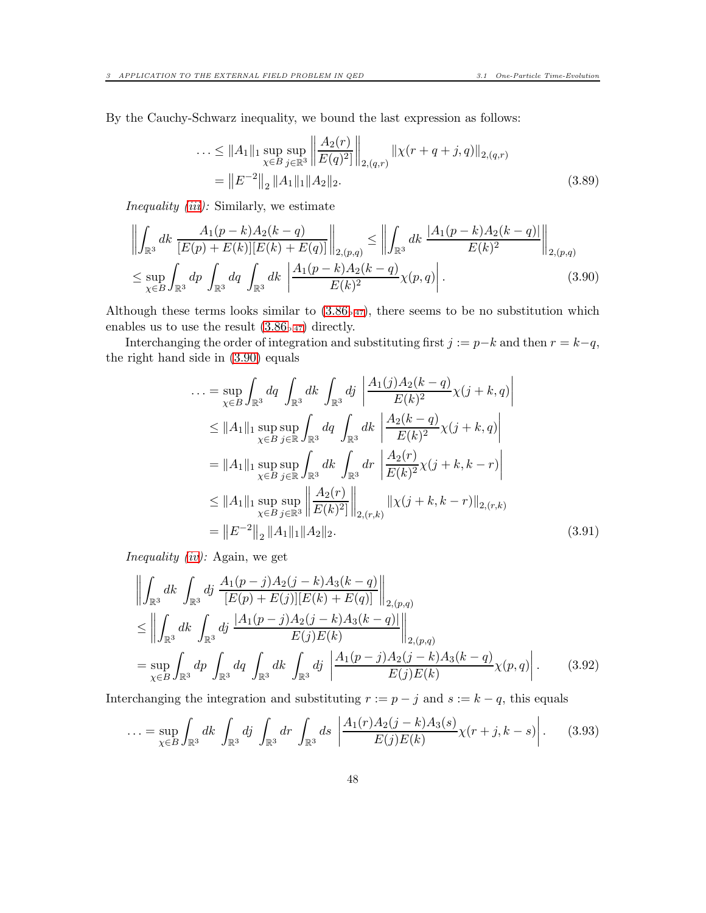By the Cauchy-Schwarz inequality, we bound the last expression as follows:

<span id="page-47-0"></span>
$$
\dots \le \|A_1\|_1 \sup_{\chi \in B} \sup_{j \in \mathbb{R}^3} \left\| \frac{A_2(r)}{E(q)^2} \right\|_{2,(q,r)} \left\| \chi(r+q+j,q) \right\|_{2,(q,r)} \n= \left\| E^{-2} \right\|_2 \|A_1\|_1 \|A_2\|_2.
$$
\n(3.89)

Inequality [\(iii\)](#page-46-3): Similarly, we estimate

$$
\left\| \int_{\mathbb{R}^3} dk \frac{A_1(p-k)A_2(k-q)}{[E(p)+E(k)][E(k)+E(q)]} \right\|_{2,(p,q)} \le \left\| \int_{\mathbb{R}^3} dk \frac{|A_1(p-k)A_2(k-q)|}{E(k)^2} \right\|_{2,(p,q)} \le \sup_{\chi \in B} \int_{\mathbb{R}^3} dp \int_{\mathbb{R}^3} dq \int_{\mathbb{R}^3} dk \left| \frac{A_1(p-k)A_2(k-q)}{E(k)^2} \chi(p,q) \right|.
$$
\n(3.90)

Although these terms looks similar to  $(3.86<sub>p.47</sub>)$  $(3.86<sub>p.47</sub>)$  $(3.86<sub>p.47</sub>)$ , there seems to be no substitution which enables us to use the result  $(3.86<sub>p.47</sub>)$  $(3.86<sub>p.47</sub>)$  $(3.86<sub>p.47</sub>)$  directly.

Interchanging the order of integration and substituting first  $j := p-k$  and then  $r = k-q$ , the right hand side in [\(3.90\)](#page-47-0) equals

$$
\begin{split}\n\ldots &= \sup_{\chi \in B} \int_{\mathbb{R}^3} dq \int_{\mathbb{R}^3} dk \int_{\mathbb{R}^3} dj \left| \frac{A_1(j)A_2(k-q)}{E(k)^2} \chi(j+k,q) \right| \\
&\leq \|A_1\|_1 \sup_{\chi \in B} \sup_{j \in \mathbb{R}} \int_{\mathbb{R}^3} dq \int_{\mathbb{R}^3} dk \left| \frac{A_2(k-q)}{E(k)^2} \chi(j+k,q) \right| \\
&= \|A_1\|_1 \sup_{\chi \in B} \sup_{j \in \mathbb{R}} \int_{\mathbb{R}^3} dk \int_{\mathbb{R}^3} dr \left| \frac{A_2(r)}{E(k)^2} \chi(j+k,k-r) \right| \\
&\leq \|A_1\|_1 \sup_{\chi \in B} \sup_{j \in \mathbb{R}^3} \left\| \frac{A_2(r)}{E(k)^2} \right\|_{2,(r,k)} \left\| \chi(j+k,k-r) \right\|_{2,(r,k)} \\
&= \left\| E^{-2} \right\|_2 \|A_1\|_1 \|A_2\|_2.\n\end{split} \tag{3.91}
$$

Inequality [\(iv\)](#page-46-4): Again, we get

$$
\left\| \int_{\mathbb{R}^3} dk \int_{\mathbb{R}^3} dj \frac{A_1(p-j)A_2(j-k)A_3(k-q)}{[E(p)+E(j)][E(k)+E(q)]} \right\|_{2,(p,q)} \n\leq \left\| \int_{\mathbb{R}^3} dk \int_{\mathbb{R}^3} dj \frac{|A_1(p-j)A_2(j-k)A_3(k-q)|}{E(j)E(k)} \right\|_{2,(p,q)} \n= \sup_{\chi \in B} \int_{\mathbb{R}^3} dp \int_{\mathbb{R}^3} dq \int_{\mathbb{R}^3} dk \int_{\mathbb{R}^3} dj \left| \frac{A_1(p-j)A_2(j-k)A_3(k-q)}{E(j)E(k)} \chi(p,q) \right|.
$$
\n(3.92)

Interchanging the integration and substituting  $r := p - j$  and  $s := k - q$ , this equals

<span id="page-47-1"></span>
$$
\ldots = \sup_{\chi \in B} \int_{\mathbb{R}^3} dk \int_{\mathbb{R}^3} dj \int_{\mathbb{R}^3} dr \int_{\mathbb{R}^3} ds \left| \frac{A_1(r) A_2(j-k) A_3(s)}{E(j)E(k)} \chi(r+j, k-s) \right|.
$$
 (3.93)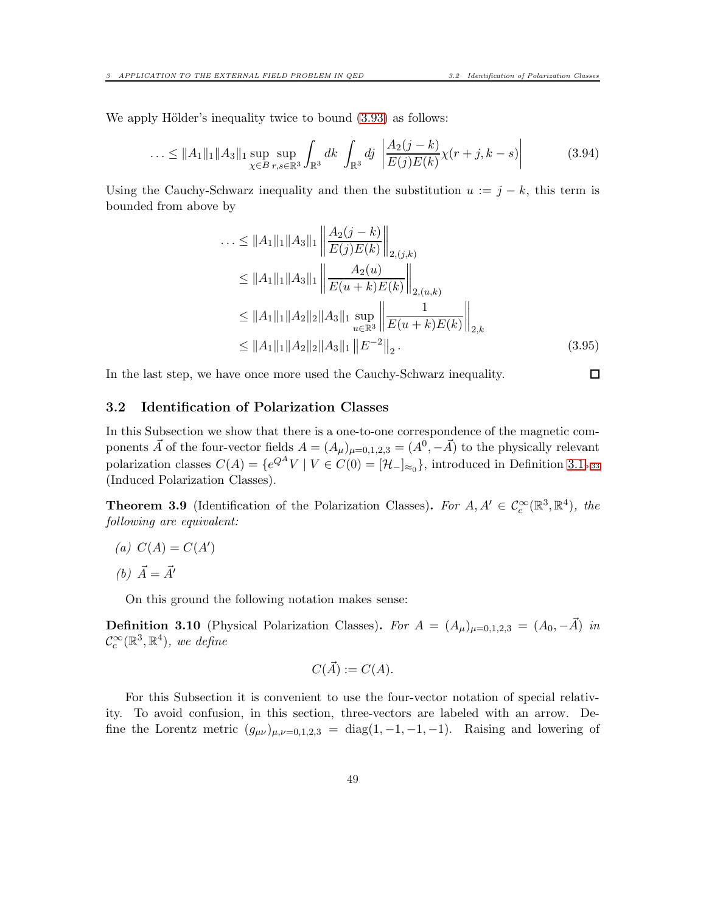$\Box$ 

We apply Hölder's inequality twice to bound  $(3.93)$  as follows:

$$
\ldots \le \|A_1\|_1 \|A_3\|_1 \sup_{\chi \in B} \sup_{r,s \in \mathbb{R}^3} \int_{\mathbb{R}^3} dk \int_{\mathbb{R}^3} dj \left| \frac{A_2(j-k)}{E(j)E(k)} \chi(r+j,k-s) \right| \tag{3.94}
$$

Using the Cauchy-Schwarz inequality and then the substitution  $u := j - k$ , this term is bounded from above by

$$
\begin{aligned}\n\ldots &\leq \|A_1\|_1 \|A_3\|_1 \left\| \frac{A_2(j-k)}{E(j)E(k)} \right\|_{2,(j,k)} \\
&\leq \|A_1\|_1 \|A_3\|_1 \left\| \frac{A_2(u)}{E(u+k)E(k)} \right\|_{2,(u,k)} \\
&\leq \|A_1\|_1 \|A_2\|_2 \|A_3\|_1 \sup_{u \in \mathbb{R}^3} \left\| \frac{1}{E(u+k)E(k)} \right\|_{2,k} \\
&\leq \|A_1\|_1 \|A_2\|_2 \|A_3\|_1 \left\| E^{-2} \right\|_2.\n\end{aligned} \tag{3.95}
$$

In the last step, we have once more used the Cauchy-Schwarz inequality.

#### <span id="page-48-0"></span>3.2 Identification of Polarization Classes

In this Subsection we show that there is a one-to-one correspondence of the magnetic components  $\vec{A}$  of the four-vector fields  $A = (A_{\mu})_{\mu=0,1,2,3} = (A^0, -\vec{A})$  to the physically relevant polarization classes  $C(A) = \{e^{Q^A}V \mid V \in C(0) = [\mathcal{H}_-\]_{\approx_0}\}$ , introduced in Definition [3.1](#page-32-1)<sub>p[.33](#page-32-1)</sub> (Induced Polarization Classes).

<span id="page-48-1"></span>**Theorem 3.9** (Identification of the Polarization Classes). For  $A, A' \in C_c^{\infty}(\mathbb{R}^3, \mathbb{R}^4)$ , the following are equivalent:

(a)  $C(A) = C(A')$ 

(b)  $\vec{A} = \vec{A'}$ 

On this ground the following notation makes sense:

<span id="page-48-2"></span>**Definition 3.10** (Physical Polarization Classes). For  $A = (A_{\mu})_{\mu=0,1,2,3} = (A_0, -\vec{A})$  in  $\mathcal{C}_c^{\infty}(\mathbb{R}^3, \mathbb{R}^4)$ , we define

$$
C(\vec{A}) := C(A).
$$

For this Subsection it is convenient to use the four-vector notation of special relativity. To avoid confusion, in this section, three-vectors are labeled with an arrow. Define the Lorentz metric  $(g_{\mu\nu})_{\mu,\nu=0,1,2,3} = \text{diag}(1,-1,-1,-1)$ . Raising and lowering of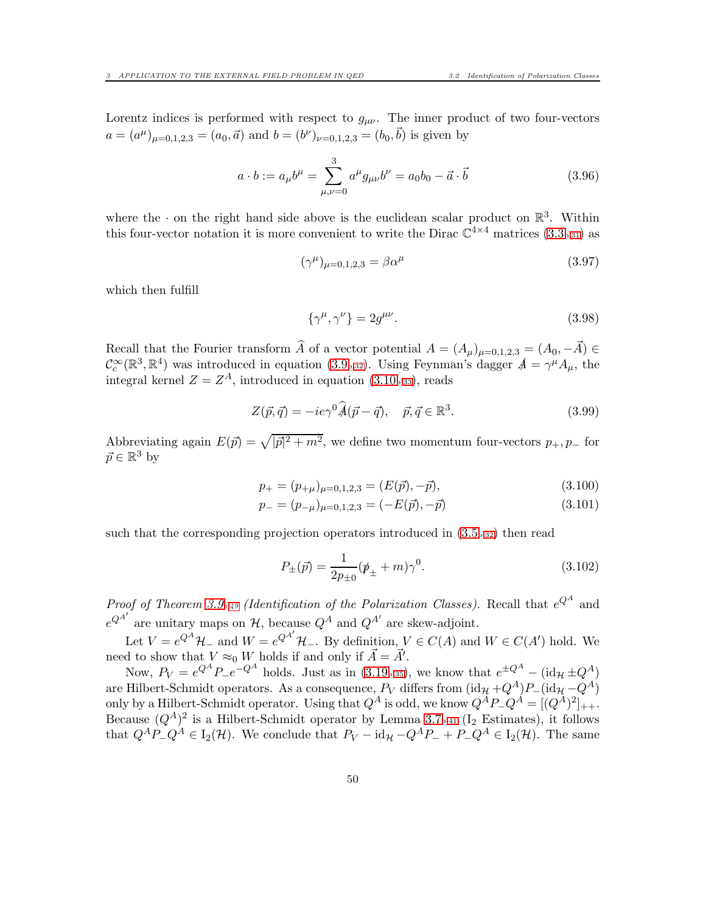Lorentz indices is performed with respect to  $g_{\mu\nu}$ . The inner product of two four-vectors  $a = (a^{\mu})_{\mu=0,1,2,3} = (a_0, \vec{a})$  and  $b = (b^{\nu})_{\nu=0,1,2,3} = (b_0, \vec{b})$  is given by

$$
a \cdot b := a_{\mu}b^{\mu} = \sum_{\mu,\nu=0}^{3} a^{\mu}g_{\mu\nu}b^{\nu} = a_0b_0 - \vec{a} \cdot \vec{b}
$$
 (3.96)

where the  $\cdot$  on the right hand side above is the euclidean scalar product on  $\mathbb{R}^3$ . Within this four-vector notation it is more convenient to write the Dirac  $\mathbb{C}^{4\times 4}$  matrices  $(3.3_{p.31})$  $(3.3_{p.31})$  $(3.3_{p.31})$  as

$$
(\gamma^{\mu})_{\mu=0,1,2,3} = \beta \alpha^{\mu}
$$
 (3.97)

which then fulfill

$$
\{\gamma^{\mu}, \gamma^{\nu}\} = 2g^{\mu\nu}.
$$
\n(3.98)

Recall that the Fourier transform  $\widehat{A}$  of a vector potential  $A = (A_{\mu})_{\mu=0,1,2,3} = (A_0, -\vec{A}) \in$  $\mathcal{C}_c^{\infty}(\mathbb{R}^3, \mathbb{R}^4)$  was introduced in equation [\(3.9](#page-31-2)<sub>p[.32](#page-31-2)</sub>). Using Feynman's dagger  $A = \gamma^{\mu} A_{\mu}$ , the integral kernel  $Z = Z<sup>A</sup>$ , introduced in equation [\(3.10](#page-32-5)<sub>p</sub>.ss), reads

$$
Z(\vec{p}, \vec{q}) = -ie\gamma^0 \hat{A}(\vec{p} - \vec{q}), \quad \vec{p}, \vec{q} \in \mathbb{R}^3.
$$
 (3.99)

Abbreviating again  $E(\vec{p}) = \sqrt{|\vec{p}|^2 + m^2}$ , we define two momentum four-vectors  $p_+, p_-$  for  $\vec{p} \in \mathbb{R}^3$  by

$$
p_{+} = (p_{+\mu})_{\mu=0,1,2,3} = (E(\vec{p}), -\vec{p}), \qquad (3.100)
$$

$$
p_{-} = (p_{-\mu})_{\mu=0,1,2,3} = (-E(\vec{p}), -\vec{p})
$$
\n(3.101)

such that the corresponding projection operators introduced in  $(3.5<sub>p.32</sub>)$  $(3.5<sub>p.32</sub>)$  $(3.5<sub>p.32</sub>)$  then read

<span id="page-49-0"></span>
$$
P_{\pm}(\vec{p}) = \frac{1}{2p_{\pm 0}}(\rlap{\,/}p_{\pm} + m)\gamma^0.
$$
\n(3.102)

Proof of Theorem [3.9](#page-48-1)<sub>p</sub>.<sub>49</sub> (Identification of the Polarization Classes). Recall that  $e^{Q^A}$  and  $e^{Q^{A'}}$  are unitary maps on  $H$ , because  $Q^A$  and  $Q^{A'}$  are skew-adjoint.

Let  $V = e^{Q^A} \mathcal{H}_-$  and  $W = e^{Q^{A'}} \mathcal{H}_-$ . By definition,  $V \in C(A)$  and  $W \in C(A')$  hold. We need to show that  $V \approx_0 W$  holds if and only if  $\vec{A} = \vec{A}'$ .

Now,  $P_V = e^{Q^A} P_- e^{-Q^A}$  holds. Just as in [\(3.19](#page-34-2)<sub>p[.35](#page-34-2)</sub>), we know that  $e^{\pm Q^A}$  – (id<sub>H</sub>  $\pm Q^A$ ) are Hilbert-Schmidt operators. As a consequence,  $P_V$  differs from  $(\mathrm{id}_{\mathcal{H}} + Q^A)P_-(\mathrm{id}_{\mathcal{H}} - Q^A)$ only by a Hilbert-Schmidt operator. Using that  $Q^A$  is odd, we know  $Q^A P_- Q^A = [(Q^A)^2]_{++}$ . Because  $(Q^A)^2$  is a Hilbert-Schmidt operator by Lemma [3.7](#page-40-0)<sub>p[.41](#page-40-0)</sub> (I<sub>2</sub> Estimates), it follows that  $Q^A P_- Q^A \in I_2(\mathcal{H})$ . We conclude that  $P_V - id_{\mathcal{H}} - Q^A P_- + P_- Q^A \in I_2(\mathcal{H})$ . The same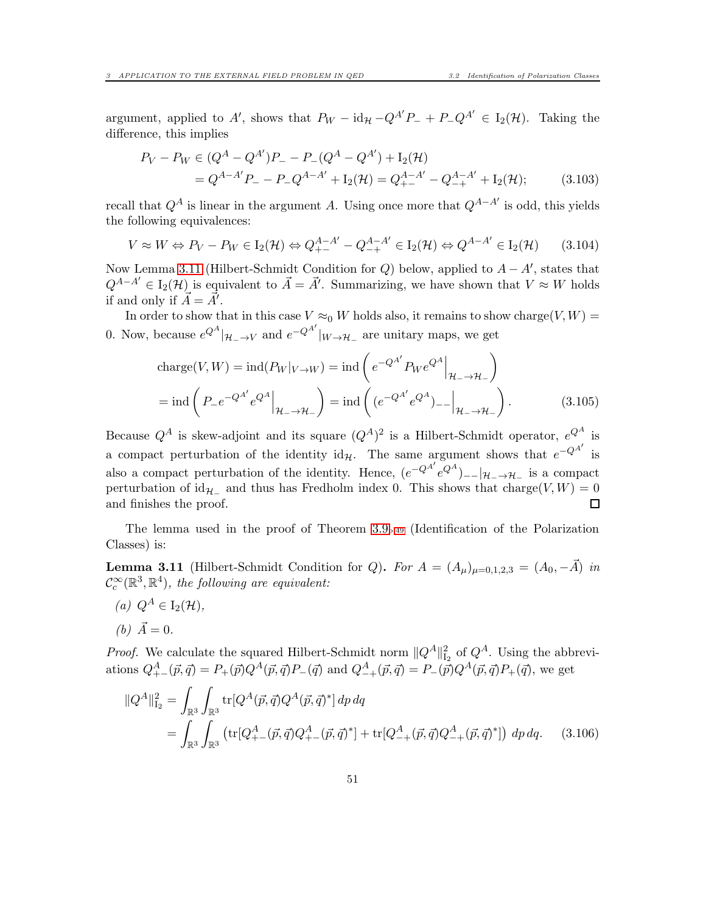argument, applied to A', shows that  $P_W - id_{\mathcal{H}} - Q^{A'}P_- + P_-Q^{A'} \in I_2(\mathcal{H})$ . Taking the difference, this implies

$$
P_V - P_W \in (Q^A - Q^{A'})P_- - P_-(Q^A - Q^{A'}) + I_2(\mathcal{H})
$$
  
=  $Q^{A-A'}P_- - P_-Q^{A-A'} + I_2(\mathcal{H}) = Q_{+-}^{A-A'} - Q_{-+}^{A-A'} + I_2(\mathcal{H});$  (3.103)

recall that  $Q^A$  is linear in the argument A. Using once more that  $Q^{A-A'}$  is odd, this yields the following equivalences:

$$
V \approx W \Leftrightarrow P_V - P_W \in I_2(\mathcal{H}) \Leftrightarrow Q_{+-}^{A-A'} - Q_{-+}^{A-A'} \in I_2(\mathcal{H}) \Leftrightarrow Q^{A-A'} \in I_2(\mathcal{H}) \tag{3.104}
$$

Now Lemma [3.11](#page-50-0) (Hilbert-Schmidt Condition for Q) below, applied to  $A - A'$ , states that  $Q^{A-A'} \in I_2(\mathcal{H})$  is equivalent to  $\vec{A} = \vec{A'}$ . Summarizing, we have shown that  $V \approx W$  holds if and only if  $\vec{A} = \vec{A}'$ .

In order to show that in this case  $V \approx_0 W$  holds also, it remains to show charge(V, W) = 0. Now, because  $e^{Q^A}|_{\mathcal{H}_-\to V}$  and  $e^{-Q^{A'}}|_{W\to\mathcal{H}_-}$  are unitary maps, we get

charge
$$
(V, W)
$$
 = ind $(P_W|_{V \to W})$  = ind $(e^{-Q^{A'}} P_W e^{Q^A}|_{\mathcal{H}_-\to\mathcal{H}_-})$   
= ind $(P_- e^{-Q^{A'}} e^{Q^A}|_{\mathcal{H}_-\to\mathcal{H}_-})$  = ind $((e^{-Q^{A'}} e^{Q^A})_{--}|_{\mathcal{H}_-\to\mathcal{H}_-})$ . (3.105)

Because  $Q^A$  is skew-adjoint and its square  $(Q^A)^2$  is a Hilbert-Schmidt operator,  $e^{Q^A}$  is a compact perturbation of the identity  $id_{\mathcal{H}}$ . The same argument shows that  $e^{-Q^{A'}}$  is also a compact perturbation of the identity. Hence,  $(e^{-Q^{A'}}e^{Q^{A}})_{--}|\mathcal{H}_{-}\to\mathcal{H}_{-}$  is a compact perturbation of  $id_{\mathcal{H}_-}$  and thus has Fredholm index 0. This shows that charge(V, W) = 0 and finishes the proof. □

The lemma used in the proof of Theorem [3.9](#page-48-1)p[.49](#page-48-1) (Identification of the Polarization Classes) is:

<span id="page-50-0"></span>**Lemma 3.11** (Hilbert-Schmidt Condition for Q). For  $A = (A_\mu)_{\mu=0,1,2,3} = (A_0, -\vec{A})$  in  $\mathcal{C}_c^{\infty}(\mathbb{R}^3, \mathbb{R}^4)$ , the following are equivalent:

(a) 
$$
Q^A \in I_2(\mathcal{H}),
$$
  
(b)  $\vec{A} = 0.$ 

*Proof.* We calculate the squared Hilbert-Schmidt norm  $||Q^A||_{\mathcal{I}_2}^2$  of  $Q^A$ . Using the abbreviations  $Q_{+-}^A(\vec{p}, \vec{q}) = P_{+}(\vec{p})Q^A(\vec{p}, \vec{q})P_{-}(\vec{q})$  and  $Q_{-+}^A(\vec{p}, \vec{q}) = P_{-}(\vec{p})Q^A(\vec{p}, \vec{q})P_{+}(\vec{q})$ , we get

<span id="page-50-1"></span>
$$
\begin{split} \|Q^A\|_{\mathcal{I}_2}^2 &= \int_{\mathbb{R}^3} \int_{\mathbb{R}^3} \text{tr}[Q^A(\vec{p}, \vec{q}) Q^A(\vec{p}, \vec{q})^*] \, dp \, dq \\ &= \int_{\mathbb{R}^3} \int_{\mathbb{R}^3} \left( \text{tr}[Q^A_{+-}(\vec{p}, \vec{q}) Q^A_{+-}(\vec{p}, \vec{q})^*] + \text{tr}[Q^A_{-+}(\vec{p}, \vec{q}) Q^A_{-+}(\vec{p}, \vec{q})^*] \right) \, dp \, dq. \end{split} \tag{3.106}
$$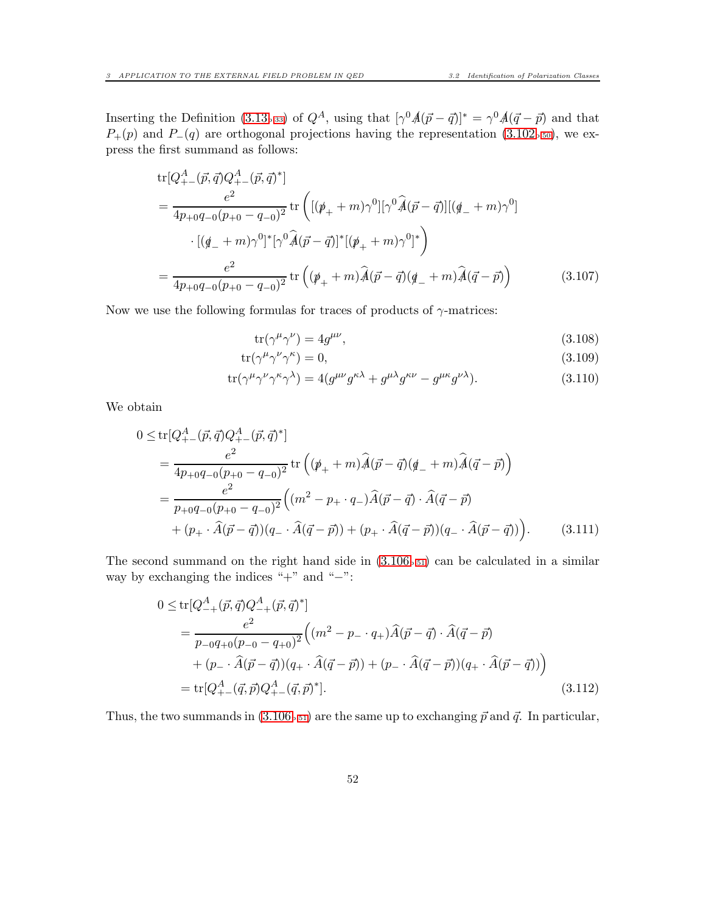Inserting the Definition [\(3.13](#page-32-4)<sub>p[.33](#page-32-4)</sub>) of  $Q^A$ , using that  $[\gamma^0 \hat{A}(\vec{p} - \vec{q})]^* = \gamma^0 \hat{A}(\vec{q} - \vec{p})$  and that  $P_{+}(p)$  and  $P_{-}(q)$  are orthogonal projections having the representation [\(3.102](#page-49-0)<sub>p[.50](#page-49-0)</sub>), we express the first summand as follows:

$$
\text{tr}[Q_{+-}^{A}(\vec{p},\vec{q})Q_{+-}^{A}(\vec{p},\vec{q})^{*}]
$$
\n
$$
= \frac{e^{2}}{4p_{+0}q_{-0}(p_{+0} - q_{-0})^{2}} \text{tr}\left( [(\psi_{+} + m)\gamma^{0}] [\gamma^{0}\hat{A}(\vec{p} - \vec{q})] [(\phi_{-} + m)\gamma^{0}] \right)
$$
\n
$$
\cdot [(\phi_{-} + m)\gamma^{0}]^{*} [\gamma^{0}\hat{A}(\vec{p} - \vec{q})]^{*} [(\psi_{+} + m)\gamma^{0}]^{*} \right)
$$
\n
$$
= \frac{e^{2}}{4p_{+0}q_{-0}(p_{+0} - q_{-0})^{2}} \text{tr}\left( (\psi_{+} + m)\hat{A}(\vec{p} - \vec{q}) (\phi_{-} + m)\hat{A}(\vec{q} - \vec{p}) \right) \tag{3.107}
$$

Now we use the following formulas for traces of products of  $\gamma$ -matrices:

$$
\operatorname{tr}(\gamma^{\mu}\gamma^{\nu}) = 4g^{\mu\nu},\tag{3.108}
$$

$$
tr(\gamma^{\mu}\gamma^{\nu}\gamma^{\kappa}) = 0, \tag{3.109}
$$

$$
\text{tr}(\gamma^{\mu}\gamma^{\nu}\gamma^{\kappa}\gamma^{\lambda}) = 4(g^{\mu\nu}g^{\kappa\lambda} + g^{\mu\lambda}g^{\kappa\nu} - g^{\mu\kappa}g^{\nu\lambda}). \tag{3.110}
$$

We obtain

$$
0 \leq \text{tr}[Q_{+-}^{A}(\vec{p},\vec{q})Q_{+-}^{A}(\vec{p},\vec{q})^{*}]
$$
  
\n
$$
= \frac{e^{2}}{4p_{+0}q_{-0}(p_{+0} - q_{-0})^{2}} \text{tr}\left((p_{+} + m)\hat{A}(\vec{p} - \vec{q})(q_{-} + m)\hat{A}(\vec{q} - \vec{p})\right)
$$
  
\n
$$
= \frac{e^{2}}{p_{+0}q_{-0}(p_{+0} - q_{-0})^{2}} \left((m^{2} - p_{+} \cdot q_{-})\hat{A}(\vec{p} - \vec{q}) \cdot \hat{A}(\vec{q} - \vec{p})\right)
$$
  
\n
$$
+ (p_{+} \cdot \hat{A}(\vec{p} - \vec{q}))(q_{-} \cdot \hat{A}(\vec{q} - \vec{p})) + (p_{+} \cdot \hat{A}(\vec{q} - \vec{p}))(q_{-} \cdot \hat{A}(\vec{p} - \vec{q}))
$$
(3.111)

The second summand on the right hand side in  $(3.106<sub>p.51</sub>)$  $(3.106<sub>p.51</sub>)$  $(3.106<sub>p.51</sub>)$  can be calculated in a similar way by exchanging the indices "+" and "−":

<span id="page-51-0"></span>
$$
0 \le \text{tr}[Q_{-+}^{A}(\vec{p},\vec{q})Q_{-+}^{A}(\vec{p},\vec{q})^{*}]
$$
  
\n
$$
= \frac{e^{2}}{p_{-0}q_{+0}(p_{-0} - q_{+0})^{2}} \Big( (m^{2} - p_{-} \cdot q_{+})\hat{A}(\vec{p} - \vec{q}) \cdot \hat{A}(\vec{q} - \vec{p}) + (p_{-} \cdot \hat{A}(\vec{p} - \vec{q})) (q_{+} \cdot \hat{A}(\vec{q} - \vec{p})) + (p_{-} \cdot \hat{A}(\vec{q} - \vec{p})) (q_{+} \cdot \hat{A}(\vec{p} - \vec{q})) \Big)
$$
  
\n
$$
= \text{tr}[Q_{+-}^{A}(\vec{q},\vec{p})Q_{+-}^{A}(\vec{q},\vec{p})^{*}]. \tag{3.112}
$$

Thus, the two summands in  $(3.106_{p.51})$  $(3.106_{p.51})$  $(3.106_{p.51})$  are the same up to exchanging  $\vec{p}$  and  $\vec{q}$ . In particular,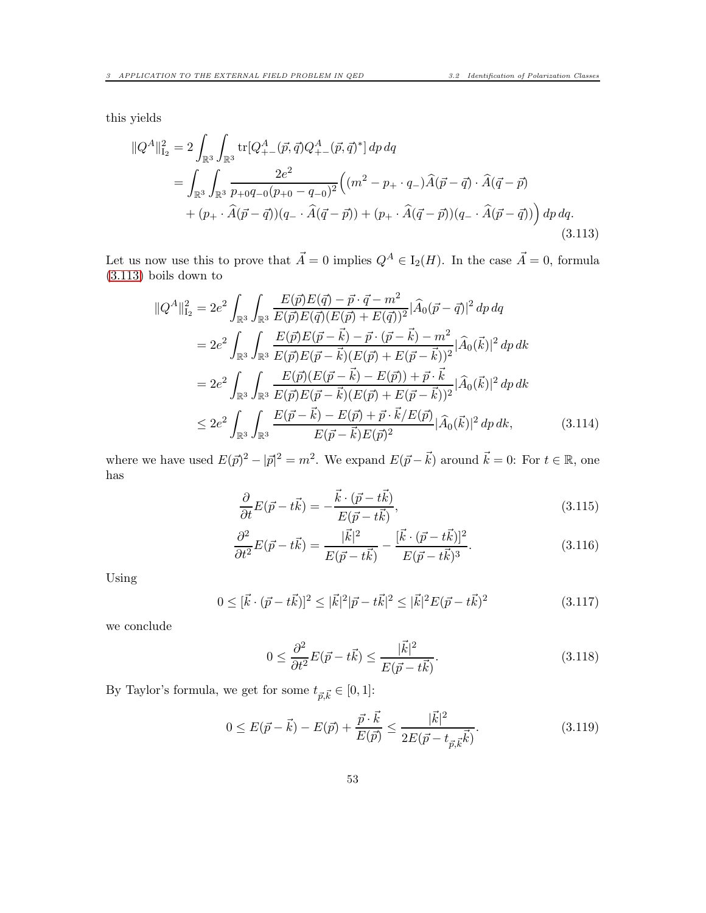this yields

$$
\begin{split} \|Q^A\|_{\mathcal{I}_2}^2 &= 2 \int_{\mathbb{R}^3} \int_{\mathbb{R}^3} \text{tr}[Q^A_{+-}(\vec{p}, \vec{q}) Q^A_{+-}(\vec{p}, \vec{q})^*] \, dp \, dq \\ &= \int_{\mathbb{R}^3} \int_{\mathbb{R}^3} \frac{2e^2}{p_{+0}q_{-0}(p_{+0} - q_{-0})^2} \Big( (m^2 - p_{+} \cdot q_{-}) \widehat{A}(\vec{p} - \vec{q}) \cdot \widehat{A}(\vec{q} - \vec{p}) \\ &+ (p_{+} \cdot \widehat{A}(\vec{p} - \vec{q})) (q_{-} \cdot \widehat{A}(\vec{q} - \vec{p})) + (p_{+} \cdot \widehat{A}(\vec{q} - \vec{p})) (q_{-} \cdot \widehat{A}(\vec{p} - \vec{q})) \Big) \, dp \, dq. \end{split} \tag{3.113}
$$

Let us now use this to prove that  $\vec{A} = 0$  implies  $Q^A \in I_2(H)$ . In the case  $\vec{A} = 0$ , formula [\(3.113\)](#page-52-0) boils down to

<span id="page-52-0"></span>
$$
\begin{split}\n\|Q^A\|_{\mathcal{I}_2}^2 &= 2e^2 \int_{\mathbb{R}^3} \int_{\mathbb{R}^3} \frac{E(\vec{p})E(\vec{q}) - \vec{p} \cdot \vec{q} - m^2}{E(\vec{p})E(\vec{q})(E(\vec{p}) + E(\vec{q}))^2} |\widehat{A}_0(\vec{p} - \vec{q})|^2 \, dp \, dq \\
&= 2e^2 \int_{\mathbb{R}^3} \int_{\mathbb{R}^3} \frac{E(\vec{p})E(\vec{p} - \vec{k}) - \vec{p} \cdot (\vec{p} - \vec{k}) - m^2}{E(\vec{p})E(\vec{p} - \vec{k})(E(\vec{p}) + E(\vec{p} - \vec{k}))^2} |\widehat{A}_0(\vec{k})|^2 \, dp \, dk \\
&= 2e^2 \int_{\mathbb{R}^3} \int_{\mathbb{R}^3} \frac{E(\vec{p})(E(\vec{p} - \vec{k}) - E(\vec{p})) + \vec{p} \cdot \vec{k}}{E(\vec{p})E(\vec{p} - \vec{k})(E(\vec{p}) + E(\vec{p} - \vec{k}))^2} |\widehat{A}_0(\vec{k})|^2 \, dp \, dk \\
&\le 2e^2 \int_{\mathbb{R}^3} \int_{\mathbb{R}^3} \frac{E(\vec{p} - \vec{k}) - E(\vec{p}) + \vec{p} \cdot \vec{k}/E(\vec{p})}{E(\vec{p} - \vec{k})E(\vec{p})^2} |\widehat{A}_0(\vec{k})|^2 \, dp \, dk,\n\end{split} \tag{3.114}
$$

where we have used  $E(\vec{p})^2 - |\vec{p}|^2 = m^2$ . We expand  $E(\vec{p} - \vec{k})$  around  $\vec{k} = 0$ : For  $t \in \mathbb{R}$ , one has

<span id="page-52-2"></span>
$$
\frac{\partial}{\partial t}E(\vec{p} - t\vec{k}) = -\frac{\vec{k} \cdot (\vec{p} - t\vec{k})}{E(\vec{p} - t\vec{k})},\tag{3.115}
$$

$$
\frac{\partial^2}{\partial t^2}E(\vec{p} - t\vec{k}) = \frac{|\vec{k}|^2}{E(\vec{p} - t\vec{k})} - \frac{[\vec{k} \cdot (\vec{p} - t\vec{k})]^2}{E(\vec{p} - t\vec{k})^3}.
$$
(3.116)

Using

$$
0 \leq [\vec{k} \cdot (\vec{p} - t\vec{k})]^2 \leq |\vec{k}|^2 |\vec{p} - t\vec{k}|^2 \leq |\vec{k}|^2 E(\vec{p} - t\vec{k})^2 \tag{3.117}
$$

we conclude

<span id="page-52-1"></span>
$$
0 \le \frac{\partial^2}{\partial t^2} E(\vec{p} - t\vec{k}) \le \frac{|\vec{k}|^2}{E(\vec{p} - t\vec{k})}.
$$
\n(3.118)

By Taylor's formula, we get for some  $t_{\vec{p}, \vec{k}} \in [0, 1]$ :

$$
0 \le E(\vec{p} - \vec{k}) - E(\vec{p}) + \frac{\vec{p} \cdot \vec{k}}{E(\vec{p})} \le \frac{|\vec{k}|^2}{2E(\vec{p} - t_{\vec{p}, \vec{k}} \vec{k})}.
$$
\n(3.119)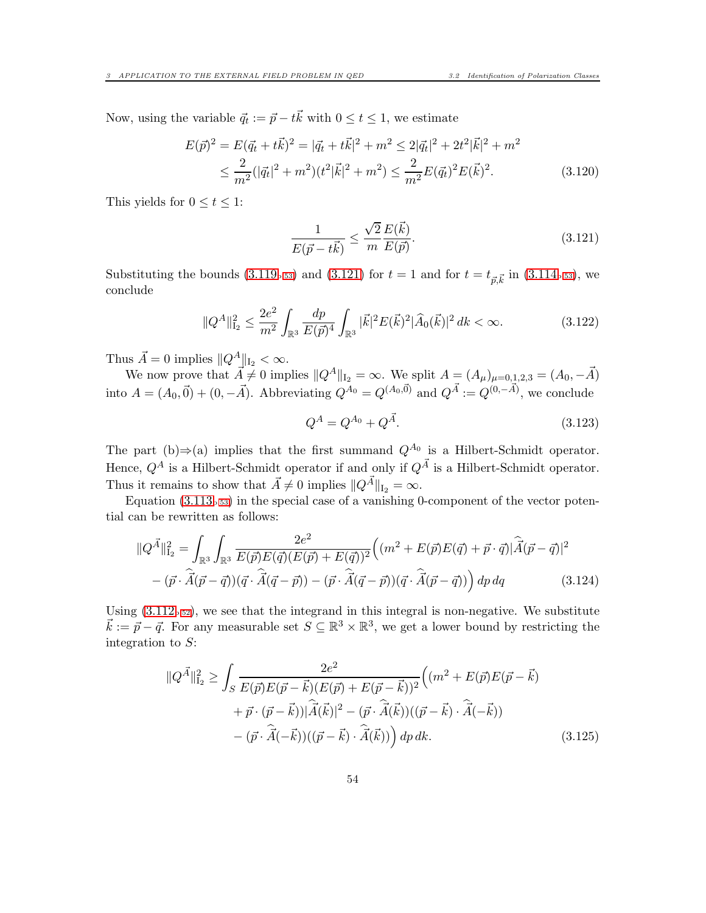Now, using the variable  $\vec{q}_t := \vec{p} - t\vec{k}$  with  $0 \le t \le 1$ , we estimate

$$
E(\vec{p})^2 = E(\vec{q}_t + t\vec{k})^2 = |\vec{q}_t + t\vec{k}|^2 + m^2 \le 2|\vec{q}_t|^2 + 2t^2|\vec{k}|^2 + m^2
$$
  

$$
\le \frac{2}{m^2}(|\vec{q}_t|^2 + m^2)(t^2|\vec{k}|^2 + m^2) \le \frac{2}{m^2}E(\vec{q}_t)^2E(\vec{k})^2.
$$
 (3.120)

This yields for  $0 \le t \le 1$ :

<span id="page-53-0"></span>
$$
\frac{1}{E(\vec{p}-t\vec{k})} \le \frac{\sqrt{2}}{m} \frac{E(\vec{k})}{E(\vec{p})}.
$$
\n(3.121)

Substituting the bounds [\(3.119](#page-52-1)<sub>p</sub>.<sub>53</sub>) and [\(3.121\)](#page-53-0) for  $t = 1$  and for  $t = t_{\vec{p}, \vec{k}}$  in (3.114<sub>p[.53](#page-52-2)</sub>), we conclude

$$
||Q^A||_{\mathcal{I}_2}^2 \le \frac{2e^2}{m^2} \int_{\mathbb{R}^3} \frac{dp}{E(\vec{p})^4} \int_{\mathbb{R}^3} |\vec{k}|^2 E(\vec{k})^2 |\widehat{A}_0(\vec{k})|^2 dk < \infty.
$$
 (3.122)

Thus  $\vec{A} = 0$  implies  $||Q^A||_{I_2} < \infty$ .

We now prove that  $A \neq 0$  implies  $||Q^A||_{I_2} = \infty$ . We split  $A = (A_\mu)_{\mu=0,1,2,3} = (A_0, -\vec{A})$ into  $A = (A_0, \vec{0}) + (0, -\vec{A})$ . Abbreviating  $Q^{A_0} = Q^{(A_0, \vec{0})}$  and  $Q^{\vec{A}} := Q^{(0, -\vec{A})}$ , we conclude

$$
Q^A = Q^{A_0} + Q^{\vec{A}}.\t\t(3.123)
$$

The part (b) $\Rightarrow$ (a) implies that the first summand  $Q^{A_0}$  is a Hilbert-Schmidt operator. Hence,  $Q^A$  is a Hilbert-Schmidt operator if and only if  $Q^{\vec{A}}$  is a Hilbert-Schmidt operator. Thus it remains to show that  $\vec{A} \neq 0$  implies  $||Q^{\vec{A}}||_{I_2} = \infty$ .

Equation  $(3.113<sub>p.53</sub>)$  $(3.113<sub>p.53</sub>)$  $(3.113<sub>p.53</sub>)$  in the special case of a vanishing 0-component of the vector potential can be rewritten as follows:

$$
\|Q^{\vec{A}}\|_{\mathcal{I}_2}^2 = \int_{\mathbb{R}^3} \int_{\mathbb{R}^3} \frac{2e^2}{E(\vec{p})E(\vec{q})(E(\vec{p}) + E(\vec{q}))^2} \Big( (m^2 + E(\vec{p})E(\vec{q}) + \vec{p} \cdot \vec{q}) |\widehat{A}(\vec{p} - \vec{q})|^2
$$

$$
- (\vec{p} \cdot \widehat{A}(\vec{p} - \vec{q})) (\vec{q} \cdot \widehat{A}(\vec{q} - \vec{p})) - (\vec{p} \cdot \widehat{A}(\vec{q} - \vec{p})) (\vec{q} \cdot \widehat{A}(\vec{p} - \vec{q})) \Big) dp dq \qquad (3.124)
$$

Using  $(3.112<sub>p.52</sub>)$  $(3.112<sub>p.52</sub>)$  $(3.112<sub>p.52</sub>)$ , we see that the integrand in this integral is non-negative. We substitute  $\vec{k} := \vec{p} - \vec{q}$ . For any measurable set  $S \subseteq \mathbb{R}^3 \times \mathbb{R}^3$ , we get a lower bound by restricting the integration to  $S$ :

<span id="page-53-1"></span>
$$
\|Q^{\vec{A}}\|_{\mathcal{I}_2}^2 \ge \int_S \frac{2e^2}{E(\vec{p})E(\vec{p} - \vec{k})(E(\vec{p}) + E(\vec{p} - \vec{k}))^2} \Big((m^2 + E(\vec{p})E(\vec{p} - \vec{k}) + \vec{p} \cdot (\vec{p} - \vec{k}))|\hat{A}(\vec{k})|^2 - (\vec{p} \cdot \hat{A}(\vec{k}))((\vec{p} - \vec{k}) \cdot \hat{A}(-\vec{k})) - (\vec{p} \cdot \hat{A}(-\vec{k}))((\vec{p} - \vec{k}) \cdot \hat{A}(\vec{k}))\Big) dp dk.
$$
\n(3.125)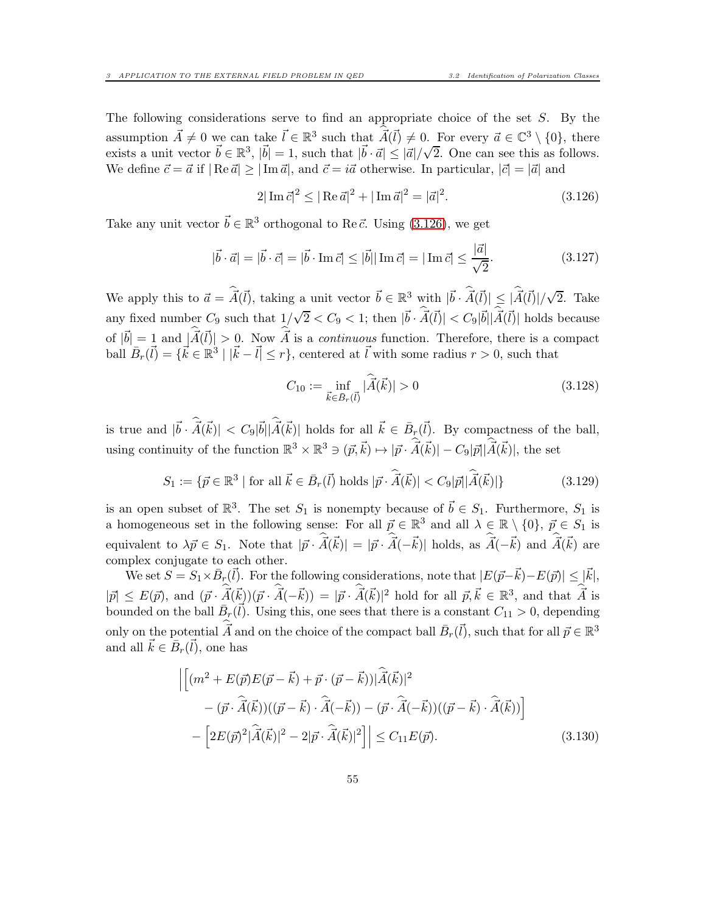The following considerations serve to find an appropriate choice of the set  $S$ . By the assumption  $\vec{A} \neq 0$  we can take  $\vec{l} \in \mathbb{R}^3$  such that  $\vec{A}(\vec{l}) \neq 0$ . For every  $\vec{a} \in \mathbb{C}^3 \setminus \{0\}$ , there exists a unit vector  $\vec{b} \in \mathbb{R}^3$ ,  $|\vec{b}| = 1$ , such that  $|\vec{b} \cdot \vec{a}| \leq |\vec{a}|/\sqrt{2}$ . One can see this as follows. We define  $\vec{c} = \vec{a}$  if  $|\text{Re } \vec{a}| \geq |\text{Im } \vec{a}|$ , and  $\vec{c} = i\vec{a}$  otherwise. In particular,  $|\vec{c}| = |\vec{a}|$  and

<span id="page-54-0"></span>
$$
2|\operatorname{Im}\vec{c}|^2 \le |\operatorname{Re}\vec{a}|^2 + |\operatorname{Im}\vec{a}|^2 = |\vec{a}|^2. \tag{3.126}
$$

Take any unit vector  $\vec{b} \in \mathbb{R}^3$  orthogonal to Re  $\vec{c}$ . Using [\(3.126\)](#page-54-0), we get

$$
|\vec{b} \cdot \vec{a}| = |\vec{b} \cdot \vec{c}| = |\vec{b} \cdot \text{Im}\,\vec{c}| \le |\vec{b}| |\text{Im}\,\vec{c}| = |\text{Im}\,\vec{c}| \le \frac{|\vec{a}|}{\sqrt{2}}.
$$
 (3.127)

We apply this to  $\vec{a} = \hat{A}(\vec{l})$ , taking a unit vector  $\vec{b} \in \mathbb{R}^3$  with  $|\vec{b} \cdot \hat{A}(\vec{l})| \leq |\hat{A}(\vec{l})|/\sqrt{2}$ . Take any fixed number  $C_9$  such that  $1/\sqrt{2} < C_9 < 1$ ; then  $|\vec{b} \cdot \hat{\vec{A}}(\vec{l})| < C_9 |\vec{b}| |\hat{\vec{A}}(\vec{l})|$  holds because of  $|\vec{b}| = 1$  and  $|\vec{A}(\vec{l})| > 0$ . Now  $\vec{A}$  is a continuous function. Therefore, there is a compact ball  $\bar{B}_r(\vec{l}) = {\vec{k} \in \mathbb{R}^3 \mid |\vec{k} - \vec{l}| \leq r}$ , centered at  $\vec{l}$  with some radius  $r > 0$ , such that

<span id="page-54-3"></span>
$$
C_{10} := \inf_{\vec{k} \in \bar{B}_r(\vec{l})} |\vec{A}(\vec{k})| > 0
$$
\n(3.128)

is true and  $|\vec{b} \cdot \vec{A}(\vec{k})| < C_9|\vec{b}||\vec{A}(\vec{k})|$  holds for all  $\vec{k} \in \bar{B}_r(\vec{l})$ . By compactness of the ball, using continuity of the function  $\mathbb{R}^3 \times \mathbb{R}^3 \ni (\vec{p}, \vec{k}) \mapsto |\vec{p} \cdot \vec{A}(\vec{k})| - C_9|\vec{p}||\vec{A}(\vec{k})|$ , the set

<span id="page-54-2"></span>
$$
S_1 := \{ \vec{p} \in \mathbb{R}^3 \mid \text{for all } \vec{k} \in \bar{B}_r(\vec{l}) \text{ holds } |\vec{p} \cdot \hat{\vec{A}}(\vec{k})| < C_9|\vec{p}||\hat{\vec{A}}(\vec{k})| \} \tag{3.129}
$$

is an open subset of  $\mathbb{R}^3$ . The set  $S_1$  is nonempty because of  $\vec{b} \in S_1$ . Furthermore,  $S_1$  is a homogeneous set in the following sense: For all  $\vec{p} \in \mathbb{R}^3$  and all  $\lambda \in \mathbb{R} \setminus \{0\}$ ,  $\vec{p} \in S_1$  is equivalent to  $\lambda \vec{p} \in S_1$ . Note that  $|\vec{p} \cdot \vec{A}(\vec{k})| = |\vec{p} \cdot \vec{A}(-\vec{k})|$  holds, as  $\vec{A}(-\vec{k})$  and  $\vec{A}(\vec{k})$  are complex conjugate to each other.

We set  $S = S_1 \times \bar{B}_r(\vec{l})$ . For the following considerations, note that  $|E(\vec{p}-\vec{k})-E(\vec{p})| \leq |\vec{k}|$ ,  $|\vec{p}| \leq E(\vec{p})$ , and  $(\vec{p} \cdot \vec{A}(\vec{k}))(\vec{p} \cdot \vec{A}(-\vec{k})) = |\vec{p} \cdot \vec{A}(\vec{k})|^2$  hold for all  $\vec{p}, \vec{k} \in \mathbb{R}^3$ , and that  $\vec{A}$  is bounded on the ball  $\bar{B}_r(\vec{l})$ . Using this, one sees that there is a constant  $C_{11} > 0$ , depending only on the potential  $\vec{A}$  and on the choice of the compact ball  $\vec{B}_r(\vec{l})$ , such that for all  $\vec{p} \in \mathbb{R}^3$ and all  $\vec{k} \in \bar{B}_r(\vec{l})$ , one has

<span id="page-54-1"></span>
$$
\left| \left[ (m^2 + E(\vec{p})E(\vec{p} - \vec{k}) + \vec{p} \cdot (\vec{p} - \vec{k})) | \hat{A}(\vec{k})|^2 - (\vec{p} \cdot \hat{A}(\vec{k})) ((\vec{p} - \vec{k}) \cdot \hat{A}(-\vec{k})) - (\vec{p} \cdot \hat{A}(-\vec{k})) ((\vec{p} - \vec{k}) \cdot \hat{A}(\vec{k})) \right| - \left[ 2E(\vec{p})^2 | \hat{A}(\vec{k})|^2 - 2|\vec{p} \cdot \hat{A}(\vec{k})|^2 \right] \right| \le C_{11}E(\vec{p}).
$$
\n(3.130)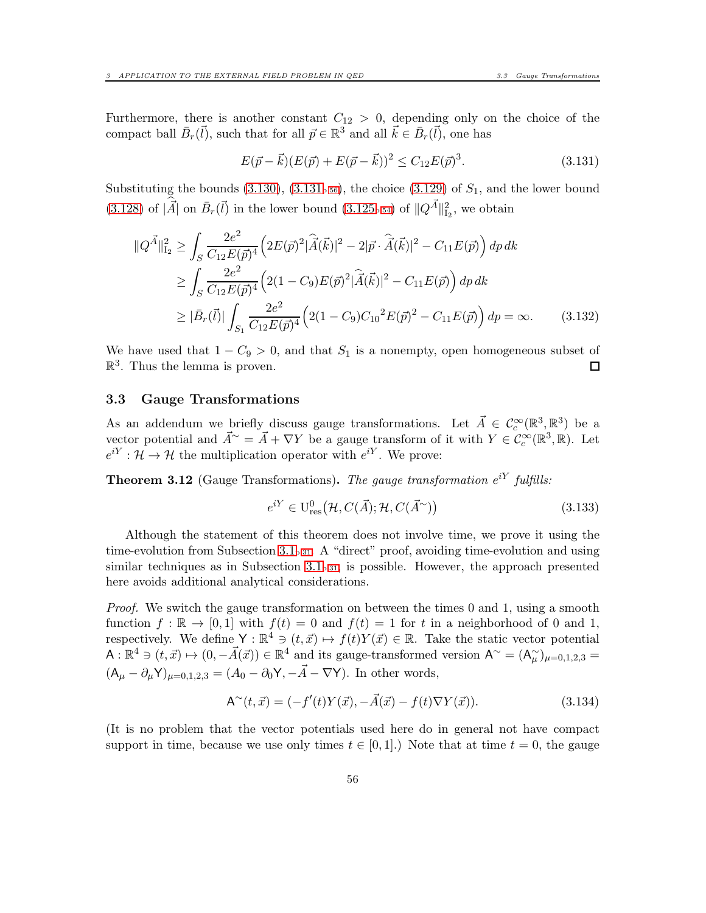Furthermore, there is another constant  $C_{12} > 0$ , depending only on the choice of the compact ball  $\bar{B}_r(\vec{l})$ , such that for all  $\vec{p} \in \mathbb{R}^3$  and all  $\vec{k} \in \bar{B}_r(\vec{l})$ , one has

<span id="page-55-2"></span>
$$
E(\vec{p} - \vec{k})(E(\vec{p}) + E(\vec{p} - \vec{k}))^2 \le C_{12}E(\vec{p})^3.
$$
\n(3.131)

Substituting the bounds  $(3.130)$ ,  $(3.131<sub>p.56</sub>)$  $(3.131<sub>p.56</sub>)$  $(3.131<sub>p.56</sub>)$ , the choice  $(3.129)$  of  $S<sub>1</sub>$ , and the lower bound [\(3.128\)](#page-54-3) of  $|\vec{A}|$  on  $\bar{B}_r(\vec{l})$  in the lower bound [\(3.125](#page-53-1)<sub>p[.54](#page-53-1)</sub>) of  $||Q^{\vec{A}}||_{I_2}^2$ , we obtain

$$
\|Q^{\vec{A}}\|_{\mathcal{I}_2}^2 \ge \int_S \frac{2e^2}{C_{12}E(\vec{p})^4} \left(2E(\vec{p})^2 |\hat{\vec{A}}(\vec{k})|^2 - 2|\vec{p} \cdot \hat{\vec{A}}(\vec{k})|^2 - C_{11}E(\vec{p})\right) dp dk
$$
  
\n
$$
\ge \int_S \frac{2e^2}{C_{12}E(\vec{p})^4} \left(2(1 - C_9)E(\vec{p})^2 |\hat{\vec{A}}(\vec{k})|^2 - C_{11}E(\vec{p})\right) dp dk
$$
  
\n
$$
\ge |\bar{B}_r(\vec{l})| \int_{S_1} \frac{2e^2}{C_{12}E(\vec{p})^4} \left(2(1 - C_9)C_{10}^2 E(\vec{p})^2 - C_{11}E(\vec{p})\right) dp = \infty.
$$
 (3.132)

We have used that  $1 - C_9 > 0$ , and that  $S_1$  is a nonempty, open homogeneous subset of  $\mathbb{R}^3$ . Thus the lemma is proven.  $\mathbb{R}^3$ . Thus the lemma is proven.

#### <span id="page-55-0"></span>3.3 Gauge Transformations

As an addendum we briefly discuss gauge transformations. Let  $\vec{A} \in C_c^{\infty}(\mathbb{R}^3, \mathbb{R}^3)$  be a vector potential and  $\vec{A}^{\sim} = \vec{A} + \nabla Y$  be a gauge transform of it with  $Y \in C_c^{\infty}(\mathbb{R}^3, \mathbb{R})$ . Let  $e^{iY}: \mathcal{H} \to \mathcal{H}$  the multiplication operator with  $e^{iY}$ . We prove:

<span id="page-55-1"></span>**Theorem 3.12** (Gauge Transformations). The gauge transformation  $e^{iY}$  fulfills:

$$
e^{iY} \in \mathcal{U}_{\text{res}}^{0}(\mathcal{H}, C(\vec{A}); \mathcal{H}, C(\vec{A}^{\sim}))
$$
\n(3.133)

Although the statement of this theorem does not involve time, we prove it using the time-evolution from Subsection [3.1](#page-30-1)p[.31](#page-30-1). A "direct" proof, avoiding time-evolution and using similar techniques as in Subsection  $3.1<sub>p.31</sub>$  $3.1<sub>p.31</sub>$  $3.1<sub>p.31</sub>$ , is possible. However, the approach presented here avoids additional analytical considerations.

Proof. We switch the gauge transformation on between the times 0 and 1, using a smooth function  $f : \mathbb{R} \to [0,1]$  with  $f(t) = 0$  and  $f(t) = 1$  for t in a neighborhood of 0 and 1, respectively. We define  $Y : \mathbb{R}^4 \ni (t, \vec{x}) \mapsto f(t)Y(\vec{x}) \in \mathbb{R}$ . Take the static vector potential  $\mathsf{A}: \mathbb{R}^4 \ni (t, \vec{x}) \mapsto (0, -\vec{A}(\vec{x})) \in \mathbb{R}^4$  and its gauge-transformed version  $\mathsf{A}^{\sim} = (\mathsf{A}_{\mu}^{\sim})_{\mu=0,1,2,3} =$  $(A_{\mu}-\partial_{\mu}Y)_{\mu=0,1,2,3}=(A_0-\partial_0Y,-\vec{A}-\nabla Y)$ . In other words,

$$
A^{\sim}(t, \vec{x}) = (-f'(t)Y(\vec{x}), -\vec{A}(\vec{x}) - f(t)\nabla Y(\vec{x})).
$$
\n(3.134)

(It is no problem that the vector potentials used here do in general not have compact support in time, because we use only times  $t \in [0, 1]$ .) Note that at time  $t = 0$ , the gauge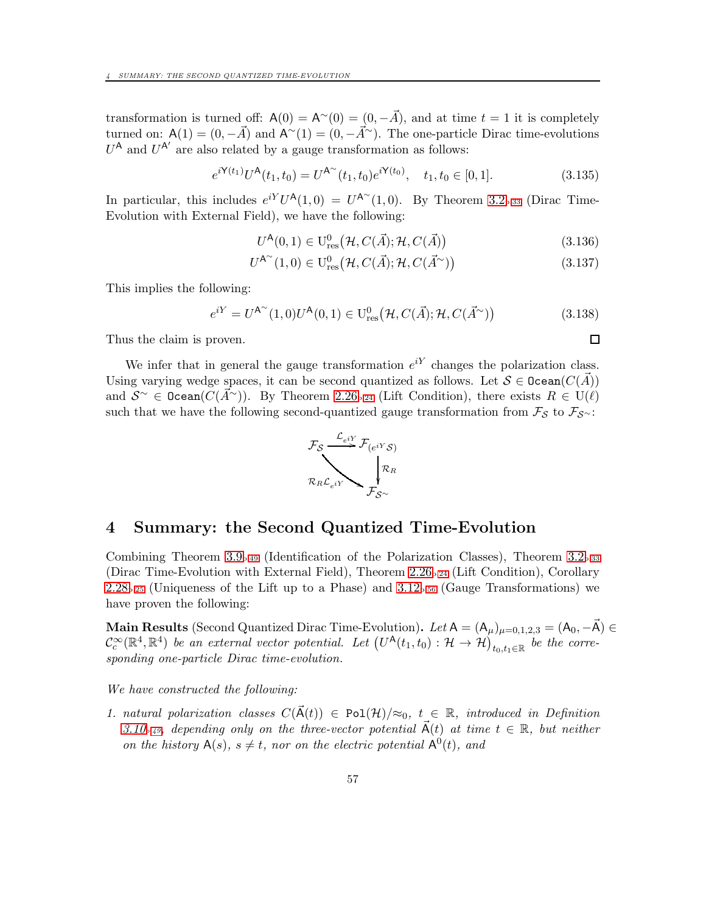transformation is turned off:  $A(0) = A^{\sim}(0) = (0, -\vec{A})$ , and at time  $t = 1$  it is completely turned on:  $A(1) = (0, -\vec{A})$  and  $A^{\sim}(1) = (0, -\vec{A}^{\sim})$ . The one-particle Dirac time-evolutions  $U^{\mathsf{A}}$  and  $U^{\mathsf{A}'}$  are also related by a gauge transformation as follows:

$$
e^{i\mathbf{Y}(t_1)}U^{\mathbf{A}}(t_1, t_0) = U^{\mathbf{A}^{\infty}}(t_1, t_0)e^{i\mathbf{Y}(t_0)}, \quad t_1, t_0 \in [0, 1].
$$
\n(3.135)

In particular, this includes  $e^{iY}U^{\mathsf{A}}(1,0) = U^{\mathsf{A}^{\sim}}(1,0)$ . By Theorem [3.2](#page-32-0)<sub>p[.33](#page-32-0)</sub> (Dirac Time-Evolution with External Field), we have the following:

$$
U^{\mathsf{A}}(0,1) \in \mathcal{U}_{\text{res}}^{0}(\mathcal{H}, C(\vec{A}); \mathcal{H}, C(\vec{A}))
$$
\n(3.136)

$$
U^{\mathsf{A}^{\sim}}(1,0) \in \mathrm{U}^{0}_{\mathrm{res}}\big(\mathcal{H}, C(\vec{A}); \mathcal{H}, C(\vec{A}^{\sim})\big) \tag{3.137}
$$

 $\Box$ 

This implies the following:

$$
e^{iY} = U^{A^{\sim}}(1,0)U^{A}(0,1) \in U^{0}_{\text{res}}(\mathcal{H}, C(\vec{A}); \mathcal{H}, C(\vec{A}^{\sim}))
$$
\n(3.138)

Thus the claim is proven.

We infer that in general the gauge transformation  $e^{iY}$  changes the polarization class. Using varying wedge spaces, it can be second quantized as follows. Let  $S \in \text{Ocean}(C(\vec{A}))$ and  $S^{\sim} \in \text{Ocean}(C(\vec{A}^{\sim})$ . By Theorem [2.26](#page-23-0)<sub>p[.24](#page-23-0)</sub> (Lift Condition), there exists  $R \in U(\ell)$ such that we have the following second-quantized gauge transformation from  $\mathcal{F}_{\mathcal{S}}$  to  $\mathcal{F}_{\mathcal{S}\sim}$ :



## <span id="page-56-0"></span>4 Summary: the Second Quantized Time-Evolution

Combining Theorem [3.9](#page-48-1)<sub>p[.49](#page-48-1)</sub> (Identification of the Polarization Classes), Theorem [3.2](#page-32-0)<sub>p[.33](#page-32-0)</sub> (Dirac Time-Evolution with External Field), Theorem [2.26](#page-23-0)p[.24](#page-23-0) (Lift Condition), Corollary  $2.28_{p.25}$  $2.28_{p.25}$  $2.28_{p.25}$  $2.28_{p.25}$  (Uniqueness of the Lift up to a Phase) and  $3.12_{p.56}$  $3.12_{p.56}$  $3.12_{p.56}$  (Gauge Transformations) we have proven the following:

Main Results (Second Quantized Dirac Time-Evolution). Let  $A = (A_\mu)_{\mu=0,1,2,3} = (A_0, -\vec{A}) \in$  $\mathcal{C}_c^{\infty}(\mathbb{R}^4, \mathbb{R}^4)$  be an external vector potential. Let  $(U^{\mathsf{A}}(t_1,t_0): \mathcal{H} \to \mathcal{H})_{t_0,t_1 \in \mathbb{R}}$  be the corresponding one-particle Dirac time-evolution.

We have constructed the following:

1. natural polarization classes  $C(\vec{A}(t)) \in \text{Pol}(\mathcal{H})/\approx_0$ ,  $t \in \mathbb{R}$ , introduced in Definition [3.10](#page-48-2)<sub>p</sub>, 49, depending only on the three-vector potential  $\vec{A}(t)$  at time  $t \in \mathbb{R}$ , but neither on the history  $A(s)$ ,  $s \neq t$ , nor on the electric potential  $A^0(t)$ , and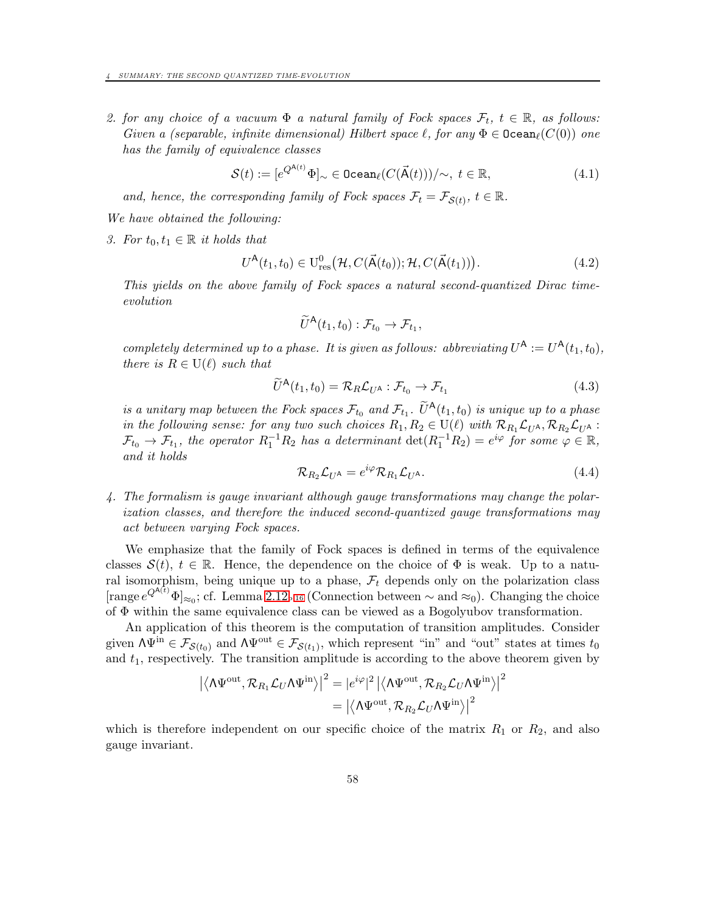2. for any choice of a vacuum  $\Phi$  a natural family of Fock spaces  $\mathcal{F}_t$ ,  $t \in \mathbb{R}$ , as follows: Given a (separable, infinite dimensional) Hilbert space  $\ell$ , for any  $\Phi \in \text{Ocean}_\ell(C(0))$  one has the family of equivalence classes

$$
\mathcal{S}(t) := [e^{Q^{\mathbf{A}(t)}} \Phi]_{\sim} \in \text{Ocean}_{\ell}(C(\vec{\mathbf{A}}(t)))/\sim, \ t \in \mathbb{R}, \tag{4.1}
$$

and, hence, the corresponding family of Fock spaces  $\mathcal{F}_t = \mathcal{F}_{\mathcal{S}(t)}$ ,  $t \in \mathbb{R}$ .

We have obtained the following:

3. For  $t_0, t_1 \in \mathbb{R}$  it holds that

$$
U^{\mathsf{A}}(t_1, t_0) \in U^0_{\text{res}}(\mathcal{H}, C(\vec{\mathsf{A}}(t_0)); \mathcal{H}, C(\vec{\mathsf{A}}(t_1))). \tag{4.2}
$$

This yields on the above family of Fock spaces a natural second-quantized Dirac timeevolution

$$
\widetilde{U}^{\mathsf{A}}(t_1,t_0): \mathcal{F}_{t_0} \to \mathcal{F}_{t_1},
$$

completely determined up to a phase. It is given as follows: abbreviating  $U^{\mathsf{A}} := U^{\mathsf{A}}(t_1, t_0)$ , there is  $R \in U(\ell)$  such that

$$
\widetilde{U}^{\mathsf{A}}(t_1, t_0) = \mathcal{R}_{R} \mathcal{L}_{U^{\mathsf{A}}} : \mathcal{F}_{t_0} \to \mathcal{F}_{t_1}
$$
\n(4.3)

is a unitary map between the Fock spaces  $\mathcal{F}_{t_0}$  and  $\mathcal{F}_{t_1}$ .  $\widetilde{U}^{\mathsf{A}}(t_1,t_0)$  is unique up to a phase in the following sense: for any two such choices  $R_1, R_2 \in U(\ell)$  with  $\mathcal{R}_{R_1} \mathcal{L}_{U^A}, \mathcal{R}_{R_2} \mathcal{L}_{U^A}$ :  $\mathcal{F}_{t_0} \to \mathcal{F}_{t_1}$ , the operator  $R_1^{-1}R_2$  has a determinant  $\det(R_1^{-1}R_2) = e^{i\varphi}$  for some  $\varphi \in \mathbb{R}$ , and it holds

$$
\mathcal{R}_{R_2}\mathcal{L}_{U^{\mathsf{A}}} = e^{i\varphi}\mathcal{R}_{R_1}\mathcal{L}_{U^{\mathsf{A}}}.
$$
\n(4.4)

4. The formalism is gauge invariant although gauge transformations may change the polarization classes, and therefore the induced second-quantized gauge transformations may act between varying Fock spaces.

We emphasize that the family of Fock spaces is defined in terms of the equivalence classes  $S(t)$ ,  $t \in \mathbb{R}$ . Hence, the dependence on the choice of  $\Phi$  is weak. Up to a natural isomorphism, being unique up to a phase,  $\mathcal{F}_t$  depends only on the polarization class [range  $e^{Q^{A(t)}}\Phi]_{\approx_0}$ ; cf. Lemma [2.12](#page-15-0)<sub>p[.16](#page-15-0)</sub> (Connection between  $\sim$  and  $\approx_0$ ). Changing the choice of Φ within the same equivalence class can be viewed as a Bogolyubov transformation.

An application of this theorem is the computation of transition amplitudes. Consider given  $\Lambda \Psi^{\text{in}} \in \mathcal{F}_{\mathcal{S}(t_0)}$  and  $\Lambda \Psi^{\text{out}} \in \mathcal{F}_{\mathcal{S}(t_1)}$ , which represent "in" and "out" states at times  $t_0$ and  $t_1$ , respectively. The transition amplitude is according to the above theorem given by

$$
\left| \left\langle \Lambda \Psi^{\rm out}, \mathcal{R}_{R_1} \mathcal{L}_U \Lambda \Psi^{\rm in} \right\rangle \right|^2 = |e^{i\varphi}|^2 \left| \left\langle \Lambda \Psi^{\rm out}, \mathcal{R}_{R_2} \mathcal{L}_U \Lambda \Psi^{\rm in} \right\rangle \right|^2
$$
  
=  $\left| \left\langle \Lambda \Psi^{\rm out}, \mathcal{R}_{R_2} \mathcal{L}_U \Lambda \Psi^{\rm in} \right\rangle \right|^2$ 

which is therefore independent on our specific choice of the matrix  $R_1$  or  $R_2$ , and also gauge invariant.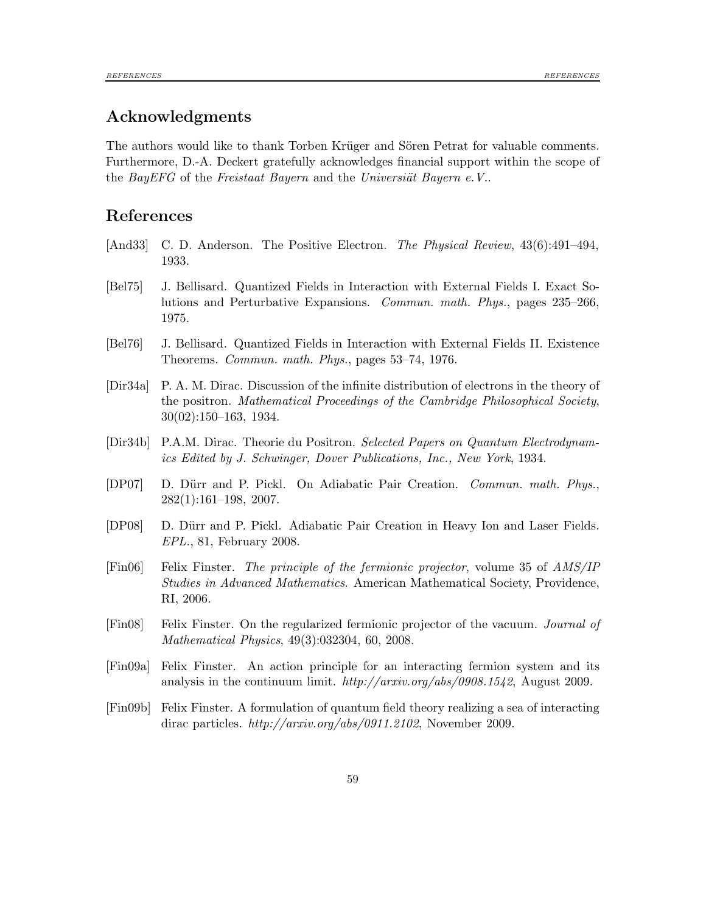# Acknowledgments

The authors would like to thank Torben Krüger and Sören Petrat for valuable comments. Furthermore, D.-A. Deckert gratefully acknowledges financial support within the scope of the BayEFG of the Freistaat Bayern and the Universiat Bayern  $e. V$ .

# References

- <span id="page-58-2"></span>[And33] C. D. Anderson. The Positive Electron. The Physical Review, 43(6):491–494, 1933.
- <span id="page-58-0"></span>[Bel75] J. Bellisard. Quantized Fields in Interaction with External Fields I. Exact Solutions and Perturbative Expansions. Commun. math. Phys., pages 235–266, 1975.
- <span id="page-58-1"></span>[Bel76] J. Bellisard. Quantized Fields in Interaction with External Fields II. Existence Theorems. Commun. math. Phys., pages 53–74, 1976.
- <span id="page-58-6"></span>[Dir34a] P. A. M. Dirac. Discussion of the infinite distribution of electrons in the theory of the positron. Mathematical Proceedings of the Cambridge Philosophical Society, 30(02):150–163, 1934.
- <span id="page-58-3"></span>[Dir34b] P.A.M. Dirac. Theorie du Positron. Selected Papers on Quantum Electrodynamics Edited by J. Schwinger, Dover Publications, Inc., New York, 1934.
- <span id="page-58-4"></span>[DP07] D. Dürr and P. Pickl. On Adiabatic Pair Creation. Commun. math. Phys., 282(1):161–198, 2007.
- <span id="page-58-5"></span>[DP08] D. Dürr and P. Pickl. Adiabatic Pair Creation in Heavy Ion and Laser Fields. EPL., 81, February 2008.
- <span id="page-58-10"></span>[Fin06] Felix Finster. The principle of the fermionic projector, volume 35 of AMS/IP Studies in Advanced Mathematics. American Mathematical Society, Providence, RI, 2006.
- <span id="page-58-8"></span>[Fin08] Felix Finster. On the regularized fermionic projector of the vacuum. Journal of Mathematical Physics, 49(3):032304, 60, 2008.
- <span id="page-58-7"></span>[Fin09a] Felix Finster. An action principle for an interacting fermion system and its analysis in the continuum limit. http://arxiv.org/abs/0908.1542, August 2009.
- <span id="page-58-9"></span>[Fin09b] Felix Finster. A formulation of quantum field theory realizing a sea of interacting dirac particles.  $http://arxiv.org/abs/0911.2102$ , November 2009.